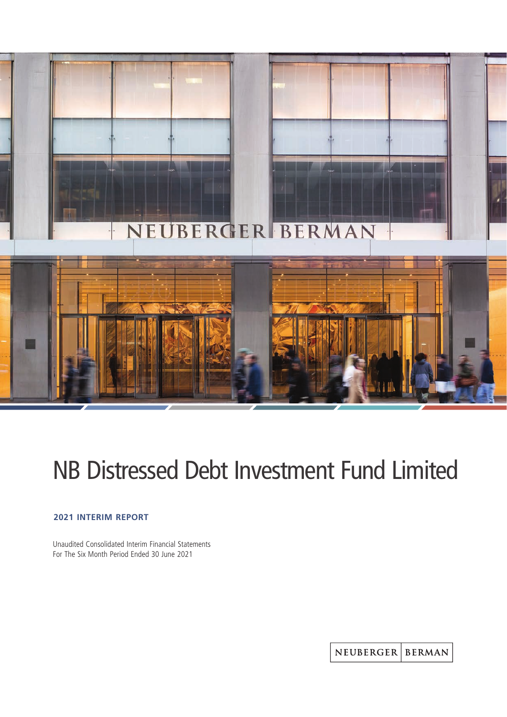

# NB Distressed Debt Investment Fund Limited

### **2021 INTERIM REPORT**

Unaudited Consolidated Interim Financial Statements For The Six Month Period Ended 30 June 2021

> **BERMAN** NEUBERGER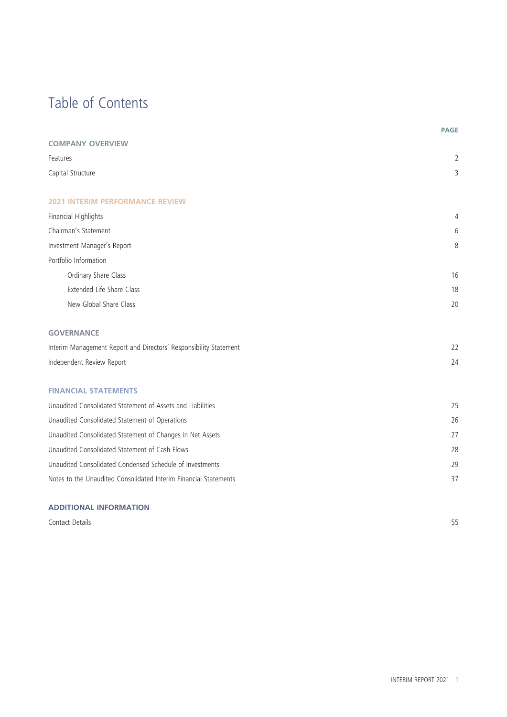# Table of Contents

|                                                                   | <b>PAGE</b> |
|-------------------------------------------------------------------|-------------|
| <b>COMPANY OVERVIEW</b>                                           |             |
| Features                                                          | 2           |
| Capital Structure                                                 | 3           |
| <b>2021 INTERIM PERFORMANCE REVIEW</b>                            |             |
| Financial Highlights                                              | 4           |
| Chairman's Statement                                              | 6           |
| Investment Manager's Report                                       | 8           |
| Portfolio Information                                             |             |
| Ordinary Share Class                                              | 16          |
| Extended Life Share Class                                         | 18          |
| New Global Share Class                                            | 20          |
| <b>GOVERNANCE</b>                                                 |             |
| Interim Management Report and Directors' Responsibility Statement | 22          |
| Independent Review Report                                         | 24          |
| <b>FINANCIAL STATEMENTS</b>                                       |             |
| Unaudited Consolidated Statement of Assets and Liabilities        | 25          |
| Unaudited Consolidated Statement of Operations                    | 26          |
| Unaudited Consolidated Statement of Changes in Net Assets         | 27          |
| Unaudited Consolidated Statement of Cash Flows                    | 28          |
| Unaudited Consolidated Condensed Schedule of Investments          | 29          |
| Notes to the Unaudited Consolidated Interim Financial Statements  | 37          |
| <b>ADDITIONAL INFORMATION</b>                                     |             |

Contact Details 55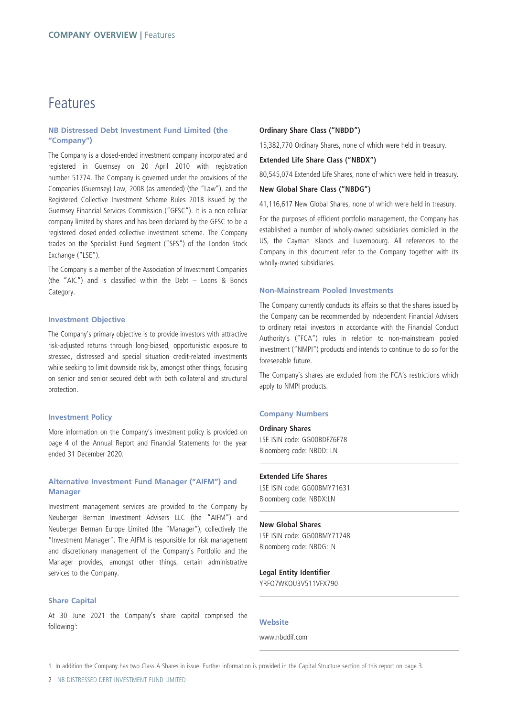### Features

#### **NB Distressed Debt Investment Fund Limited (the "Company")**

The Company is a closed-ended investment company incorporated and registered in Guernsey on 20 April 2010 with registration number 51774. The Company is governed under the provisions of the Companies (Guernsey) Law, 2008 (as amended) (the "Law"), and the Registered Collective Investment Scheme Rules 2018 issued by the Guernsey Financial Services Commission ("GFSC"). It is a non-cellular company limited by shares and has been declared by the GFSC to be a registered closed-ended collective investment scheme. The Company trades on the Specialist Fund Segment ("SFS") of the London Stock Exchange ("LSE").

The Company is a member of the Association of Investment Companies (the "AIC") and is classified within the Debt – Loans & Bonds Category.

#### **Investment Objective**

The Company's primary objective is to provide investors with attractive risk-adjusted returns through long-biased, opportunistic exposure to stressed, distressed and special situation credit-related investments while seeking to limit downside risk by, amongst other things, focusing on senior and senior secured debt with both collateral and structural protection.

#### **Investment Policy**

More information on the Company's investment policy is provided on page 4 of the Annual Report and Financial Statements for the year ended 31 December 2020.

#### **Alternative Investment Fund Manager ("AIFM") and Manager**

Investment management services are provided to the Company by Neuberger Berman Investment Advisers LLC (the "AIFM") and Neuberger Berman Europe Limited (the "Manager"), collectively the "Investment Manager". The AIFM is responsible for risk management and discretionary management of the Company's Portfolio and the Manager provides, amongst other things, certain administrative services to the Company.

#### **Share Capital**

At 30 June 2021 the Company's share capital comprised the following':

#### **Ordinary Share Class ("NBDD")**

15,382,770 Ordinary Shares, none of which were held in treasury.

#### **Extended Life Share Class ("NBDX")**

80,545,074 Extended Life Shares, none of which were held in treasury.

#### **New Global Share Class ("NBDG")**

41,116,617 New Global Shares, none of which were held in treasury.

For the purposes of efficient portfolio management, the Company has established a number of wholly-owned subsidiaries domiciled in the US, the Cayman Islands and Luxembourg. All references to the Company in this document refer to the Company together with its wholly-owned subsidiaries.

#### **Non-Mainstream Pooled Investments**

The Company currently conducts its affairs so that the shares issued by the Company can be recommended by Independent Financial Advisers to ordinary retail investors in accordance with the Financial Conduct Authority's ("FCA") rules in relation to non-mainstream pooled investment ("NMPI") products and intends to continue to do so for the foreseeable future.

The Company's shares are excluded from the FCA's restrictions which apply to NMPI products.

#### **Company Numbers**

#### **Ordinary Shares**

LSE ISIN code: GG00BDFZ6F78 Bloomberg code: NBDD: LN

#### **Extended Life Shares**

LSE ISIN code: GG00BMY71631 Bloomberg code: NBDX:LN

#### **New Global Shares**

LSE ISIN code: GG00BMY71748 Bloomberg code: NBDG:LN

#### **Legal Entity Identifier**

YRFO7WKOU3V511VFX790

#### **Website**

#### www.nbddif.com

1 In addition the Company has two Class A Shares in issue. Further information is provided in the Capital Structure section of this report on page 3.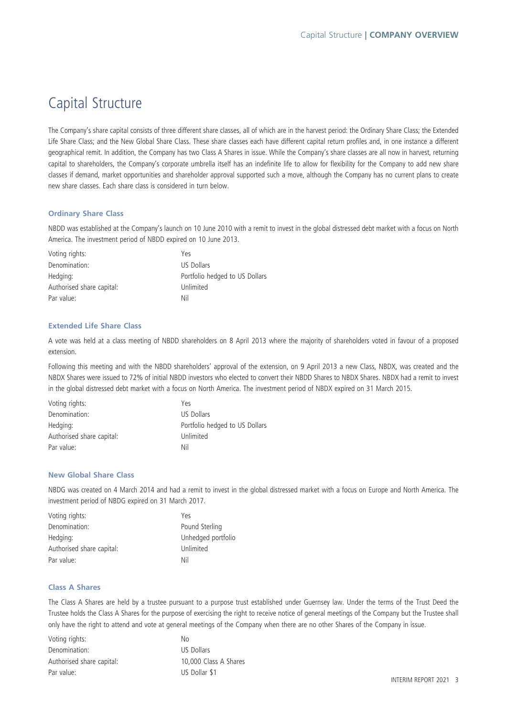### Capital Structure

The Company's share capital consists of three different share classes, all of which are in the harvest period: the Ordinary Share Class; the Extended Life Share Class; and the New Global Share Class. These share classes each have different capital return profiles and, in one instance a different geographical remit. In addition, the Company has two Class A Shares in issue. While the Company's share classes are all now in harvest, returning capital to shareholders, the Company's corporate umbrella itself has an indefinite life to allow for flexibility for the Company to add new share classes if demand, market opportunities and shareholder approval supported such a move, although the Company has no current plans to create new share classes. Each share class is considered in turn below.

#### **Ordinary Share Class**

NBDD was established at the Company's launch on 10 June 2010 with a remit to invest in the global distressed debt market with a focus on North America. The investment period of NBDD expired on 10 June 2013.

| Voting rights:            | Yρς                            |
|---------------------------|--------------------------------|
| Denomination:             | US Dollars                     |
| Hedging:                  | Portfolio hedged to US Dollars |
| Authorised share capital: | Unlimited                      |
| Par value:                | Nil                            |

#### **Extended Life Share Class**

A vote was held at a class meeting of NBDD shareholders on 8 April 2013 where the majority of shareholders voted in favour of a proposed extension.

Following this meeting and with the NBDD shareholders' approval of the extension, on 9 April 2013 a new Class, NBDX, was created and the NBDX Shares were issued to 72% of initial NBDD investors who elected to convert their NBDD Shares to NBDX Shares. NBDX had a remit to invest in the global distressed debt market with a focus on North America. The investment period of NBDX expired on 31 March 2015.

| Voting rights:            | Υρς                            |
|---------------------------|--------------------------------|
| Denomination:             | US Dollars                     |
| Hedging:                  | Portfolio hedged to US Dollars |
| Authorised share capital: | Unlimited                      |
| Par value:                | Nil                            |

#### **New Global Share Class**

NBDG was created on 4 March 2014 and had a remit to invest in the global distressed market with a focus on Europe and North America. The investment period of NBDG expired on 31 March 2017.

| Voting rights:            | Yρς                |
|---------------------------|--------------------|
| Denomination:             | Pound Sterling     |
| Hedging:                  | Unhedged portfolio |
| Authorised share capital: | Unlimited          |
| Par value:                | Nil                |

#### **Class A Shares**

The Class A Shares are held by a trustee pursuant to a purpose trust established under Guernsey law. Under the terms of the Trust Deed the Trustee holds the Class A Shares for the purpose of exercising the right to receive notice of general meetings of the Company but the Trustee shall only have the right to attend and vote at general meetings of the Company when there are no other Shares of the Company in issue.

| Voting rights:            | Nο                    |
|---------------------------|-----------------------|
| Denomination:             | US Dollars            |
| Authorised share capital: | 10,000 Class A Shares |
| Par value:                | US Dollar \$1         |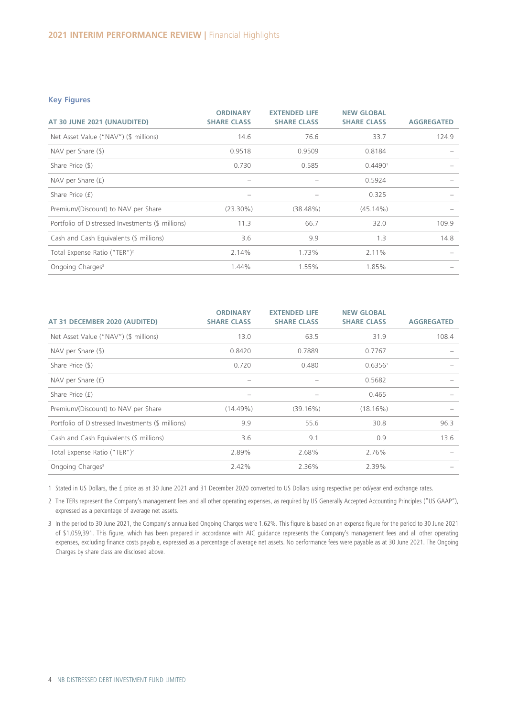#### **Key Figures**

| AT 30 JUNE 2021 (UNAUDITED)                       | <b>ORDINARY</b><br><b>SHARE CLASS</b> | <b>EXTENDED LIFE</b><br><b>SHARE CLASS</b> | <b>NEW GLOBAL</b><br><b>SHARE CLASS</b> | <b>AGGREGATED</b> |
|---------------------------------------------------|---------------------------------------|--------------------------------------------|-----------------------------------------|-------------------|
| Net Asset Value ("NAV") (\$ millions)             | 14.6                                  | 76.6                                       | 33.7                                    | 124.9             |
| NAV per Share $(\$)$                              | 0.9518                                | 0.9509                                     | 0.8184                                  |                   |
| Share Price (\$)                                  | 0.730                                 | 0.585                                      | 0.4490 <sup>1</sup>                     |                   |
| NAV per Share $(f)$                               |                                       |                                            | 0.5924                                  |                   |
| Share Price $(f)$                                 |                                       |                                            | 0.325                                   |                   |
| Premium/(Discount) to NAV per Share               | $(23.30\%)$                           | (38.48%)                                   | $(45.14\%)$                             |                   |
| Portfolio of Distressed Investments (\$ millions) | 11.3                                  | 66.7                                       | 32.0                                    | 109.9             |
| Cash and Cash Equivalents (\$ millions)           | 3.6                                   | 9.9                                        | 1.3                                     | 14.8              |
| Total Expense Ratio ("TER") <sup>2</sup>          | 2.14%                                 | 1.73%                                      | 2.11%                                   |                   |
| Ongoing Charges <sup>3</sup>                      | 1.44%                                 | 1.55%                                      | 1.85%                                   |                   |

| AT 31 DECEMBER 2020 (AUDITED)                     | <b>ORDINARY</b><br><b>SHARE CLASS</b> | <b>EXTENDED LIFE</b><br><b>SHARE CLASS</b> | <b>NEW GLOBAL</b><br><b>SHARE CLASS</b> | <b>AGGREGATED</b> |
|---------------------------------------------------|---------------------------------------|--------------------------------------------|-----------------------------------------|-------------------|
| Net Asset Value ("NAV") (\$ millions)             | 13.0                                  | 63.5                                       | 31.9                                    | 108.4             |
| NAV per Share $(\$)$                              | 0.8420                                | 0.7889                                     | 0.7767                                  |                   |
| Share Price (\$)                                  | 0.720                                 | 0.480                                      | 0.6356 <sup>1</sup>                     |                   |
| NAV per Share $(f)$                               |                                       |                                            | 0.5682                                  |                   |
| Share Price (£)                                   |                                       |                                            | 0.465                                   |                   |
| Premium/(Discount) to NAV per Share               | $(14.49\%)$                           | (39.16%)                                   | $(18.16\%)$                             |                   |
| Portfolio of Distressed Investments (\$ millions) | 9.9                                   | 55.6                                       | 30.8                                    | 96.3              |
| Cash and Cash Equivalents (\$ millions)           | 3.6                                   | 9.1                                        | 0.9                                     | 13.6              |
| Total Expense Ratio ("TER") <sup>2</sup>          | 2.89%                                 | 2.68%                                      | 2.76%                                   |                   |
| Ongoing Charges <sup>3</sup>                      | 2.42%                                 | 2.36%                                      | 2.39%                                   |                   |

1 Stated in US Dollars, the £ price as at 30 June 2021 and 31 December 2020 converted to US Dollars using respective period/year end exchange rates.

2 The TERs represent the Company's management fees and all other operating expenses, as required by US Generally Accepted Accounting Principles ("US GAAP"), expressed as a percentage of average net assets.

3 In the period to 30 June 2021, the Company's annualised Ongoing Charges were 1.62%. This figure is based on an expense figure for the period to 30 June 2021 of \$1,059,391. This figure, which has been prepared in accordance with AIC guidance represents the Company's management fees and all other operating expenses, excluding finance costs payable, expressed as a percentage of average net assets. No performance fees were payable as at 30 June 2021. The Ongoing Charges by share class are disclosed above.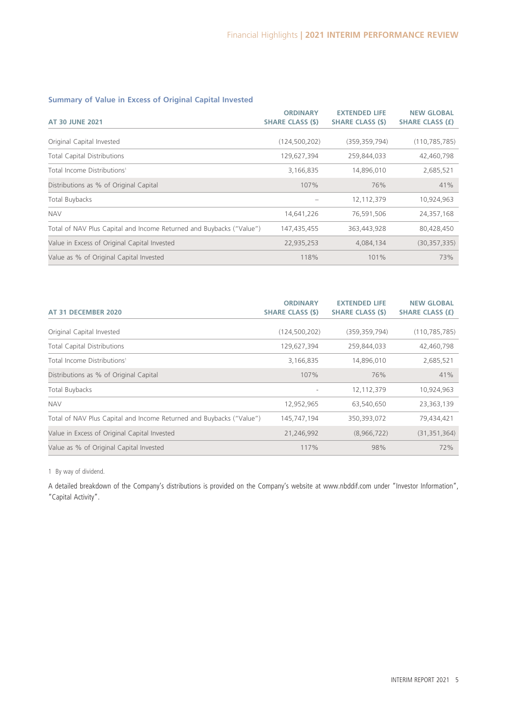### **Summary of Value in Excess of Original Capital Invested**

| <b>AT 30 JUNE 2021</b>                                               | <b>ORDINARY</b><br><b>SHARE CLASS (\$)</b> | <b>EXTENDED LIFE</b><br><b>SHARE CLASS (\$)</b> | <b>NEW GLOBAL</b><br><b>SHARE CLASS (£)</b> |
|----------------------------------------------------------------------|--------------------------------------------|-------------------------------------------------|---------------------------------------------|
| Original Capital Invested                                            | (124, 500, 202)                            | (359, 359, 794)                                 | (110, 785, 785)                             |
| <b>Total Capital Distributions</b>                                   | 129,627,394                                | 259,844,033                                     | 42,460,798                                  |
| Total Income Distributions <sup>1</sup>                              | 3,166,835                                  | 14,896,010                                      | 2,685,521                                   |
| Distributions as % of Original Capital                               | 107%                                       | 76%                                             | 41%                                         |
| Total Buybacks                                                       |                                            | 12,112,379                                      | 10,924,963                                  |
| <b>NAV</b>                                                           | 14,641,226                                 | 76,591,506                                      | 24,357,168                                  |
| Total of NAV Plus Capital and Income Returned and Buybacks ("Value") | 147,435,455                                | 363,443,928                                     | 80,428,450                                  |
| Value in Excess of Original Capital Invested                         | 22,935,253                                 | 4,084,134                                       | (30, 357, 335)                              |
| Value as % of Original Capital Invested                              | 118%                                       | 101%                                            | 73%                                         |

| AT 31 DECEMBER 2020                                                  | <b>ORDINARY</b><br><b>SHARE CLASS (\$)</b> | <b>EXTENDED LIFE</b><br><b>SHARE CLASS (\$)</b> | <b>NEW GLOBAL</b><br><b>SHARE CLASS (£)</b> |
|----------------------------------------------------------------------|--------------------------------------------|-------------------------------------------------|---------------------------------------------|
| Original Capital Invested                                            | (124, 500, 202)                            | (359, 359, 794)                                 | (110, 785, 785)                             |
| <b>Total Capital Distributions</b>                                   | 129,627,394                                | 259,844,033                                     | 42,460,798                                  |
| Total Income Distributions <sup>1</sup>                              | 3,166,835                                  | 14,896,010                                      | 2,685,521                                   |
| Distributions as % of Original Capital                               | 107%                                       | 76%                                             | 41%                                         |
| Total Buybacks                                                       |                                            | 12,112,379                                      | 10,924,963                                  |
| <b>NAV</b>                                                           | 12,952,965                                 | 63,540,650                                      | 23,363,139                                  |
| Total of NAV Plus Capital and Income Returned and Buybacks ("Value") | 145,747,194                                | 350,393,072                                     | 79,434,421                                  |
| Value in Excess of Original Capital Invested                         | 21,246,992                                 | (8,966,722)                                     | (31, 351, 364)                              |
| Value as % of Original Capital Invested                              | 117%                                       | 98%                                             | 72%                                         |

1 By way of dividend.

A detailed breakdown of the Company's distributions is provided on the Company's website at www.nbddif.com under "Investor Information", "Capital Activity".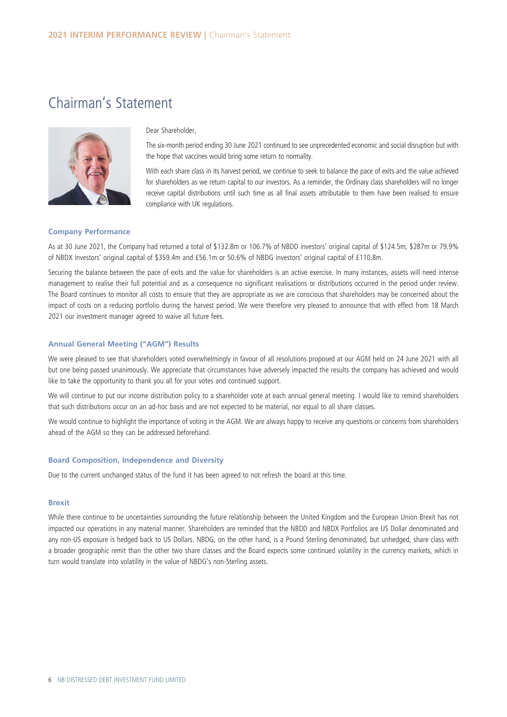### Chairman's Statement



#### Dear Shareholder,

The six-month period ending 30 June 2021 continued to see unprecedented economic and social disruption but with the hope that vaccines would bring some return to normality.

With each share class in its harvest period, we continue to seek to balance the pace of exits and the value achieved for shareholders as we return capital to our investors. As a reminder, the Ordinary class shareholders will no longer receive capital distributions until such time as all final assets attributable to them have been realised to ensure compliance with UK regulations.

#### **Company Performance**

As at 30 June 2021, the Company had returned a total of \$132.8m or 106.7% of NBDD investors' original capital of \$124.5m, \$287m or 79.9% of NBDX investors' original capital of \$359.4m and £56.1m or 50.6% of NBDG investors' original capital of £110.8m.

Securing the balance between the pace of exits and the value for shareholders is an active exercise. In many instances, assets will need intense management to realise their full potential and as a consequence no significant realisations or distributions occurred in the period under review. The Board continues to monitor all costs to ensure that they are appropriate as we are conscious that shareholders may be concerned about the impact of costs on a reducing portfolio during the harvest period. We were therefore very pleased to announce that with effect from 18 March 2021 our investment manager agreed to waive all future fees.

#### **Annual General Meeting ("AGM") Results**

We were pleased to see that shareholders voted overwhelmingly in favour of all resolutions proposed at our AGM held on 24 June 2021 with all but one being passed unanimously. We appreciate that circumstances have adversely impacted the results the company has achieved and would like to take the opportunity to thank you all for your votes and continued support.

We will continue to put our income distribution policy to a shareholder vote at each annual general meeting. I would like to remind shareholders that such distributions occur on an ad-hoc basis and are not expected to be material, nor equal to all share classes.

We would continue to highlight the importance of voting in the AGM. We are always happy to receive any questions or concerns from shareholders ahead of the AGM so they can be addressed beforehand.

#### **Board Composition, Independence and Diversity**

Due to the current unchanged status of the fund it has been agreed to not refresh the board at this time.

#### **Brexit**

While there continue to be uncertainties surrounding the future relationship between the United Kingdom and the European Union Brexit has not impacted our operations in any material manner. Shareholders are reminded that the NBDD and NBDX Portfolios are US Dollar denominated and any non-US exposure is hedged back to US Dollars. NBDG, on the other hand, is a Pound Sterling denominated, but unhedged, share class with a broader geographic remit than the other two share classes and the Board expects some continued volatility in the currency markets, which in turn would translate into volatility in the value of NBDG's non-Sterling assets.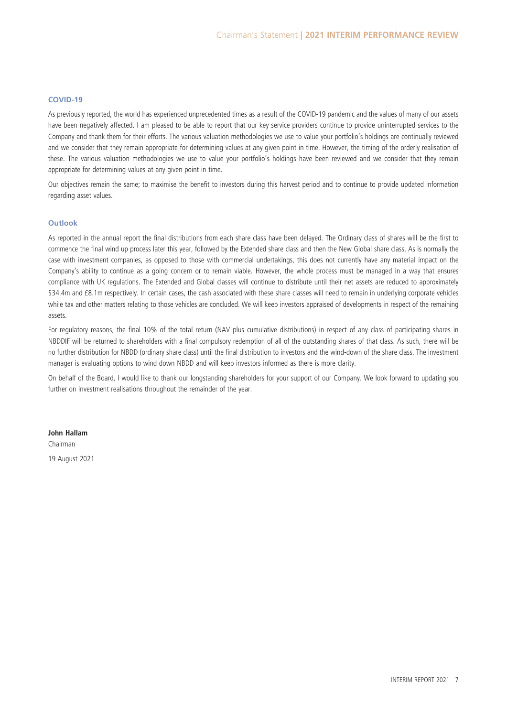#### **COVID-19**

As previously reported, the world has experienced unprecedented times as a result of the COVID-19 pandemic and the values of many of our assets have been negatively affected. I am pleased to be able to report that our key service providers continue to provide uninterrupted services to the Company and thank them for their efforts. The various valuation methodologies we use to value your portfolio's holdings are continually reviewed and we consider that they remain appropriate for determining values at any given point in time. However, the timing of the orderly realisation of these. The various valuation methodologies we use to value your portfolio's holdings have been reviewed and we consider that they remain appropriate for determining values at any given point in time.

Our objectives remain the same; to maximise the benefit to investors during this harvest period and to continue to provide updated information regarding asset values.

#### **Outlook**

As reported in the annual report the final distributions from each share class have been delayed. The Ordinary class of shares will be the first to commence the final wind up process later this year, followed by the Extended share class and then the New Global share class. As is normally the case with investment companies, as opposed to those with commercial undertakings, this does not currently have any material impact on the Company's ability to continue as a going concern or to remain viable. However, the whole process must be managed in a way that ensures compliance with UK regulations. The Extended and Global classes will continue to distribute until their net assets are reduced to approximately \$34.4m and £8.1m respectively. In certain cases, the cash associated with these share classes will need to remain in underlying corporate vehicles while tax and other matters relating to those vehicles are concluded. We will keep investors appraised of developments in respect of the remaining assets.

For regulatory reasons, the final 10% of the total return (NAV plus cumulative distributions) in respect of any class of participating shares in NBDDIF will be returned to shareholders with a final compulsory redemption of all of the outstanding shares of that class. As such, there will be no further distribution for NBDD (ordinary share class) until the final distribution to investors and the wind-down of the share class. The investment manager is evaluating options to wind down NBDD and will keep investors informed as there is more clarity.

On behalf of the Board, I would like to thank our longstanding shareholders for your support of our Company. We look forward to updating you further on investment realisations throughout the remainder of the year.

**John Hallam** 

Chairman 19 August 2021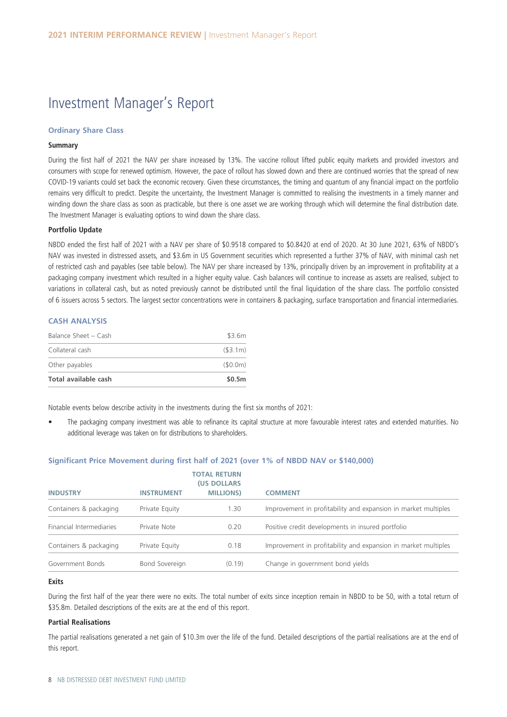### Investment Manager's Report

#### **Ordinary Share Class**

#### **Summary**

During the first half of 2021 the NAV per share increased by 13%. The vaccine rollout lifted public equity markets and provided investors and consumers with scope for renewed optimism. However, the pace of rollout has slowed down and there are continued worries that the spread of new COVID-19 variants could set back the economic recovery. Given these circumstances, the timing and quantum of any financial impact on the portfolio remains very difficult to predict. Despite the uncertainty, the Investment Manager is committed to realising the investments in a timely manner and winding down the share class as soon as practicable, but there is one asset we are working through which will determine the final distribution date. The Investment Manager is evaluating options to wind down the share class.

#### **Portfolio Update**

NBDD ended the first half of 2021 with a NAV per share of \$0.9518 compared to \$0.8420 at end of 2020. At 30 June 2021, 63% of NBDD's NAV was invested in distressed assets, and \$3.6m in US Government securities which represented a further 37% of NAV, with minimal cash net of restricted cash and payables (see table below). The NAV per share increased by 13%, principally driven by an improvement in profitability at a packaging company investment which resulted in a higher equity value. Cash balances will continue to increase as assets are realised, subject to variations in collateral cash, but as noted previously cannot be distributed until the final liquidation of the share class. The portfolio consisted of 6 issuers across 5 sectors. The largest sector concentrations were in containers & packaging, surface transportation and financial intermediaries.

#### **CASH ANALYSIS**

| Total available cash | \$0.5m         |
|----------------------|----------------|
| Other payables       | (50.0m)        |
| Collateral cash      | $($ \$3.1m $)$ |
| Balance Sheet - Cash | \$3.6m         |

Notable events below describe activity in the investments during the first six months of 2021:

• The packaging company investment was able to refinance its capital structure at more favourable interest rates and extended maturities. No additional leverage was taken on for distributions to shareholders.

| <b>INDUSTRY</b>          | <b>INSTRUMENT</b> | <b>TOTAL RETURN</b><br><b>(US DOLLARS</b><br><b>MILLIONS</b> | <b>COMMENT</b>                                                 |
|--------------------------|-------------------|--------------------------------------------------------------|----------------------------------------------------------------|
| Containers & packaging   | Private Equity    | 1.30                                                         | Improvement in profitability and expansion in market multiples |
| Financial Intermediaries | Private Note      | 0.20                                                         | Positive credit developments in insured portfolio              |
| Containers & packaging   | Private Equity    | 0.18                                                         | Improvement in profitability and expansion in market multiples |
| Government Bonds         | Bond Sovereign    | (0.19)                                                       | Change in government bond yields                               |

#### **Significant Price Movement during first half of 2021 (over 1% of NBDD NAV or \$140,000)**

#### **Exits**

During the first half of the year there were no exits. The total number of exits since inception remain in NBDD to be 50, with a total return of \$35.8m. Detailed descriptions of the exits are at the end of this report.

#### **Partial Realisations**

The partial realisations generated a net gain of \$10.3m over the life of the fund. Detailed descriptions of the partial realisations are at the end of this report.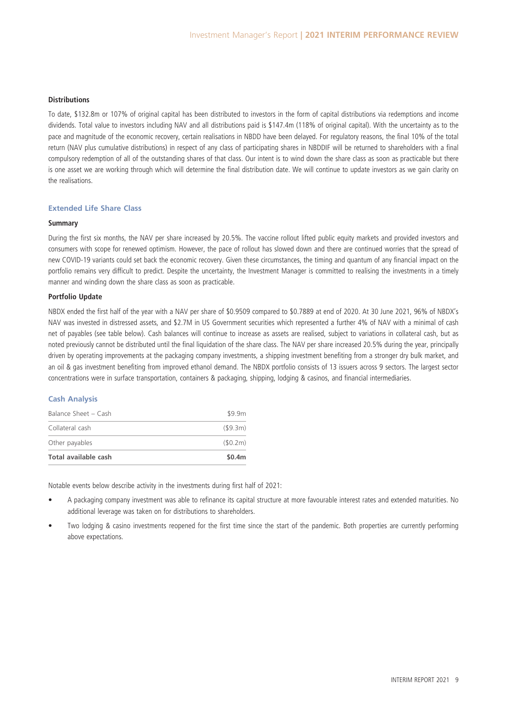#### **Distributions**

To date, \$132.8m or 107% of original capital has been distributed to investors in the form of capital distributions via redemptions and income dividends. Total value to investors including NAV and all distributions paid is \$147.4m (118% of original capital). With the uncertainty as to the pace and magnitude of the economic recovery, certain realisations in NBDD have been delayed. For regulatory reasons, the final 10% of the total return (NAV plus cumulative distributions) in respect of any class of participating shares in NBDDIF will be returned to shareholders with a final compulsory redemption of all of the outstanding shares of that class. Our intent is to wind down the share class as soon as practicable but there is one asset we are working through which will determine the final distribution date. We will continue to update investors as we gain clarity on the realisations.

#### **Extended Life Share Class**

#### **Summary**

During the first six months, the NAV per share increased by 20.5%. The vaccine rollout lifted public equity markets and provided investors and consumers with scope for renewed optimism. However, the pace of rollout has slowed down and there are continued worries that the spread of new COVID-19 variants could set back the economic recovery. Given these circumstances, the timing and quantum of any financial impact on the portfolio remains very difficult to predict. Despite the uncertainty, the Investment Manager is committed to realising the investments in a timely manner and winding down the share class as soon as practicable.

#### **Portfolio Update**

NBDX ended the first half of the year with a NAV per share of \$0.9509 compared to \$0.7889 at end of 2020. At 30 June 2021, 96% of NBDX's NAV was invested in distressed assets, and \$2.7M in US Government securities which represented a further 4% of NAV with a minimal of cash net of payables (see table below). Cash balances will continue to increase as assets are realised, subject to variations in collateral cash, but as noted previously cannot be distributed until the final liquidation of the share class. The NAV per share increased 20.5% during the year, principally driven by operating improvements at the packaging company investments, a shipping investment benefiting from a stronger dry bulk market, and an oil & gas investment benefiting from improved ethanol demand. The NBDX portfolio consists of 13 issuers across 9 sectors. The largest sector concentrations were in surface transportation, containers & packaging, shipping, lodging & casinos, and financial intermediaries.

#### **Cash Analysis**

| Total available cash | \$0.4m  |
|----------------------|---------|
| Other payables       | (50.2m) |
| Collateral cash      | (59.3m) |
| Balance Sheet - Cash | \$9.9m  |

Notable events below describe activity in the investments during first half of 2021:

- A packaging company investment was able to refinance its capital structure at more favourable interest rates and extended maturities. No additional leverage was taken on for distributions to shareholders.
- Two lodging & casino investments reopened for the first time since the start of the pandemic. Both properties are currently performing above expectations.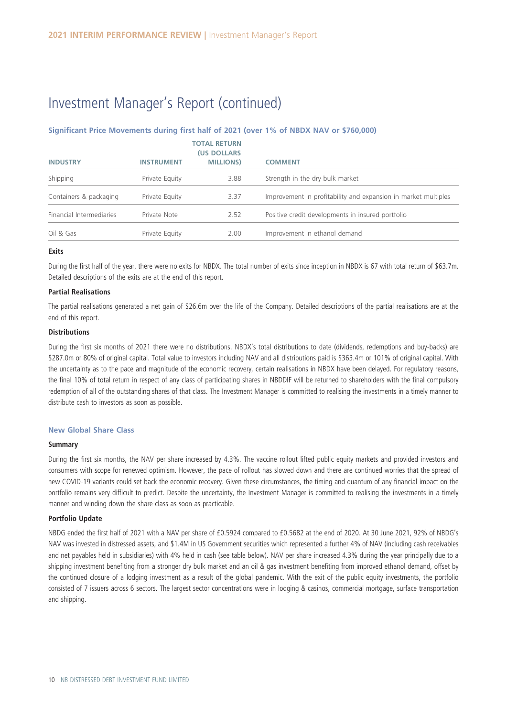### Investment Manager's Report (continued)

#### **Significant Price Movements during first half of 2021 (over 1% of NBDX NAV or \$760,000)**

|                          |                   | <b>TOTAL RETURN</b><br><b>(US DOLLARS)</b> |                                                                |
|--------------------------|-------------------|--------------------------------------------|----------------------------------------------------------------|
| <b>INDUSTRY</b>          | <b>INSTRUMENT</b> | <b>MILLIONS</b>                            | <b>COMMENT</b>                                                 |
| Shipping                 | Private Equity    | 3.88                                       | Strength in the dry bulk market                                |
| Containers & packaging   | Private Equity    | 3.37                                       | Improvement in profitability and expansion in market multiples |
| Financial Intermediaries | Private Note      | 2.52                                       | Positive credit developments in insured portfolio              |
| Oil & Gas                | Private Equity    | 2.00                                       | Improvement in ethanol demand                                  |

#### **Exits**

During the first half of the year, there were no exits for NBDX. The total number of exits since inception in NBDX is 67 with total return of \$63.7m. Detailed descriptions of the exits are at the end of this report.

#### **Partial Realisations**

The partial realisations generated a net gain of \$26.6m over the life of the Company. Detailed descriptions of the partial realisations are at the end of this report.

#### **Distributions**

During the first six months of 2021 there were no distributions. NBDX's total distributions to date (dividends, redemptions and buy-backs) are \$287.0m or 80% of original capital. Total value to investors including NAV and all distributions paid is \$363.4m or 101% of original capital. With the uncertainty as to the pace and magnitude of the economic recovery, certain realisations in NBDX have been delayed. For regulatory reasons, the final 10% of total return in respect of any class of participating shares in NBDDIF will be returned to shareholders with the final compulsory redemption of all of the outstanding shares of that class. The Investment Manager is committed to realising the investments in a timely manner to distribute cash to investors as soon as possible.

#### **New Global Share Class**

#### **Summary**

During the first six months, the NAV per share increased by 4.3%. The vaccine rollout lifted public equity markets and provided investors and consumers with scope for renewed optimism. However, the pace of rollout has slowed down and there are continued worries that the spread of new COVID-19 variants could set back the economic recovery. Given these circumstances, the timing and quantum of any financial impact on the portfolio remains very difficult to predict. Despite the uncertainty, the Investment Manager is committed to realising the investments in a timely manner and winding down the share class as soon as practicable.

#### **Portfolio Update**

NBDG ended the first half of 2021 with a NAV per share of £0.5924 compared to £0.5682 at the end of 2020. At 30 June 2021, 92% of NBDG's NAV was invested in distressed assets, and \$1.4M in US Government securities which represented a further 4% of NAV (including cash receivables and net payables held in subsidiaries) with 4% held in cash (see table below). NAV per share increased 4.3% during the year principally due to a shipping investment benefiting from a stronger dry bulk market and an oil & gas investment benefiting from improved ethanol demand, offset by the continued closure of a lodging investment as a result of the global pandemic. With the exit of the public equity investments, the portfolio consisted of 7 issuers across 6 sectors. The largest sector concentrations were in lodging & casinos, commercial mortgage, surface transportation and shipping.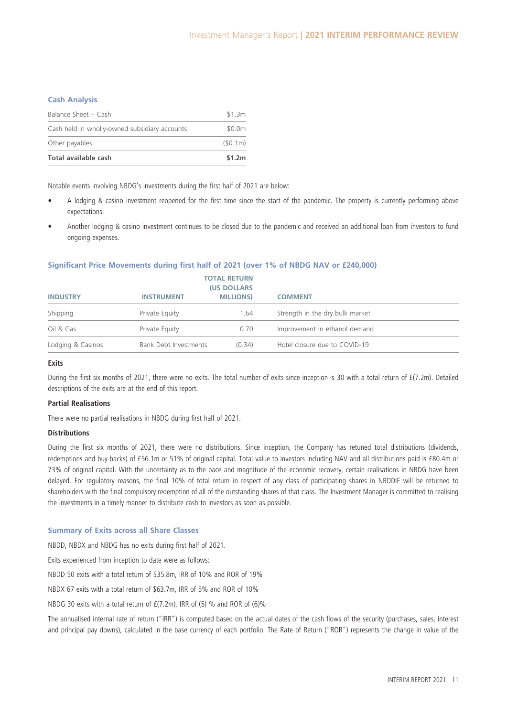#### **Cash Analysis**

| Total available cash                          | \$1.2m  |
|-----------------------------------------------|---------|
| Other payables                                | (50.1m) |
| Cash held in wholly-owned subsidiary accounts | \$0.0m  |
| Balance Sheet - Cash                          | \$1.3m  |

Notable events involving NBDG's investments during the first half of 2021 are below:

- A lodging & casino investment reopened for the first time since the start of the pandemic. The property is currently performing above expectations.
- Another lodging & casino investment continues to be closed due to the pandemic and received an additional loan from investors to fund ongoing expenses.

#### **Significant Price Movements during first half of 2021 (over 1% of NBDG NAV or £240,000)**

|                   |                       | <b>TOTAL RETURN</b><br><b>(US DOLLARS</b> |                                 |  |  |
|-------------------|-----------------------|-------------------------------------------|---------------------------------|--|--|
| <b>INDUSTRY</b>   | <b>INSTRUMENT</b>     | <b>MILLIONS</b>                           | <b>COMMENT</b>                  |  |  |
| Shipping          | Private Equity        | 1.64                                      | Strength in the dry bulk market |  |  |
| Oil & Gas         | Private Equity        | 0.70                                      | Improvement in ethanol demand   |  |  |
| Lodging & Casinos | Bank Debt Investments | (0.34)                                    | Hotel closure due to COVID-19   |  |  |

#### **Exits**

During the first six months of 2021, there were no exits. The total number of exits since inception is 30 with a total return of  $E(7.2m)$ . Detailed descriptions of the exits are at the end of this report.

#### **Partial Realisations**

There were no partial realisations in NBDG during first half of 2021.

#### **Distributions**

During the first six months of 2021, there were no distributions. Since inception, the Company has retuned total distributions (dividends, redemptions and buy-backs) of £56.1m or 51% of original capital. Total value to investors including NAV and all distributions paid is £80.4m or 73% of original capital. With the uncertainty as to the pace and magnitude of the economic recovery, certain realisations in NBDG have been delayed. For regulatory reasons, the final 10% of total return in respect of any class of participating shares in NBDDIF will be returned to shareholders with the final compulsory redemption of all of the outstanding shares of that class. The Investment Manager is committed to realising the investments in a timely manner to distribute cash to investors as soon as possible.

#### **Summary of Exits across all Share Classes**

NBDD, NBDX and NBDG has no exits during first half of 2021.

Exits experienced from inception to date were as follows:

NBDD 50 exits with a total return of \$35.8m, IRR of 10% and ROR of 19%

NBDX 67 exits with a total return of \$63.7m, IRR of 5% and ROR of 10%

NBDG 30 exits with a total return of £(7.2m), IRR of (5) % and ROR of (6)%

The annualised internal rate of return ("IRR") is computed based on the actual dates of the cash flows of the security (purchases, sales, interest and principal pay downs), calculated in the base currency of each portfolio. The Rate of Return ("ROR") represents the change in value of the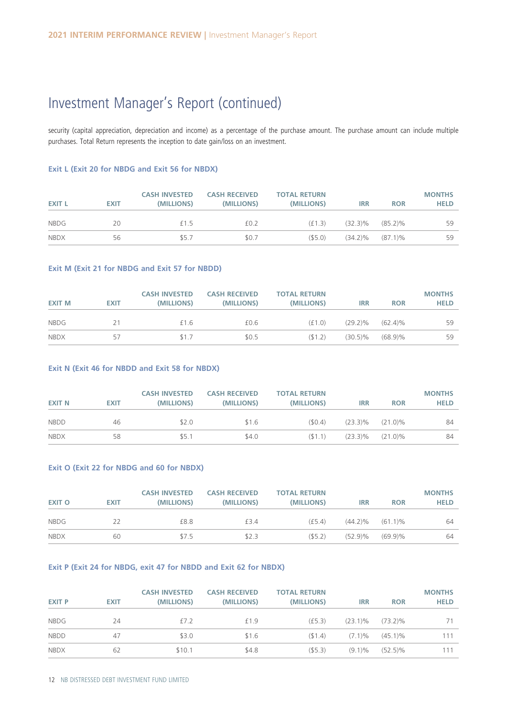### Investment Manager's Report (continued)

security (capital appreciation, depreciation and income) as a percentage of the purchase amount. The purchase amount can include multiple purchases. Total Return represents the inception to date gain/loss on an investment.

#### **Exit L (Exit 20 for NBDG and Exit 56 for NBDX)**

| <b>EXIT L</b> | <b>EXIT</b> | <b>CASH INVESTED</b><br>(MILLIONS) | <b>CASH RECEIVED</b><br>(MILLIONS) | <b>TOTAL RETURN</b><br>(MILLIONS) | <b>IRR</b> | <b>ROR</b>            | <b>MONTHS</b><br><b>HELD</b> |
|---------------|-------------|------------------------------------|------------------------------------|-----------------------------------|------------|-----------------------|------------------------------|
| <b>NBDG</b>   | 20          | £1.5                               | £0.2                               | (f1.3)                            | $(32.3)\%$ | $(85.2)\%$            | 59                           |
| <b>NBDX</b>   | 56          | \$5.7                              | \$0.7                              | (55.0)                            |            | $(34.2)\%$ $(87.1)\%$ | 59                           |

#### **Exit M (Exit 21 for NBDG and Exit 57 for NBDD)**

| <b>EXIT M</b> | <b>EXIT</b> | <b>CASH INVESTED</b><br>(MILLIONS) | <b>CASH RECEIVED</b><br>(MILLIONS) | <b>TOTAL RETURN</b><br>(MILLIONS) | <b>IRR</b> | <b>ROR</b> | <b>MONTHS</b><br><b>HELD</b> |
|---------------|-------------|------------------------------------|------------------------------------|-----------------------------------|------------|------------|------------------------------|
| <b>NBDG</b>   | 21          | £1.6                               | £0.6                               | (f1.0)                            | $(29.2)\%$ | $(62.4)\%$ | 59                           |
| <b>NBDX</b>   | 57          | \$17                               | \$0.5                              | (51.2)                            | $(30.5)\%$ | $(68.9)\%$ | 59                           |

#### **Exit N (Exit 46 for NBDD and Exit 58 for NBDX)**

| <b>EXIT N</b> | <b>EXIT</b> | <b>CASH INVESTED</b><br>(MILLIONS) | <b>CASH RECEIVED</b><br>(MILLIONS) | <b>TOTAL RETURN</b><br>(MILLIONS) | <b>IRR</b> | <b>ROR</b>            | <b>MONTHS</b><br><b>HELD</b> |
|---------------|-------------|------------------------------------|------------------------------------|-----------------------------------|------------|-----------------------|------------------------------|
| <b>NBDD</b>   | 46          | \$2.0                              | \$1.6                              | (50.4)                            | $(23.3)\%$ | $(21.0)\%$            | -84                          |
| <b>NBDX</b>   | 58          | \$5.1                              | \$4.0                              | (51.1)                            |            | $(23.3)\%$ $(21.0)\%$ | 84                           |

#### **Exit O (Exit 22 for NBDG and 60 for NBDX)**

| <b>EXIT O</b> | <b>EXIT</b> | <b>CASH INVESTED</b><br>(MILLIONS) | <b>CASH RECEIVED</b><br>(MILLIONS) | <b>TOTAL RETURN</b><br>(MILLIONS) | <b>IRR</b> | <b>ROR</b> | <b>MONTHS</b><br><b>HELD</b> |
|---------------|-------------|------------------------------------|------------------------------------|-----------------------------------|------------|------------|------------------------------|
| <b>NBDG</b>   | 22          | £8.8                               | £3.4                               | (f5.4)                            | $(44.2)\%$ | $(61.1)\%$ | 64                           |
| <b>NBDX</b>   | 60          | \$7.5                              | \$2.3                              | (55.2)                            | (52.9)%    | $(69.9)\%$ | 64                           |

### **Exit P (Exit 24 for NBDG, exit 47 for NBDD and Exit 62 for NBDX)**

| <b>EXIT P</b> | <b>EXIT</b> | <b>CASH INVESTED</b><br>(MILLIONS) | <b>CASH RECEIVED</b><br>(MILLIONS) | <b>TOTAL RETURN</b><br>(MILLIONS) | <b>IRR</b> | <b>ROR</b> | <b>MONTHS</b><br><b>HELD</b> |
|---------------|-------------|------------------------------------|------------------------------------|-----------------------------------|------------|------------|------------------------------|
| <b>NBDG</b>   | 24          | £7.2                               | £1.9                               | (f5.3)                            | $(23.1)\%$ | $(73.2)\%$ | 71                           |
| <b>NBDD</b>   | 47          | \$3.0                              | \$1.6                              | (51.4)                            | $(7.1)$ %  | $(45.1)\%$ |                              |
| <b>NBDX</b>   | 62          | \$10.1                             | \$4.8                              | (55.3)                            | $(9.1)\%$  | $(52.5)\%$ |                              |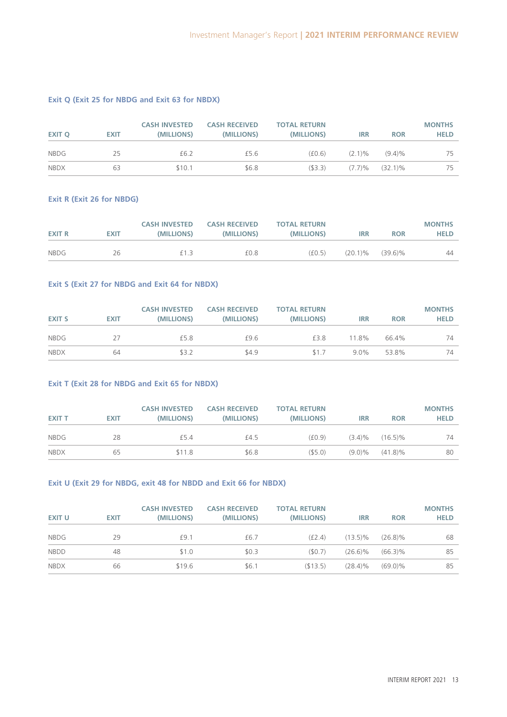### **Exit Q (Exit 25 for NBDG and Exit 63 for NBDX)**

| <b>EXIT Q</b> | <b>EXIT</b> | <b>CASH INVESTED</b><br>(MILLIONS) | <b>CASH RECEIVED</b><br>(MILLIONS) | <b>TOTAL RETURN</b><br>(MILLIONS) | <b>IRR</b> | <b>ROR</b> | <b>MONTHS</b><br><b>HELD</b> |
|---------------|-------------|------------------------------------|------------------------------------|-----------------------------------|------------|------------|------------------------------|
| <b>NBDG</b>   | 25          | £6.2                               | £5.6                               | (f0.6)                            | $(2.1)\%$  | (9.4)%     |                              |
| <b>NBDX</b>   | 63          | \$10.1                             | \$6.8                              | (53.3)                            | (7.7)%     | $(32.1)\%$ | フロ                           |

#### **Exit R (Exit 26 for NBDG)**

| <b>EXIT R</b> | <b>EXIT</b> | <b>CASH INVESTED</b><br>(MILLIONS) | <b>CASH RECEIVED</b><br>(MILLIONS) | <b>TOTAL RETURN</b><br>(MILLIONS) | <b>IRR</b> | <b>ROR</b>            | <b>MONTHS</b><br><b>HELD</b> |
|---------------|-------------|------------------------------------|------------------------------------|-----------------------------------|------------|-----------------------|------------------------------|
| <b>NBDG</b>   | 26          | £1.3                               | £0.8                               | (6.5)                             |            | $(20.1)\%$ $(39.6)\%$ | 44                           |

#### **Exit S (Exit 27 for NBDG and Exit 64 for NBDX)**

| <b>EXIT S</b> | <b>EXIT</b> | <b>CASH INVESTED</b><br>(MILLIONS) | <b>CASH RECEIVED</b><br>(MILLIONS) | <b>TOTAL RETURN</b><br>(MILLIONS) | <b>IRR</b> | <b>ROR</b> | <b>MONTHS</b><br><b>HELD</b> |
|---------------|-------------|------------------------------------|------------------------------------|-----------------------------------|------------|------------|------------------------------|
| <b>NBDG</b>   | 27          | £5.8                               | £9.6                               | £3.8                              | 11.8%      | 66.4%      | 74                           |
| <b>NBDX</b>   | 64          | \$3.2                              | \$4.9                              | \$17                              | $9.0\%$    | 53.8%      | 74                           |

#### **Exit T (Exit 28 for NBDG and Exit 65 for NBDX)**

| <b>EXIT T</b> | <b>EXIT</b> | <b>CASH INVESTED</b><br>(MILLIONS) | <b>CASH RECEIVED</b><br>(MILLIONS) | <b>TOTAL RETURN</b><br>(MILLIONS) | <b>IRR</b> | <b>ROR</b>           | <b>MONTHS</b><br><b>HELD</b> |
|---------------|-------------|------------------------------------|------------------------------------|-----------------------------------|------------|----------------------|------------------------------|
| <b>NBDG</b>   | 28          | £5.4                               | £4.5                               | (f(0.9))                          |            | $(3.4)\%$ $(16.5)\%$ | 74                           |
| <b>NBDX</b>   | 65          | \$11.8                             | \$6.8                              | $($ \$5.0)                        | $(9.0)\%$  | $(41.8)\%$           | 80                           |

#### **Exit U (Exit 29 for NBDG, exit 48 for NBDD and Exit 66 for NBDX)**

| <b>EXIT U</b> | <b>EXIT</b> | <b>CASH INVESTED</b><br>(MILLIONS) | <b>CASH RECEIVED</b><br>(MILLIONS) | <b>TOTAL RETURN</b><br>(MILLIONS) | <b>IRR</b> | <b>ROR</b> | <b>MONTHS</b><br><b>HELD</b> |
|---------------|-------------|------------------------------------|------------------------------------|-----------------------------------|------------|------------|------------------------------|
| <b>NBDG</b>   | 29          | £9.1                               | £6.7                               | (f2.4)                            | $(13.5)\%$ | $(26.8)\%$ | 68                           |
| <b>NBDD</b>   | 48          | \$1.0                              | \$0.3                              | (50.7)                            | $(26.6)\%$ | $(66.3)\%$ | 85                           |
| <b>NBDX</b>   | 66          | \$19.6                             | \$6.1                              | (\$13.5)                          | $(28.4)\%$ | $(69.0)\%$ | 85                           |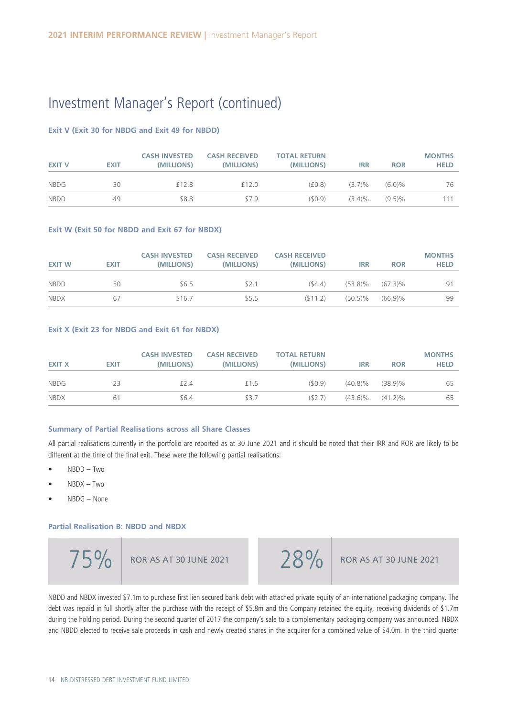### Investment Manager's Report (continued)

#### **Exit V (Exit 30 for NBDG and Exit 49 for NBDD)**

| <b>EXIT V</b> | <b>EXIT</b> | <b>CASH INVESTED</b><br>(MILLIONS) | <b>CASH RECEIVED</b><br>(MILLIONS) | <b>TOTAL RETURN</b><br>(MILLIONS) | <b>IRR</b> | <b>ROR</b> | <b>MONTHS</b><br><b>HELD</b> |
|---------------|-------------|------------------------------------|------------------------------------|-----------------------------------|------------|------------|------------------------------|
| <b>NBDG</b>   | 30          | £12.8                              | £12.0                              | (f0.8)                            | (3.7)%     | $(6.0)\%$  | 76                           |
| <b>NBDD</b>   | 49          | \$8.8                              | \$7.9                              | (50.9)                            | $(3.4)\%$  | (9.5)%     | 111                          |

#### **Exit W (Exit 50 for NBDD and Exit 67 for NBDX)**

| <b>EXIT W</b> | <b>EXIT</b> | <b>CASH INVESTED</b><br>(MILLIONS) | <b>CASH RECEIVED</b><br>(MILLIONS) | <b>CASH RECEIVED</b><br>(MILLIONS) | <b>IRR</b> | <b>ROR</b> | <b>MONTHS</b><br><b>HELD</b> |
|---------------|-------------|------------------------------------|------------------------------------|------------------------------------|------------|------------|------------------------------|
| <b>NBDD</b>   | 50          | \$6.5                              | \$2.1                              | (54.4)                             | $(53.8)\%$ | $(67.3)\%$ | 91                           |
| <b>NBDX</b>   | 67          | \$16.7                             | \$5.5                              | (511.2)                            | $(50.5)\%$ | $(66.9)$ % | 99                           |

#### **Exit X (Exit 23 for NBDG and Exit 61 for NBDX)**

| <b>EXIT X</b> | <b>EXIT</b> | <b>CASH INVESTED</b><br>(MILLIONS) | <b>CASH RECEIVED</b><br>(MILLIONS) | <b>TOTAL RETURN</b><br>(MILLIONS) | <b>IRR</b> | <b>ROR</b>            | <b>MONTHS</b><br><b>HELD</b> |
|---------------|-------------|------------------------------------|------------------------------------|-----------------------------------|------------|-----------------------|------------------------------|
| <b>NBDG</b>   | 23          | £2.4                               | £1.5                               | (50.9)                            | $(40.8)\%$ | $(38.9)\%$            | 65                           |
| <b>NBDX</b>   | 61          | \$6.4                              | \$3.7                              | (52.7)                            |            | $(43.6)\%$ $(41.2)\%$ | 65                           |

#### **Summary of Partial Realisations across all Share Classes**

All partial realisations currently in the portfolio are reported as at 30 June 2021 and it should be noted that their IRR and ROR are likely to be different at the time of the final exit. These were the following partial realisations:

- NBDD Two
- NBDX Two
- NBDG None

#### **Partial Realisation B: NBDD and NBDX**

| 75% | ROR AS AT 30 JUNE 2021 | 28% | ROR AS AT 30 JUNE 2021 |
|-----|------------------------|-----|------------------------|
|-----|------------------------|-----|------------------------|

NBDD and NBDX invested \$7.1m to purchase first lien secured bank debt with attached private equity of an international packaging company. The debt was repaid in full shortly after the purchase with the receipt of \$5.8m and the Company retained the equity, receiving dividends of \$1.7m during the holding period. During the second quarter of 2017 the company's sale to a complementary packaging company was announced. NBDX and NBDD elected to receive sale proceeds in cash and newly created shares in the acquirer for a combined value of \$4.0m. In the third quarter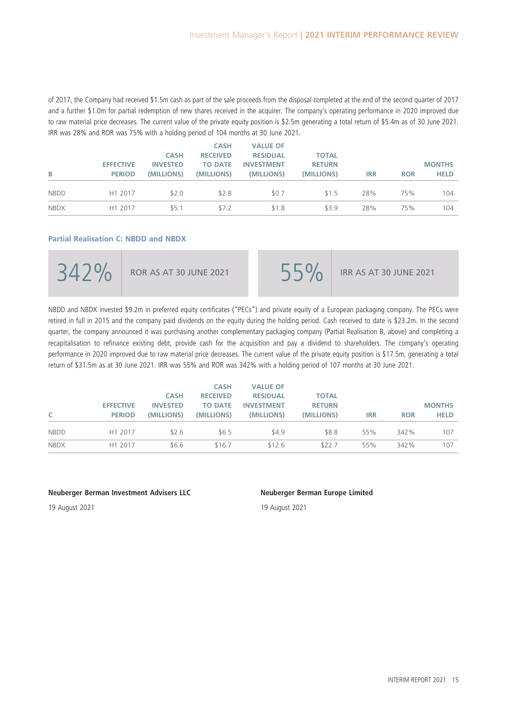of 2017, the Company had received \$1.5m cash as part of the sale proceeds from the disposal completed at the end of the second quarter of 2017 and a further \$1.0m for partial redemption of new shares received in the acquirer. The company's operating performance in 2020 improved due to raw material price decreases. The current value of the private equity position is \$2.5m generating a total return of \$5.4m as of 30 June 2021. IRR was 28% and ROR was 75% with a holding period of 104 months at 30 June 2021.

|             |                  |                 | <b>CASH</b>     | <b>VALUE OF</b>   |               |            |            |               |
|-------------|------------------|-----------------|-----------------|-------------------|---------------|------------|------------|---------------|
|             |                  | <b>CASH</b>     | <b>RECEIVED</b> | <b>RESIDUAL</b>   | <b>TOTAL</b>  |            |            |               |
|             | <b>EFFECTIVE</b> | <b>INVESTED</b> | <b>TO DATE</b>  | <b>INVESTMENT</b> | <b>RETURN</b> |            |            | <b>MONTHS</b> |
| B           | <b>PERIOD</b>    | (MILLIONS)      | (MILLIONS)      | (MILLIONS)        | (MILLIONS)    | <b>IRR</b> | <b>ROR</b> | <b>HELD</b>   |
|             |                  |                 |                 |                   |               |            |            |               |
| <b>NBDD</b> | H1 2017          | \$2.0           | \$2.8           | \$0.7             | \$1.5         | 28%        | 75%        | 104           |
| <b>NBDX</b> | H1 2017          | \$5.1           | \$7.2           | \$1.8             | \$3.9         | 28%        | 75%        | 104           |

#### **Partial Realisation C: NBDD and NBDX**

NBDD and NBDX invested \$9.2m in preferred equity certificates ("PECs") and private equity of a European packaging company. The PECs were retired in full in 2015 and the company paid dividends on the equity during the holding period. Cash received to date is \$23.2m. In the second quarter, the company announced it was purchasing another complementary packaging company (Partial Realisation B, above) and completing a recapitalisation to refinance existing debt, provide cash for the acquisition and pay a dividend to shareholders. The company's operating performance in 2020 improved due to raw material price decreases. The current value of the private equity position is \$17.5m, generating a total return of \$31.5m as at 30 June 2021. IRR was 55% and ROR was 342% with a holding period of 107 months at 30 June 2021.

|             |                  |                 | <b>CASH</b>     | <b>VALUE OF</b>   |               |            |            |               |
|-------------|------------------|-----------------|-----------------|-------------------|---------------|------------|------------|---------------|
|             |                  | <b>CASH</b>     | <b>RECEIVED</b> | <b>RESIDUAL</b>   | <b>TOTAL</b>  |            |            |               |
|             | <b>EFFECTIVE</b> | <b>INVESTED</b> | <b>TO DATE</b>  | <b>INVESTMENT</b> | <b>RETURN</b> |            |            | <b>MONTHS</b> |
|             | <b>PERIOD</b>    | (MILLIONS)      | (MILLIONS)      | (MILLIONS)        | (MILLIONS)    | <b>IRR</b> | <b>ROR</b> | <b>HELD</b>   |
| <b>NBDD</b> | H1 2017          | \$2.6           | \$6.5           | \$4.9             | \$8.8         | 55%        | 342%       | 107           |
| <b>NBDX</b> | H1 2017          | \$6.6           | \$16.7          | \$12.6            | \$22.7        | 55%        | 342%       | 107           |

#### **Neuberger Berman Investment Advisers LLC Neuberger Berman Europe Limited**

19 August 2021 19 August 2021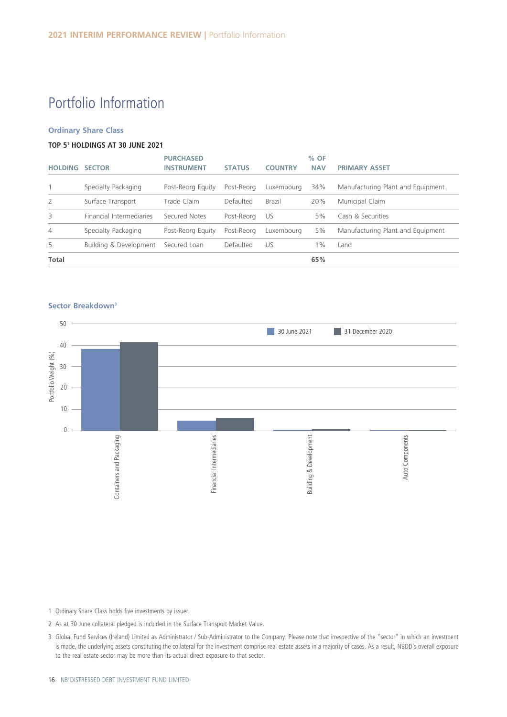### Portfolio Information

#### **Ordinary Share Class**

#### **TOP 51 HOLDINGS AT 30 JUNE 2021**

| <b>HOLDING</b> | <b>SECTOR</b>            | <b>PURCHASED</b><br><b>INSTRUMENT</b> | <b>STATUS</b> | <b>COUNTRY</b> | $%$ OF<br><b>NAV</b> | <b>PRIMARY ASSET</b>              |
|----------------|--------------------------|---------------------------------------|---------------|----------------|----------------------|-----------------------------------|
|                | Specialty Packaging      | Post-Reorg Equity                     | Post-Reora    | Luxembourg     | 34%                  | Manufacturing Plant and Equipment |
| $\overline{2}$ | Surface Transport        | Trade Claim                           | Defaulted     | Brazil         | 20%                  | Municipal Claim                   |
| 3              | Financial Intermediaries | Secured Notes                         | Post-Reorg    | . US           | 5%                   | Cash & Securities                 |
| $\overline{4}$ | Specialty Packaging      | Post-Reorg Equity                     | Post-Reorg    | Luxembourg     | 5%                   | Manufacturing Plant and Equipment |
| 5              | Building & Development   | Secured Loan                          | Defaulted     | US             | $1\%$                | Land                              |
| Total          |                          |                                       |               |                | 65%                  |                                   |

### 50 **30 June 2021** 31 December 2020 40 Portfolio Weight (%) Portfolio Weight (%) 30 20 10 0 Containers and Packaging Financial Intermediaries **Building & Development** Auto Components Containers and Packaging Financial Intermediaries Building & Development Auto Components

**Sector Breakdown3**

1 Ordinary Share Class holds five investments by issuer.

2 As at 30 June collateral pledged is included in the Surface Transport Market Value.

3 Global Fund Services (Ireland) Limited as Administrator / Sub-Administrator to the Company. Please note that irrespective of the "sector" in which an investment is made, the underlying assets constituting the collateral for the investment comprise real estate assets in a majority of cases. As a result, NBDD's overall exposure to the real estate sector may be more than its actual direct exposure to that sector.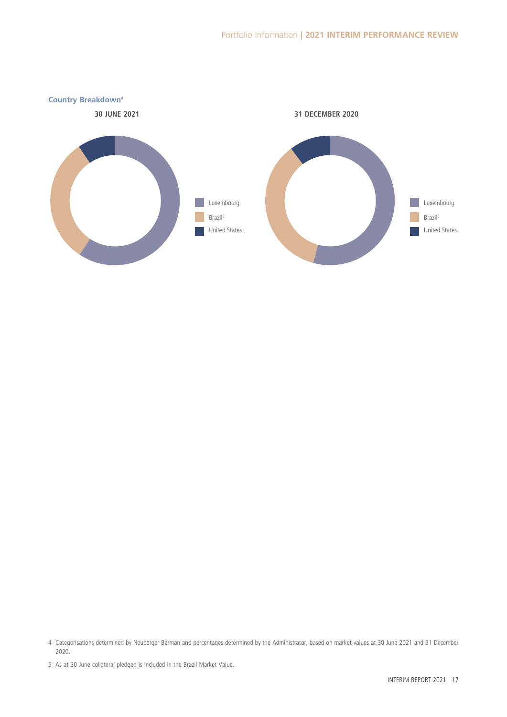

<sup>4</sup> Categorisations determined by Neuberger Berman and percentages determined by the Administrator, based on market values at 30 June 2021 and 31 December 2020.

<sup>5</sup> As at 30 June collateral pledged is included in the Brazil Market Value.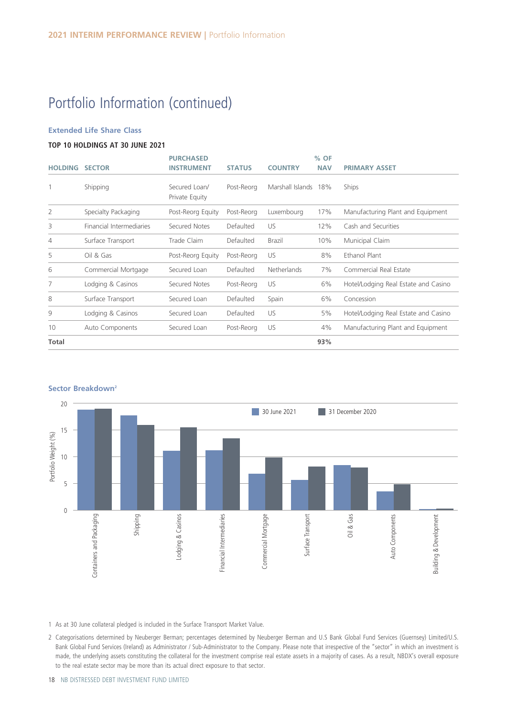### Portfolio Information (continued)

#### **Extended Life Share Class**

#### **TOP 10 HOLDINGS AT 30 JUNE 2021**

| <b>HOLDING</b> | <b>SECTOR</b>            | <b>PURCHASED</b><br><b>INSTRUMENT</b> | <b>STATUS</b> | <b>COUNTRY</b>     | $%$ OF<br><b>NAV</b> | <b>PRIMARY ASSET</b>                 |
|----------------|--------------------------|---------------------------------------|---------------|--------------------|----------------------|--------------------------------------|
|                | Shipping                 | Secured Loan/<br>Private Equity       | Post-Reorg    | Marshall Islands   | 18%                  | Ships                                |
| 2              | Specialty Packaging      | Post-Reorg Equity                     | Post-Reorg    | Luxembourg         | 17%                  | Manufacturing Plant and Equipment    |
| 3              | Financial Intermediaries | Secured Notes                         | Defaulted     | US.                | 12%                  | Cash and Securities                  |
| 4              | Surface Transport        | Trade Claim                           | Defaulted     | <b>Brazil</b>      | 10%                  | Municipal Claim                      |
| 5              | Oil & Gas                | Post-Reorg Equity                     | Post-Reorg    | US                 | 8%                   | Ethanol Plant                        |
| 6              | Commercial Mortgage      | Secured Loan                          | Defaulted     | <b>Netherlands</b> | 7%                   | Commercial Real Estate               |
| 7              | Lodging & Casinos        | Secured Notes                         | Post-Reorg    | US                 | 6%                   | Hotel/Lodging Real Estate and Casino |
| 8              | Surface Transport        | Secured Loan                          | Defaulted     | Spain              | 6%                   | Concession                           |
| 9              | Lodging & Casinos        | Secured Loan                          | Defaulted     | US.                | 5%                   | Hotel/Lodging Real Estate and Casino |
| 10             | Auto Components          | Secured Loan                          | Post-Reorg    | US                 | 4%                   | Manufacturing Plant and Equipment    |
| Total          |                          |                                       |               |                    | 93%                  |                                      |



#### **Sector Breakdown2**

1 As at 30 June collateral pledged is included in the Surface Transport Market Value.

2 Categorisations determined by Neuberger Berman; percentages determined by Neuberger Berman and U.S Bank Global Fund Services (Guernsey) Limited/U.S. Bank Global Fund Services (Ireland) as Administrator / Sub-Administrator to the Company. Please note that irrespective of the "sector" in which an investment is made, the underlying assets constituting the collateral for the investment comprise real estate assets in a majority of cases. As a result, NBDX's overall exposure to the real estate sector may be more than its actual direct exposure to that sector.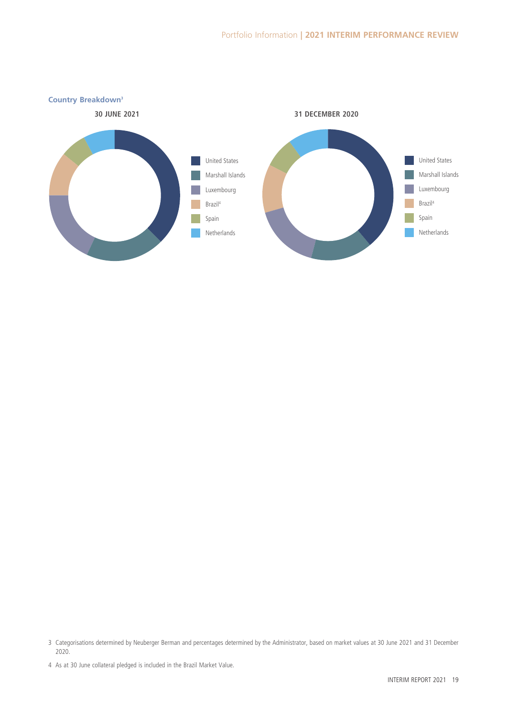

<sup>3</sup> Categorisations determined by Neuberger Berman and percentages determined by the Administrator, based on market values at 30 June 2021 and 31 December 2020.

<sup>4</sup> As at 30 June collateral pledged is included in the Brazil Market Value.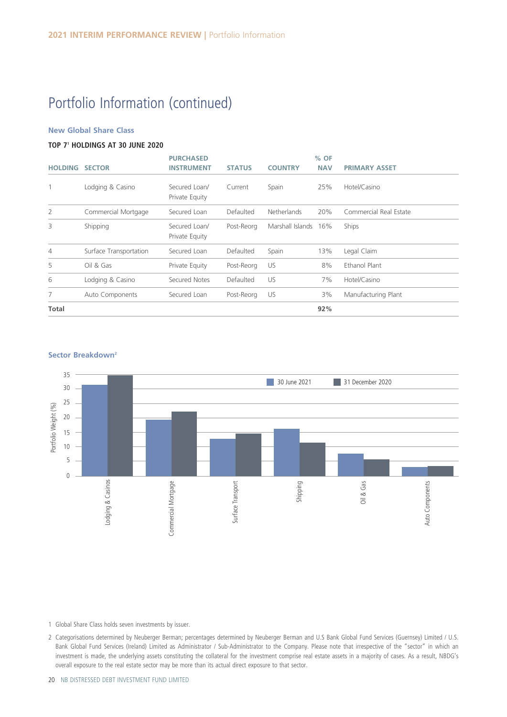### Portfolio Information (continued)

#### **New Global Share Class**

#### **TOP 71 HOLDINGS AT 30 JUNE 2020**

| <b>HOLDING</b> | <b>SECTOR</b>          | <b>PURCHASED</b><br><b>INSTRUMENT</b> | <b>STATUS</b> | <b>COUNTRY</b>       | $%$ OF<br><b>NAV</b> | <b>PRIMARY ASSET</b>   |
|----------------|------------------------|---------------------------------------|---------------|----------------------|----------------------|------------------------|
|                | Lodging & Casino       | Secured Loan/<br>Private Equity       | Current       | Spain                | 25%                  | Hotel/Casino           |
| $\overline{2}$ | Commercial Mortgage    | Secured Loan                          | Defaulted     | Netherlands          | 20%                  | Commercial Real Estate |
| 3              | Shipping               | Secured Loan/<br>Private Equity       | Post-Reorg    | Marshall Islands 16% |                      | <b>Ships</b>           |
| 4              | Surface Transportation | Secured Loan                          | Defaulted     | Spain                | 13%                  | Legal Claim            |
| 5              | Oil & Gas              | Private Equity                        | Post-Reorg    | US                   | 8%                   | Ethanol Plant          |
| 6              | Lodging & Casino       | Secured Notes                         | Defaulted     | US                   | 7%                   | Hotel/Casino           |
| 7              | Auto Components        | Secured Loan                          | Post-Reorg    | US                   | 3%                   | Manufacturing Plant    |
| Total          |                        |                                       |               |                      | 92%                  |                        |

#### **Sector Breakdown2**



1 Global Share Class holds seven investments by issuer.

2 Categorisations determined by Neuberger Berman; percentages determined by Neuberger Berman and U.S Bank Global Fund Services (Guernsey) Limited / U.S. Bank Global Fund Services (Ireland) Limited as Administrator / Sub-Administrator to the Company. Please note that irrespective of the "sector" in which an investment is made, the underlying assets constituting the collateral for the investment comprise real estate assets in a majority of cases. As a result, NBDG's overall exposure to the real estate sector may be more than its actual direct exposure to that sector.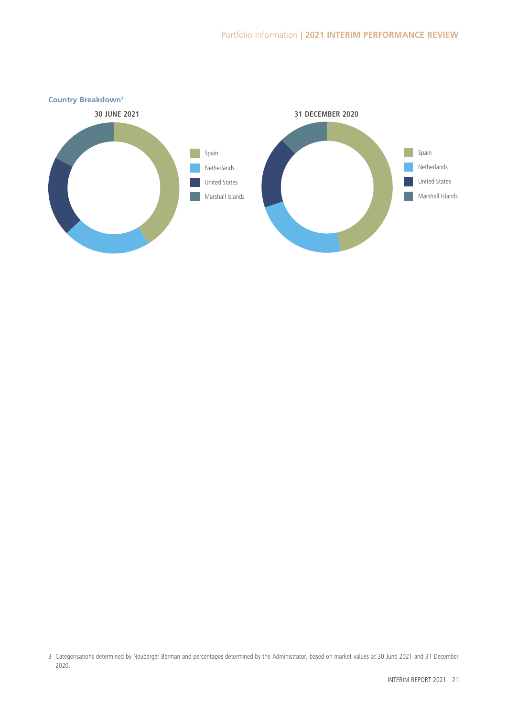

<sup>3</sup> Categorisations determined by Neuberger Berman and percentages determined by the Administrator, based on market values at 30 June 2021 and 31 December 2020.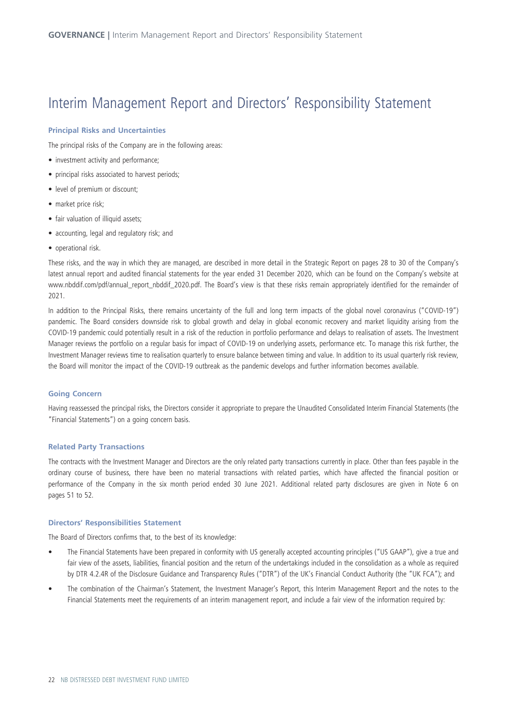### Interim Management Report and Directors' Responsibility Statement

#### **Principal Risks and Uncertainties**

The principal risks of the Company are in the following areas:

- investment activity and performance;
- principal risks associated to harvest periods;
- level of premium or discount;
- market price risk;
- fair valuation of illiquid assets;
- accounting, legal and regulatory risk; and
- operational risk.

These risks, and the way in which they are managed, are described in more detail in the Strategic Report on pages 28 to 30 of the Company's latest annual report and audited financial statements for the year ended 31 December 2020, which can be found on the Company's website at www.nbddif.com/pdf/annual\_report\_nbddif\_2020.pdf. The Board's view is that these risks remain appropriately identified for the remainder of 2021.

In addition to the Principal Risks, there remains uncertainty of the full and long term impacts of the global novel coronavirus ("COVID-19") pandemic. The Board considers downside risk to global growth and delay in global economic recovery and market liquidity arising from the COVID-19 pandemic could potentially result in a risk of the reduction in portfolio performance and delays to realisation of assets. The Investment Manager reviews the portfolio on a regular basis for impact of COVID-19 on underlying assets, performance etc. To manage this risk further, the Investment Manager reviews time to realisation quarterly to ensure balance between timing and value. In addition to its usual quarterly risk review, the Board will monitor the impact of the COVID-19 outbreak as the pandemic develops and further information becomes available.

#### **Going Concern**

Having reassessed the principal risks, the Directors consider it appropriate to prepare the Unaudited Consolidated Interim Financial Statements (the "Financial Statements") on a going concern basis.

#### **Related Party Transactions**

The contracts with the Investment Manager and Directors are the only related party transactions currently in place. Other than fees payable in the ordinary course of business, there have been no material transactions with related parties, which have affected the financial position or performance of the Company in the six month period ended 30 June 2021. Additional related party disclosures are given in Note 6 on pages 51 to 52.

#### **Directors' Responsibilities Statement**

The Board of Directors confirms that, to the best of its knowledge:

- The Financial Statements have been prepared in conformity with US generally accepted accounting principles ("US GAAP"), give a true and fair view of the assets, liabilities, financial position and the return of the undertakings included in the consolidation as a whole as required by DTR 4.2.4R of the Disclosure Guidance and Transparency Rules ("DTR") of the UK's Financial Conduct Authority (the "UK FCA"); and
- The combination of the Chairman's Statement, the Investment Manager's Report, this Interim Management Report and the notes to the Financial Statements meet the requirements of an interim management report, and include a fair view of the information required by: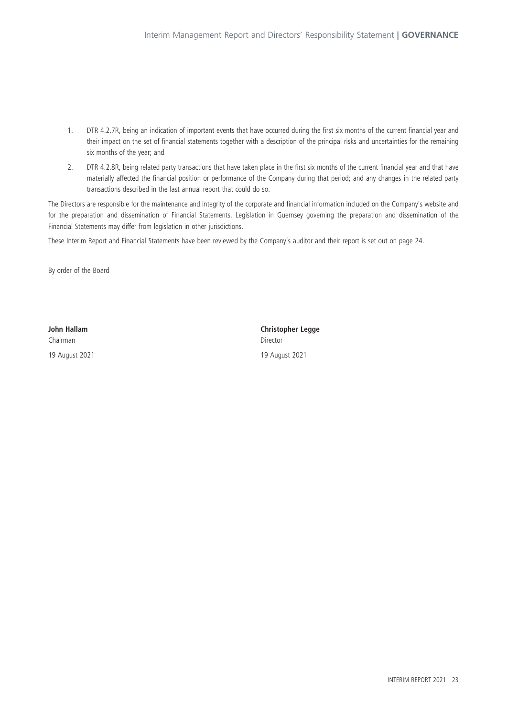- 1. DTR 4.2.7R, being an indication of important events that have occurred during the first six months of the current financial year and their impact on the set of financial statements together with a description of the principal risks and uncertainties for the remaining six months of the year; and
- 2. DTR 4.2.8R, being related party transactions that have taken place in the first six months of the current financial year and that have materially affected the financial position or performance of the Company during that period; and any changes in the related party transactions described in the last annual report that could do so.

The Directors are responsible for the maintenance and integrity of the corporate and financial information included on the Company's website and for the preparation and dissemination of Financial Statements. Legislation in Guernsey governing the preparation and dissemination of the Financial Statements may differ from legislation in other jurisdictions.

These Interim Report and Financial Statements have been reviewed by the Company's auditor and their report is set out on page 24.

By order of the Board

Chairman Director

**John Hallam Christopher Legge**  19 August 2021 19 August 2021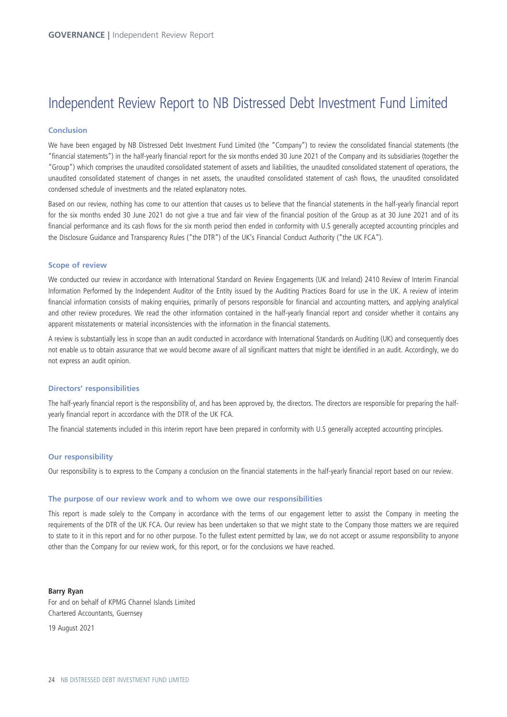### Independent Review Report to NB Distressed Debt Investment Fund Limited

#### **Conclusion**

We have been engaged by NB Distressed Debt Investment Fund Limited (the "Company") to review the consolidated financial statements (the "financial statements") in the half-yearly financial report for the six months ended 30 June 2021 of the Company and its subsidiaries (together the "Group") which comprises the unaudited consolidated statement of assets and liabilities, the unaudited consolidated statement of operations, the unaudited consolidated statement of changes in net assets, the unaudited consolidated statement of cash flows, the unaudited consolidated condensed schedule of investments and the related explanatory notes.

Based on our review, nothing has come to our attention that causes us to believe that the financial statements in the half-yearly financial report for the six months ended 30 June 2021 do not give a true and fair view of the financial position of the Group as at 30 June 2021 and of its financial performance and its cash flows for the six month period then ended in conformity with U.S generally accepted accounting principles and the Disclosure Guidance and Transparency Rules ("the DTR") of the UK's Financial Conduct Authority ("the UK FCA").

#### **Scope of review**

We conducted our review in accordance with International Standard on Review Engagements (UK and Ireland) 2410 Review of Interim Financial Information Performed by the Independent Auditor of the Entity issued by the Auditing Practices Board for use in the UK. A review of interim financial information consists of making enquiries, primarily of persons responsible for financial and accounting matters, and applying analytical and other review procedures. We read the other information contained in the half-yearly financial report and consider whether it contains any apparent misstatements or material inconsistencies with the information in the financial statements.

A review is substantially less in scope than an audit conducted in accordance with International Standards on Auditing (UK) and consequently does not enable us to obtain assurance that we would become aware of all significant matters that might be identified in an audit. Accordingly, we do not express an audit opinion.

#### **Directors' responsibilities**

The half-yearly financial report is the responsibility of, and has been approved by, the directors. The directors are responsible for preparing the halfyearly financial report in accordance with the DTR of the UK FCA.

The financial statements included in this interim report have been prepared in conformity with U.S generally accepted accounting principles.

#### **Our responsibility**

Our responsibility is to express to the Company a conclusion on the financial statements in the half-yearly financial report based on our review.

#### **The purpose of our review work and to whom we owe our responsibilities**

This report is made solely to the Company in accordance with the terms of our engagement letter to assist the Company in meeting the requirements of the DTR of the UK FCA. Our review has been undertaken so that we might state to the Company those matters we are required to state to it in this report and for no other purpose. To the fullest extent permitted by law, we do not accept or assume responsibility to anyone other than the Company for our review work, for this report, or for the conclusions we have reached.

**Barry Ryan**  For and on behalf of KPMG Channel Islands Limited Chartered Accountants, Guernsey

19 August 2021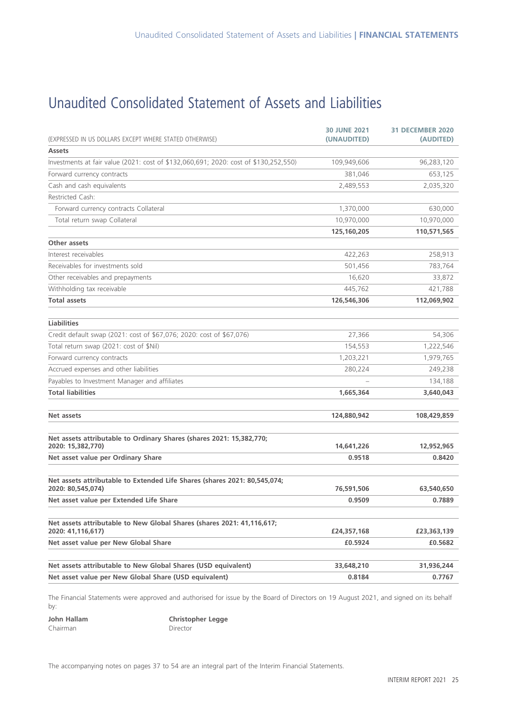# Unaudited Consolidated Statement of Assets and Liabilities

| (EXPRESSED IN US DOLLARS EXCEPT WHERE STATED OTHERWISE)                                        | <b>30 JUNE 2021</b><br>(UNAUDITED) | <b>31 DECEMBER 2020</b><br>(AUDITED) |
|------------------------------------------------------------------------------------------------|------------------------------------|--------------------------------------|
| <b>Assets</b>                                                                                  |                                    |                                      |
| Investments at fair value (2021: cost of \$132,060,691; 2020: cost of \$130,252,550)           | 109,949,606                        | 96,283,120                           |
| Forward currency contracts                                                                     | 381,046                            | 653,125                              |
| Cash and cash equivalents                                                                      | 2,489,553                          | 2,035,320                            |
| Restricted Cash:                                                                               |                                    |                                      |
| Forward currency contracts Collateral                                                          | 1,370,000                          | 630,000                              |
| Total return swap Collateral                                                                   | 10,970,000                         | 10,970,000                           |
|                                                                                                | 125,160,205                        | 110,571,565                          |
| Other assets                                                                                   |                                    |                                      |
| Interest receivables                                                                           | 422,263                            | 258,913                              |
| Receivables for investments sold                                                               | 501,456                            | 783,764                              |
| Other receivables and prepayments                                                              | 16,620                             | 33,872                               |
| Withholding tax receivable                                                                     | 445,762                            | 421,788                              |
| <b>Total assets</b>                                                                            | 126,546,306                        | 112,069,902                          |
| <b>Liabilities</b>                                                                             |                                    |                                      |
| Credit default swap (2021: cost of \$67,076; 2020: cost of \$67,076)                           | 27,366                             | 54,306                               |
| Total return swap (2021: cost of \$Nil)                                                        | 154,553                            | 1,222,546                            |
| Forward currency contracts                                                                     | 1,203,221                          | 1,979,765                            |
| Accrued expenses and other liabilities                                                         | 280,224                            | 249,238                              |
| Payables to Investment Manager and affiliates                                                  |                                    | 134,188                              |
| <b>Total liabilities</b>                                                                       | 1,665,364                          | 3,640,043                            |
| Net assets                                                                                     | 124,880,942                        | 108,429,859                          |
| Net assets attributable to Ordinary Shares (shares 2021: 15,382,770;<br>2020: 15,382,770)      | 14,641,226                         | 12,952,965                           |
| Net asset value per Ordinary Share                                                             | 0.9518                             | 0.8420                               |
| Net assets attributable to Extended Life Shares (shares 2021: 80,545,074;<br>2020: 80,545,074) | 76,591,506                         | 63,540,650                           |
| Net asset value per Extended Life Share                                                        | 0.9509                             | 0.7889                               |
| Net assets attributable to New Global Shares (shares 2021: 41,116,617;                         |                                    |                                      |
| 2020: 41,116,617)                                                                              | £24,357,168                        | £23,363,139                          |
| Net asset value per New Global Share                                                           | £0.5924                            | £0.5682                              |
| Net assets attributable to New Global Shares (USD equivalent)                                  | 33,648,210                         | 31,936,244                           |
| Net asset value per New Global Share (USD equivalent)                                          | 0.8184                             | 0.7767                               |

The Financial Statements were approved and authorised for issue by the Board of Directors on 19 August 2021, and signed on its behalf by:

| John Hallam | <b>Christopher Legge</b> |
|-------------|--------------------------|
| Chairman    | Director                 |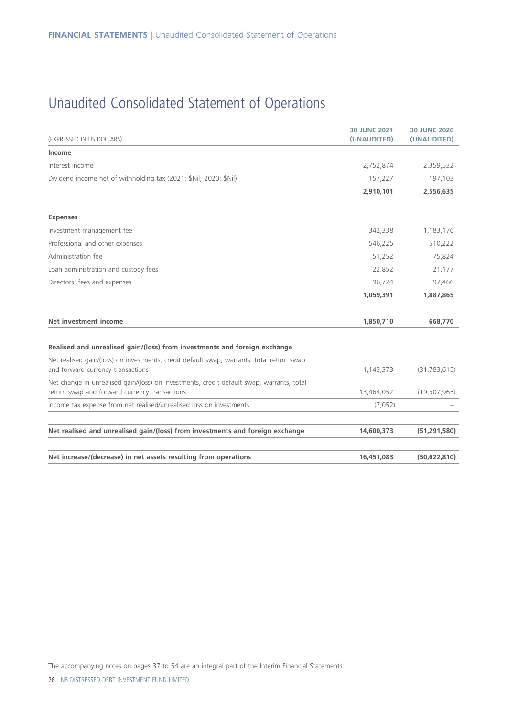# Unaudited Consolidated Statement of Operations

| (EXPRESSED IN US DOLLARS)                                                                                                                  | <b>30 JUNE 2021</b><br>(UNAUDITED) | <b>30 JUNE 2020</b><br>(UNAUDITED) |
|--------------------------------------------------------------------------------------------------------------------------------------------|------------------------------------|------------------------------------|
| Income                                                                                                                                     |                                    |                                    |
| Interest income                                                                                                                            | 2,752,874                          | 2,359,532                          |
| Dividend income net of withholding tax (2021: \$Nil; 2020: \$Nil)                                                                          | 157,227                            | 197,103                            |
|                                                                                                                                            | 2,910,101                          | 2,556,635                          |
| <b>Expenses</b>                                                                                                                            |                                    |                                    |
| Investment management fee                                                                                                                  | 342,338                            | 1,183,176                          |
| Professional and other expenses                                                                                                            | 546,225                            | 510,222                            |
| Administration fee                                                                                                                         | 51,252                             | 75,824                             |
| Loan administration and custody fees                                                                                                       | 22,852                             | 21,177                             |
| Directors' fees and expenses                                                                                                               | 96,724                             | 97,466                             |
|                                                                                                                                            | 1,059,391                          | 1,887,865                          |
| Net investment income                                                                                                                      | 1,850,710                          | 668,770                            |
| Realised and unrealised gain/(loss) from investments and foreign exchange                                                                  |                                    |                                    |
| Net realised gain/(loss) on investments, credit default swap, warrants, total return swap<br>and forward currency transactions             | 1,143,373                          | (31, 783, 615)                     |
| Net change in unrealised gain/(loss) on investments, credit default swap, warrants, total<br>return swap and forward currency transactions | 13,464,052                         | (19,507,965)                       |
| Income tax expense from net realised/unrealised loss on investments                                                                        | (7,052)                            |                                    |
| Net realised and unrealised gain/(loss) from investments and foreign exchange                                                              | 14,600,373                         | (51, 291, 580)                     |
| Net increase/(decrease) in net assets resulting from operations                                                                            | 16,451,083                         | (50, 622, 810)                     |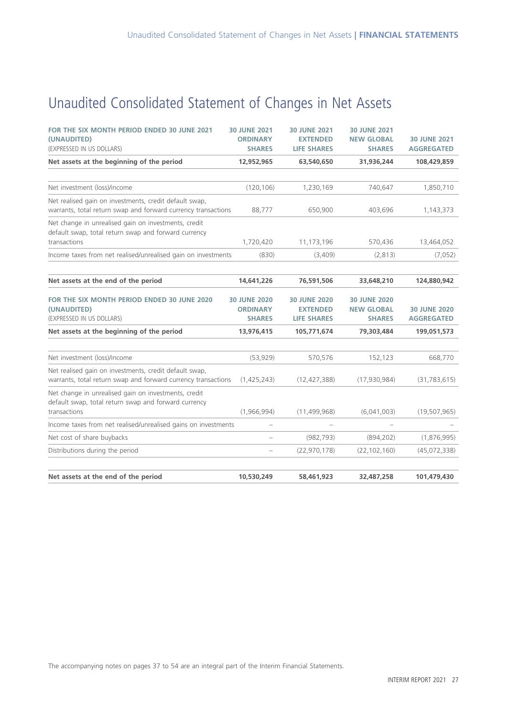# Unaudited Consolidated Statement of Changes in Net Assets

| FOR THE SIX MONTH PERIOD ENDED 30 JUNE 2021<br>(UNAUDITED)                                                                   | <b>30 JUNE 2021</b><br><b>ORDINARY</b>                  | <b>30 JUNE 2021</b><br><b>EXTENDED</b>                       | <b>30 JUNE 2021</b><br><b>NEW GLOBAL</b>                  | <b>30 JUNE 2021</b>                      |
|------------------------------------------------------------------------------------------------------------------------------|---------------------------------------------------------|--------------------------------------------------------------|-----------------------------------------------------------|------------------------------------------|
| (EXPRESSED IN US DOLLARS)                                                                                                    | <b>SHARES</b>                                           | <b>LIFE SHARES</b>                                           | <b>SHARES</b>                                             | <b>AGGREGATED</b>                        |
| Net assets at the beginning of the period                                                                                    | 12,952,965                                              | 63,540,650                                                   | 31,936,244                                                | 108,429,859                              |
|                                                                                                                              |                                                         |                                                              |                                                           |                                          |
| Net investment (loss)/income                                                                                                 | (120, 106)                                              | 1,230,169                                                    | 740,647                                                   | 1,850,710                                |
| Net realised gain on investments, credit default swap,<br>warrants, total return swap and forward currency transactions      | 88,777                                                  | 650,900                                                      | 403,696                                                   | 1,143,373                                |
| Net change in unrealised gain on investments, credit<br>default swap, total return swap and forward currency                 |                                                         |                                                              |                                                           |                                          |
| transactions                                                                                                                 | 1,720,420                                               | 11,173,196                                                   | 570,436                                                   | 13,464,052                               |
| Income taxes from net realised/unrealised gain on investments                                                                | (830)                                                   | (3,409)                                                      | (2, 813)                                                  | (7,052)                                  |
|                                                                                                                              |                                                         |                                                              |                                                           |                                          |
| Net assets at the end of the period                                                                                          | 14,641,226                                              | 76,591,506                                                   | 33,648,210                                                | 124,880,942                              |
| FOR THE SIX MONTH PERIOD ENDED 30 JUNE 2020<br>(UNAUDITED)<br>(EXPRESSED IN US DOLLARS)                                      | <b>30 JUNE 2020</b><br><b>ORDINARY</b><br><b>SHARES</b> | <b>30 JUNE 2020</b><br><b>EXTENDED</b><br><b>LIFE SHARES</b> | <b>30 JUNE 2020</b><br><b>NEW GLOBAL</b><br><b>SHARES</b> | <b>30 JUNE 2020</b><br><b>AGGREGATED</b> |
| Net assets at the beginning of the period                                                                                    | 13,976,415                                              | 105,771,674                                                  | 79,303,484                                                | 199,051,573                              |
|                                                                                                                              |                                                         |                                                              |                                                           |                                          |
| Net investment (loss)/income                                                                                                 | (53, 929)                                               | 570,576                                                      | 152,123                                                   | 668,770                                  |
| Net realised gain on investments, credit default swap,<br>warrants, total return swap and forward currency transactions      | (1,425,243)                                             | (12, 427, 388)                                               | (17, 930, 984)                                            | (31, 783, 615)                           |
| Net change in unrealised gain on investments, credit<br>default swap, total return swap and forward currency<br>transactions | (1,966,994)                                             | (11, 499, 968)                                               | (6,041,003)                                               | (19, 507, 965)                           |
| Income taxes from net realised/unrealised gains on investments                                                               | $\overline{\phantom{0}}$                                |                                                              |                                                           |                                          |
| Net cost of share buybacks                                                                                                   |                                                         | (982, 793)                                                   | (894, 202)                                                | (1,876,995)                              |
| Distributions during the period                                                                                              |                                                         | (22, 970, 178)                                               | (22, 102, 160)                                            | (45,072,338)                             |
| Net assets at the end of the period                                                                                          | 10,530,249                                              | 58,461,923                                                   | 32,487,258                                                | 101,479,430                              |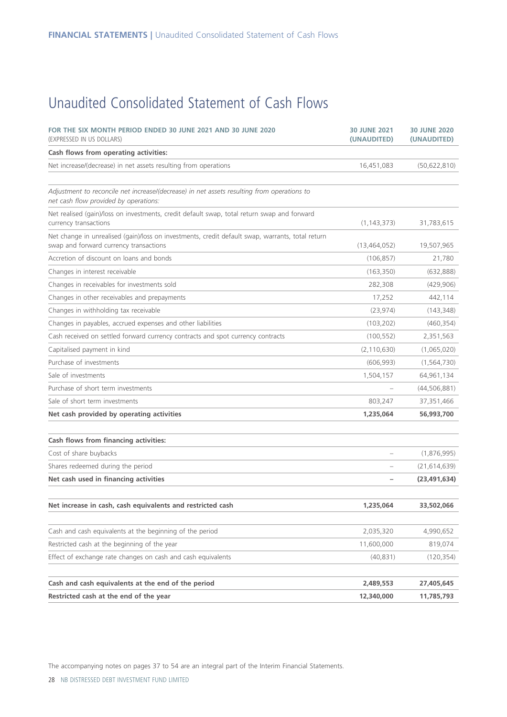# Unaudited Consolidated Statement of Cash Flows

| FOR THE SIX MONTH PERIOD ENDED 30 JUNE 2021 AND 30 JUNE 2020<br>(EXPRESSED IN US DOLLARS)                                                  | <b>30 JUNE 2021</b><br>(UNAUDITED) | <b>30 JUNE 2020</b><br>(UNAUDITED) |
|--------------------------------------------------------------------------------------------------------------------------------------------|------------------------------------|------------------------------------|
| Cash flows from operating activities:                                                                                                      |                                    |                                    |
| Net increase/(decrease) in net assets resulting from operations                                                                            | 16,451,083                         | (50, 622, 810)                     |
| Adjustment to reconcile net increase/(decrease) in net assets resulting from operations to<br>net cash flow provided by operations:        |                                    |                                    |
| Net realised (gain)/loss on investments, credit default swap, total return swap and forward<br>currency transactions                       | (1, 143, 373)                      | 31,783,615                         |
| Net change in unrealised (gain)/loss on investments, credit default swap, warrants, total return<br>swap and forward currency transactions | (13, 464, 052)                     | 19,507,965                         |
| Accretion of discount on loans and bonds                                                                                                   | (106, 857)                         | 21,780                             |
| Changes in interest receivable                                                                                                             | (163,350)                          | (632,888)                          |
| Changes in receivables for investments sold                                                                                                | 282,308                            | (429,906)                          |
| Changes in other receivables and prepayments                                                                                               | 17,252                             | 442,114                            |
| Changes in withholding tax receivable                                                                                                      | (23, 974)                          | (143, 348)                         |
| Changes in payables, accrued expenses and other liabilities                                                                                | (103, 202)                         | (460, 354)                         |
| Cash received on settled forward currency contracts and spot currency contracts                                                            | (100, 552)                         | 2,351,563                          |
| Capitalised payment in kind                                                                                                                | (2, 110, 630)                      | (1,065,020)                        |
| Purchase of investments                                                                                                                    | (606,993)                          | (1, 564, 730)                      |
| Sale of investments                                                                                                                        | 1,504,157                          | 64,961,134                         |
| Purchase of short term investments                                                                                                         |                                    | (44, 506, 881)                     |
| Sale of short term investments                                                                                                             | 803,247                            | 37,351,466                         |
| Net cash provided by operating activities                                                                                                  | 1,235,064                          | 56,993,700                         |
| Cash flows from financing activities:                                                                                                      |                                    |                                    |
| Cost of share buybacks                                                                                                                     |                                    | (1,876,995)                        |
| Shares redeemed during the period                                                                                                          |                                    | (21, 614, 639)                     |
| Net cash used in financing activities                                                                                                      |                                    | (23, 491, 634)                     |
| Net increase in cash, cash equivalents and restricted cash                                                                                 | 1,235,064                          | 33,502,066                         |
| Cash and cash equivalents at the beginning of the period                                                                                   | 2,035,320                          | 4,990,652                          |
| Restricted cash at the beginning of the year                                                                                               | 11,600,000                         | 819,074                            |
| Effect of exchange rate changes on cash and cash equivalents                                                                               | (40, 831)                          | (120, 354)                         |
| Cash and cash equivalents at the end of the period                                                                                         | 2,489,553                          | 27,405,645                         |
| Restricted cash at the end of the year                                                                                                     | 12,340,000                         | 11,785,793                         |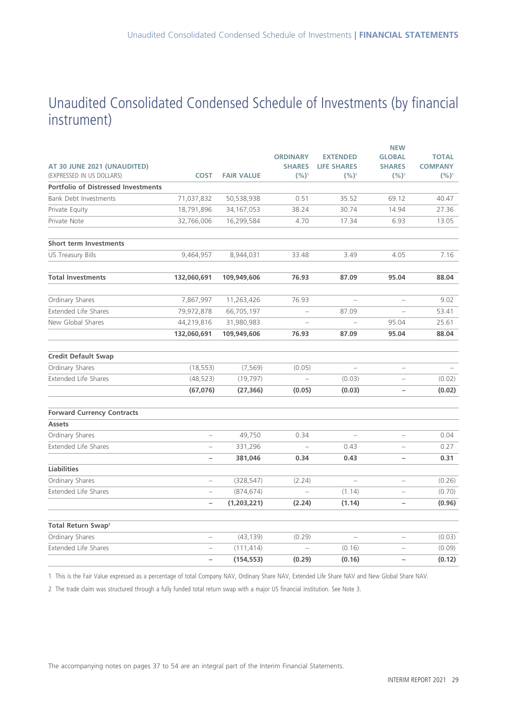### Unaudited Consolidated Condensed Schedule of Investments (by financial instrument)

|                                            |                          |                   |                          |                          | <b>NEW</b>               |                |
|--------------------------------------------|--------------------------|-------------------|--------------------------|--------------------------|--------------------------|----------------|
|                                            |                          |                   | <b>ORDINARY</b>          | <b>EXTENDED</b>          | <b>GLOBAL</b>            | <b>TOTAL</b>   |
| AT 30 JUNE 2021 (UNAUDITED)                |                          |                   | <b>SHARES</b>            | <b>LIFE SHARES</b>       | <b>SHARES</b>            | <b>COMPANY</b> |
| (EXPRESSED IN US DOLLARS)                  | <b>COST</b>              | <b>FAIR VALUE</b> | $(%)^1$                  | $(%)^1$                  | $(%)^1$                  | $(%)^1$        |
| <b>Portfolio of Distressed Investments</b> |                          |                   |                          |                          |                          |                |
| <b>Bank Debt Investments</b>               | 71,037,832               | 50,538,938        | 0.51                     | 35.52                    | 69.12                    | 40.47          |
| Private Equity                             | 18,791,896               | 34,167,053        | 38.24                    | 30.74                    | 14.94                    | 27.36          |
| Private Note                               | 32,766,006               | 16,299,584        | 4.70                     | 17.34                    | 6.93                     | 13.05          |
| <b>Short term Investments</b>              |                          |                   |                          |                          |                          |                |
| <b>US Treasury Bills</b>                   | 9,464,957                | 8,944,031         | 33.48                    | 3.49                     | 4.05                     | 7.16           |
| <b>Total Investments</b>                   | 132,060,691              | 109,949,606       | 76.93                    | 87.09                    | 95.04                    | 88.04          |
| Ordinary Shares                            | 7,867,997                | 11,263,426        | 76.93                    |                          | $\overline{\phantom{0}}$ | 9.02           |
| <b>Extended Life Shares</b>                | 79,972,878               | 66,705,197        | $\overline{\phantom{0}}$ | 87.09                    | $\overline{\phantom{0}}$ | 53.41          |
| New Global Shares                          | 44,219,816               | 31,980,983        | $\overline{a}$           |                          | 95.04                    | 25.61          |
|                                            | 132,060,691              | 109,949,606       | 76.93                    | 87.09                    | 95.04                    | 88.04          |
| <b>Credit Default Swap</b>                 |                          |                   |                          |                          |                          |                |
| Ordinary Shares                            | (18, 553)                | (7, 569)          | (0.05)                   | $\overline{\phantom{a}}$ | $\overline{\phantom{0}}$ |                |
| <b>Extended Life Shares</b>                | (48, 523)                | (19, 797)         | $\overline{a}$           | (0.03)                   | $\overline{\phantom{0}}$ | (0.02)         |
|                                            | (67,076)                 | (27, 366)         | (0.05)                   | (0.03)                   | $\overline{\phantom{0}}$ | (0.02)         |
| <b>Forward Currency Contracts</b>          |                          |                   |                          |                          |                          |                |
| <b>Assets</b>                              |                          |                   |                          |                          |                          |                |
| Ordinary Shares                            | $\overline{\phantom{0}}$ | 49,750            | 0.34                     |                          | $\overline{\phantom{0}}$ | 0.04           |
| <b>Extended Life Shares</b>                | $\overline{\phantom{0}}$ | 331,296           |                          | 0.43                     | $\overline{\phantom{0}}$ | 0.27           |
|                                            | $\overline{\phantom{0}}$ | 381,046           | 0.34                     | 0.43                     | $\overline{\phantom{0}}$ | 0.31           |
| <b>Liabilities</b>                         |                          |                   |                          |                          |                          |                |
| Ordinary Shares                            | $\overline{\phantom{0}}$ | (328, 547)        | (2.24)                   |                          | $\overline{\phantom{0}}$ | (0.26)         |
| <b>Extended Life Shares</b>                | $\overline{a}$           | (874, 674)        |                          | (1.14)                   | $\overline{\phantom{0}}$ | (0.70)         |
|                                            | $\overline{\phantom{0}}$ | (1,203,221)       | (2.24)                   | (1.14)                   | $\overline{\phantom{0}}$ | (0.96)         |
| Total Return Swap <sup>2</sup>             |                          |                   |                          |                          |                          |                |
| Ordinary Shares                            | $\overline{\phantom{0}}$ | (43, 139)         | (0.29)                   |                          | $\overline{\phantom{0}}$ | (0.03)         |
| <b>Extended Life Shares</b>                |                          | (111, 414)        |                          | (0.16)                   |                          | (0.09)         |
|                                            | $\overline{\phantom{0}}$ | (154, 553)        | (0.29)                   | (0.16)                   | $\overline{\phantom{0}}$ | (0.12)         |

1 This is the Fair Value expressed as a percentage of total Company NAV, Ordinary Share NAV, Extended Life Share NAV and New Global Share NAV.

2 The trade claim was structured through a fully funded total return swap with a major US financial institution. See Note 3.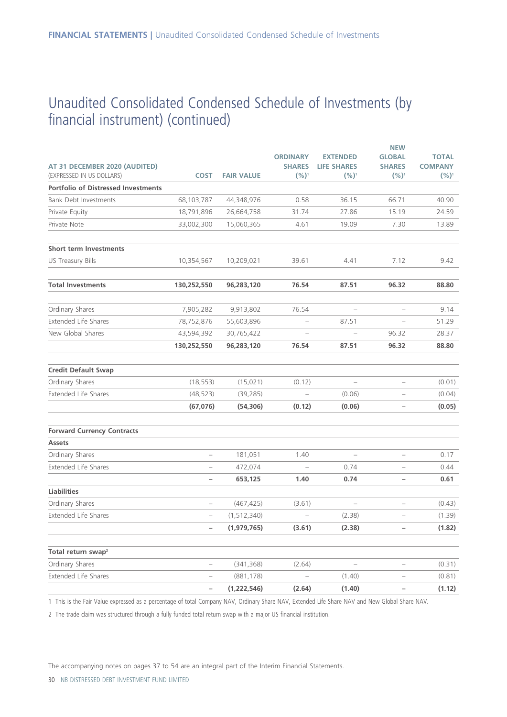### Unaudited Consolidated Condensed Schedule of Investments (by financial instrument) (continued)

| AT 31 DECEMBER 2020 (AUDITED)<br>(EXPRESSED IN US DOLLARS) | <b>COST</b>              | <b>FAIR VALUE</b> | <b>ORDINARY</b><br><b>SHARES</b><br>$(%)^1$ | <b>EXTENDED</b><br><b>LIFE SHARES</b><br>$(%)^1$ | <b>NEW</b><br><b>GLOBAL</b><br><b>SHARES</b><br>$(%)^1$ | <b>TOTAL</b><br><b>COMPANY</b><br>$(%)^1$ |
|------------------------------------------------------------|--------------------------|-------------------|---------------------------------------------|--------------------------------------------------|---------------------------------------------------------|-------------------------------------------|
| <b>Portfolio of Distressed Investments</b>                 |                          |                   |                                             |                                                  |                                                         |                                           |
| <b>Bank Debt Investments</b>                               | 68,103,787               | 44,348,976        | 0.58                                        | 36.15                                            | 66.71                                                   | 40.90                                     |
| Private Equity                                             | 18,791,896               | 26,664,758        | 31.74                                       | 27.86                                            | 15.19                                                   | 24.59                                     |
| Private Note                                               | 33,002,300               | 15,060,365        | 4.61                                        | 19.09                                            | 7.30                                                    | 13.89                                     |
| <b>Short term Investments</b>                              |                          |                   |                                             |                                                  |                                                         |                                           |
| US Treasury Bills                                          | 10,354,567               | 10,209,021        | 39.61                                       | 4.41                                             | 7.12                                                    | 9.42                                      |
| <b>Total Investments</b>                                   | 130,252,550              | 96,283,120        | 76.54                                       | 87.51                                            | 96.32                                                   | 88.80                                     |
| Ordinary Shares                                            | 7,905,282                | 9,913,802         | 76.54                                       |                                                  |                                                         | 9.14                                      |
| Extended Life Shares                                       | 78,752,876               | 55,603,896        | $\overline{\phantom{0}}$                    | 87.51                                            | $\overline{\phantom{0}}$                                | 51.29                                     |
| New Global Shares                                          | 43,594,392               | 30,765,422        | $\overline{\phantom{0}}$                    |                                                  | 96.32                                                   | 28.37                                     |
|                                                            | 130,252,550              | 96,283,120        | 76.54                                       | 87.51                                            | 96.32                                                   | 88.80                                     |
| <b>Credit Default Swap</b>                                 |                          |                   |                                             |                                                  |                                                         |                                           |
| Ordinary Shares                                            | (18, 553)                | (15,021)          | (0.12)                                      |                                                  | $\qquad \qquad -$                                       | (0.01)                                    |
| Extended Life Shares                                       | (48, 523)                | (39, 285)         | $\overline{\phantom{0}}$                    | (0.06)                                           | $\overline{\phantom{0}}$                                | (0.04)                                    |
|                                                            | (67, 076)                | (54, 306)         | (0.12)                                      | (0.06)                                           | $\overline{\phantom{0}}$                                | (0.05)                                    |
| <b>Forward Currency Contracts</b>                          |                          |                   |                                             |                                                  |                                                         |                                           |
| Assets                                                     |                          |                   |                                             |                                                  |                                                         |                                           |
| Ordinary Shares                                            | $\qquad \qquad -$        | 181,051           | 1.40                                        | $\overline{\phantom{0}}$                         | $\overline{\phantom{0}}$                                | 0.17                                      |
| <b>Extended Life Shares</b>                                |                          | 472,074           |                                             | 0.74                                             |                                                         | 0.44                                      |
|                                                            | $\overline{\phantom{0}}$ | 653,125           | 1.40                                        | 0.74                                             | $\qquad \qquad -$                                       | 0.61                                      |
| <b>Liabilities</b>                                         |                          |                   |                                             |                                                  |                                                         |                                           |
| Ordinary Shares                                            | $\qquad \qquad -$        | (467, 425)        | (3.61)                                      |                                                  | $\overline{\phantom{0}}$                                | (0.43)                                    |
| Extended Life Shares                                       | $\qquad \qquad -$        | (1, 512, 340)     | $\qquad \qquad -$                           | (2.38)                                           | $\overline{\phantom{0}}$                                | (1.39)                                    |
|                                                            |                          | (1,979,765)       | (3.61)                                      | (2.38)                                           |                                                         | (1.82)                                    |
| Total return swap <sup>2</sup>                             |                          |                   |                                             |                                                  |                                                         |                                           |
| Ordinary Shares                                            |                          | (341, 368)        | (2.64)                                      |                                                  |                                                         | (0.31)                                    |
| Extended Life Shares                                       | $\overline{\phantom{0}}$ | (881, 178)        | $\overline{\phantom{m}}$                    | (1.40)                                           | $\qquad \qquad -$                                       | (0.81)                                    |
|                                                            | $\overline{\phantom{0}}$ | (1,222,546)       | (2.64)                                      | (1.40)                                           | $\overline{\phantom{0}}$                                | (1.12)                                    |

1 This is the Fair Value expressed as a percentage of total Company NAV, Ordinary Share NAV, Extended Life Share NAV and New Global Share NAV.

2 The trade claim was structured through a fully funded total return swap with a major US financial institution.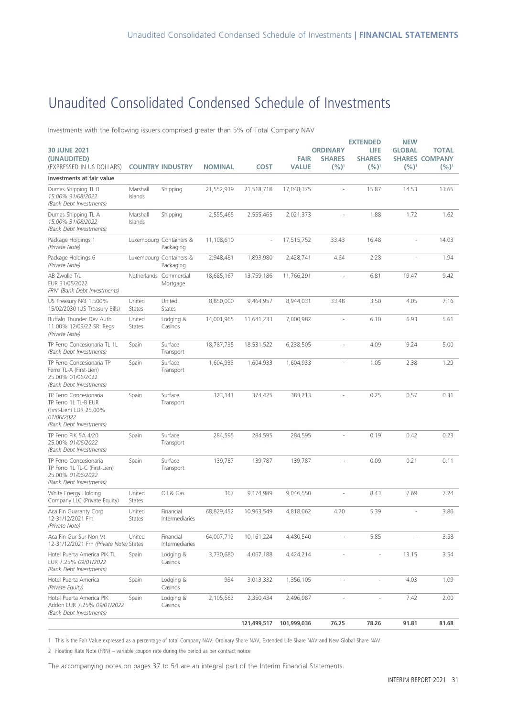# Unaudited Consolidated Condensed Schedule of Investments

Investments with the following issuers comprised greater than 5% of Total Company NAV

| <b>30 JUNE 2021</b><br>(UNAUDITED)                                                                                 |                         |                                      |                |             | <b>FAIR</b>  | <b>ORDINARY</b><br><b>SHARES</b> | <b>EXTENDED</b><br>LIFE<br><b>SHARES</b> | <b>NEW</b><br><b>GLOBAL</b> | <b>TOTAL</b><br><b>SHARES COMPANY</b> |
|--------------------------------------------------------------------------------------------------------------------|-------------------------|--------------------------------------|----------------|-------------|--------------|----------------------------------|------------------------------------------|-----------------------------|---------------------------------------|
| (EXPRESSED IN US DOLLARS)                                                                                          |                         | <b>COUNTRY INDUSTRY</b>              | <b>NOMINAL</b> | <b>COST</b> | <b>VALUE</b> | $(%)^1$                          | $(%)^1$                                  | $(%)^1$                     | $(%)^1$                               |
| Investments at fair value<br>Dumas Shipping TL B<br>15.00% 31/08/2022<br>(Bank Debt Investments)                   | Marshall<br>Islands     | Shipping                             | 21,552,939     | 21,518,718  | 17,048,375   |                                  | 15.87                                    | 14.53                       | 13.65                                 |
| Dumas Shipping TL A<br>15.00% 31/08/2022<br>(Bank Debt Investments)                                                | Marshall<br>Islands     | Shipping                             | 2,555,465      | 2,555,465   | 2,021,373    |                                  | 1.88                                     | 1.72                        | 1.62                                  |
| Package Holdings 1<br>(Private Note)                                                                               |                         | Luxembourg Containers &<br>Packaging | 11,108,610     | ä,          | 17,515,752   | 33.43                            | 16.48                                    |                             | 14.03                                 |
| Package Holdings 6<br>(Private Note)                                                                               |                         | Luxembourg Containers &<br>Packaging | 2,948,481      | 1,893,980   | 2,428,741    | 4.64                             | 2.28                                     | L.                          | 1.94                                  |
| AB Zwolle T/L<br>EUR 31/05/2022<br>FRN <sup>2</sup> (Bank Debt Investments)                                        |                         | Netherlands Commercial<br>Mortgage   | 18,685,167     | 13,759,186  | 11,766,291   |                                  | 6.81                                     | 19.47                       | 9.42                                  |
| US Treasury N/B 1.500%<br>15/02/2030 (US Treasury Bills)                                                           | United<br><b>States</b> | United<br><b>States</b>              | 8,850,000      | 9,464,957   | 8,944,031    | 33.48                            | 3.50                                     | 4.05                        | 7.16                                  |
| Buffalo Thunder Dev Auth<br>11.00% 12/09/22 SR: Regs<br>(Private Note)                                             | United<br><b>States</b> | Lodging &<br>Casinos                 | 14,001,965     | 11,641,233  | 7,000,982    |                                  | 6.10                                     | 6.93                        | 5.61                                  |
| TP Ferro Concesionaria TL 1L<br>(Bank Debt Investments)                                                            | Spain                   | Surface<br>Transport                 | 18,787,735     | 18,531,522  | 6,238,505    |                                  | 4.09                                     | 9.24                        | 5.00                                  |
| TP Ferro Concesionaria TP<br>Ferro TL-A (First-Lien)<br>25.00% 01/06/2022<br>(Bank Debt Investments)               | Spain                   | Surface<br>Transport                 | 1,604,933      | 1,604,933   | 1,604,933    |                                  | 1.05                                     | 2.38                        | 1.29                                  |
| TP Ferro Concesionaria<br>TP Ferro 1L TL-B EUR<br>(First-Lien) EUR 25.00%<br>01/06/2022<br>(Bank Debt Investments) | Spain                   | Surface<br>Transport                 | 323,141        | 374,425     | 383,213      | $\sim$                           | 0.25                                     | 0.57                        | 0.31                                  |
| TP Ferro PIK 5A 4/20<br>25.00% 01/06/2022<br>(Bank Debt Investments)                                               | Spain                   | Surface<br>Transport                 | 284,595        | 284,595     | 284,595      |                                  | 0.19                                     | 0.42                        | 0.23                                  |
| TP Ferro Concesionaria<br>TP Ferro 1L TL-C (First-Lien)<br>25.00% 01/06/2022<br>(Bank Debt Investments)            | Spain                   | Surface<br>Transport                 | 139,787        | 139,787     | 139,787      |                                  | 0.09                                     | 0.21                        | 0.11                                  |
| White Energy Holding<br>Company LLC (Private Equity)                                                               | United<br>States        | Oil & Gas                            | 367            | 9,174,989   | 9,046,550    |                                  | 8.43                                     | 7.69                        | 7.24                                  |
| Aca Fin Guaranty Corp<br>12-31/12/2021 Frn<br>(Private Note)                                                       | United<br>States        | Financial<br>Intermediaries          | 68,829,452     | 10,963,549  | 4,818,062    | 4.70                             | 5.39                                     | ×                           | 3.86                                  |
| Aca Fin Gur Sur Non Vt<br>12-31/12/2021 Frn (Private Note) States                                                  | United                  | Financial<br>Intermediaries          | 64,007,712     | 10,161,224  | 4,480,540    |                                  | 5.85                                     |                             | 3.58                                  |
| Hotel Puerta America PIK TL<br>EUR 7.25% 09/01/2022<br>(Bank Debt Investments)                                     | Spain                   | Lodging &<br>Casinos                 | 3,730,680      | 4,067,188   | 4,424,214    |                                  |                                          | 13.15                       | 3.54                                  |
| Hotel Puerta America<br>(Private Equity)                                                                           | Spain                   | Lodging &<br>Casinos                 | 934            | 3,013,332   | 1,356,105    |                                  |                                          | 4.03                        | 1.09                                  |
| Hotel Puerta America PIK<br>Addon EUR 7.25% 09/01/2022<br>(Bank Debt Investments)                                  | Spain                   | Lodging &<br>Casinos                 | 2,105,563      | 2,350,434   | 2,496,987    |                                  | i.                                       | 7.42                        | 2.00                                  |
|                                                                                                                    |                         |                                      |                | 121,499,517 | 101,999,036  | 76.25                            | 78.26                                    | 91.81                       | 81.68                                 |

1 This is the Fair Value expressed as a percentage of total Company NAV, Ordinary Share NAV, Extended Life Share NAV and New Global Share NAV.

2 Floating Rate Note (FRN) – variable coupon rate during the period as per contract notice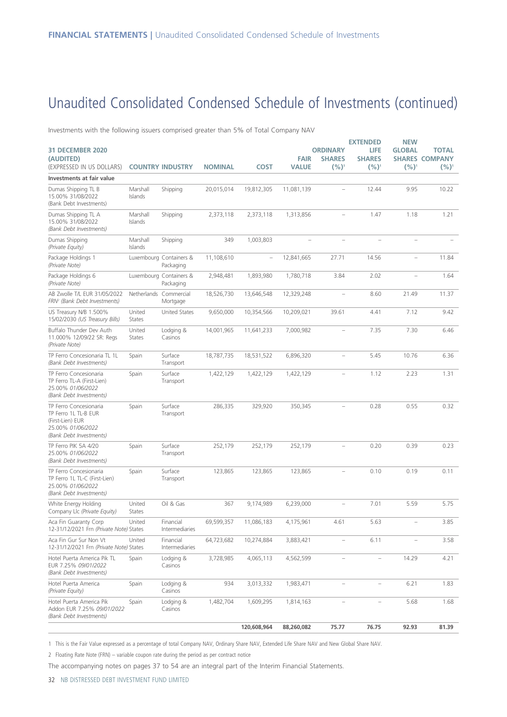### Unaudited Consolidated Condensed Schedule of Investments (continued)

Investments with the following issuers comprised greater than 5% of Total Company NAV

| <b>31 DECEMBER 2020</b><br>(AUDITED)                                                                               |                     |                                      |                |                          | <b>FAIR</b>  | <b>ORDINARY</b><br><b>SHARES</b> | <b>EXTENDED</b><br>LIFE<br><b>SHARES</b> | <b>NEW</b><br><b>GLOBAL</b> | <b>TOTAL</b><br><b>SHARES COMPANY</b> |
|--------------------------------------------------------------------------------------------------------------------|---------------------|--------------------------------------|----------------|--------------------------|--------------|----------------------------------|------------------------------------------|-----------------------------|---------------------------------------|
| (EXPRESSED IN US DOLLARS)<br>Investments at fair value                                                             |                     | <b>COUNTRY INDUSTRY</b>              | <b>NOMINAL</b> | <b>COST</b>              | <b>VALUE</b> | $(%)^1$                          | $(%)^1$                                  | $(%)^1$                     | $(%)^1$                               |
| Dumas Shipping TL B<br>15.00% 31/08/2022<br>(Bank Debt Investments)                                                | Marshall<br>Islands | Shipping                             | 20,015,014     | 19,812,305               | 11,081,139   |                                  | 12.44                                    | 9.95                        | 10.22                                 |
| Dumas Shipping TL A<br>15.00% 31/08/2022<br>(Bank Debt Investments)                                                | Marshall<br>Islands | Shipping                             | 2,373,118      | 2,373,118                | 1,313,856    |                                  | 1.47                                     | 1.18                        | 1.21                                  |
| Dumas Shipping<br>(Private Equity)                                                                                 | Marshall<br>Islands | Shipping                             | 349            | 1,003,803                |              |                                  |                                          |                             |                                       |
| Package Holdings 1<br>(Private Note)                                                                               |                     | Luxembourg Containers &<br>Packaging | 11,108,610     | $\overline{\phantom{0}}$ | 12,841,665   | 27.71                            | 14.56                                    | $\overline{\phantom{0}}$    | 11.84                                 |
| Package Holdings 6<br>(Private Note)                                                                               |                     | Luxembourg Containers &<br>Packaging | 2,948,481      | 1,893,980                | 1,780,718    | 3.84                             | 2.02                                     | $\overline{\phantom{0}}$    | 1.64                                  |
| AB Zwolle T/L EUR 31/05/2022<br>FRN <sup>2</sup> (Bank Debt Investments)                                           |                     | Netherlands Commercial<br>Mortgage   | 18,526,730     | 13,646,548               | 12,329,248   |                                  | 8.60                                     | 21.49                       | 11.37                                 |
| US Treasury N/B 1.500%<br>15/02/2030 (US Treasury Bills)                                                           | United<br>States    | United States                        | 9,650,000      | 10,354,566               | 10,209,021   | 39.61                            | 4.41                                     | 7.12                        | 9.42                                  |
| Buffalo Thunder Dev Auth<br>11.000% 12/09/22 SR: Regs<br>(Private Note)                                            | United<br>States    | Lodging &<br>Casinos                 | 14,001,965     | 11,641,233               | 7,000,982    |                                  | 7.35                                     | 7.30                        | 6.46                                  |
| TP Ferro Concesionaria TL 1L<br>(Bank Debt Investments)                                                            | Spain               | Surface<br>Transport                 | 18,787,735     | 18,531,522               | 6,896,320    |                                  | 5.45                                     | 10.76                       | 6.36                                  |
| TP Ferro Concesionaria<br>TP Ferro TL-A (First-Lien)<br>25.00% 01/06/2022<br>(Bank Debt Investments)               | Spain               | Surface<br>Transport                 | 1,422,129      | 1,422,129                | 1,422,129    |                                  | 1.12                                     | 2.23                        | 1.31                                  |
| TP Ferro Concesionaria<br>TP Ferro 1L TL-B EUR<br>(First-Lien) EUR<br>25.00% 01/06/2022<br>(Bank Debt Investments) | Spain               | Surface<br>Transport                 | 286,335        | 329,920                  | 350,345      |                                  | 0.28                                     | 0.55                        | 0.32                                  |
| TP Ferro PIK 5A 4/20<br>25.00% 01/06/2022<br>(Bank Debt Investments)                                               | Spain               | Surface<br>Transport                 | 252,179        | 252,179                  | 252,179      | $\overline{\phantom{m}}$         | 0.20                                     | 0.39                        | 0.23                                  |
| TP Ferro Concesionaria<br>TP Ferro 1L TL-C (First-Lien)<br>25.00% 01/06/2022<br>(Bank Debt Investments)            | Spain               | Surface<br>Transport                 | 123,865        | 123,865                  | 123,865      |                                  | 0.10                                     | 0.19                        | 0.11                                  |
| White Energy Holding<br>Company Llc (Private Equity)                                                               | United<br>States    | Oil & Gas                            | 367            | 9,174,989                | 6,239,000    |                                  | 7.01                                     | 5.59                        | 5.75                                  |
| Aca Fin Guaranty Corp<br>12-31/12/2021 Frn (Private Note) States                                                   | United              | Financial<br>Intermediaries          | 69,599,357     | 11,086,183               | 4,175,961    | 4.61                             | 5.63                                     |                             | 3.85                                  |
| Aca Fin Gur Sur Non Vt<br>12-31/12/2021 Frn (Private Note) States                                                  | United              | Financial<br>Intermediaries          | 64,723,682     | 10,274,884               | 3,883,421    |                                  | 6.11                                     |                             | 3.58                                  |
| Hotel Puerta America Pik TL<br>EUR 7.25% 09/01/2022<br>(Bank Debt Investments)                                     | Spain               | Lodging &<br>Casinos                 | 3,728,985      | 4,065,113                | 4,562,599    | $\qquad \qquad -$                | $\qquad \qquad -$                        | 14.29                       | 4.21                                  |
| Hotel Puerta America<br>(Private Equity)                                                                           | Spain               | Lodging &<br>Casinos                 | 934            | 3,013,332                | 1,983,471    |                                  | ÷                                        | 6.21                        | 1.83                                  |
| Hotel Puerta America Pik<br>Addon EUR 7.25% 09/01/2022<br>(Bank Debt Investments)                                  | Spain               | Lodging &<br>Casinos                 | 1,482,704      | 1,609,295                | 1,814,163    |                                  |                                          | 5.68                        | 1.68                                  |
|                                                                                                                    |                     |                                      |                | 120,608,964              | 88,260,082   | 75.77                            | 76.75                                    | 92.93                       | 81.39                                 |

1 This is the Fair Value expressed as a percentage of total Company NAV, Ordinary Share NAV, Extended Life Share NAV and New Global Share NAV.

2 Floating Rate Note (FRN) – variable coupon rate during the period as per contract notice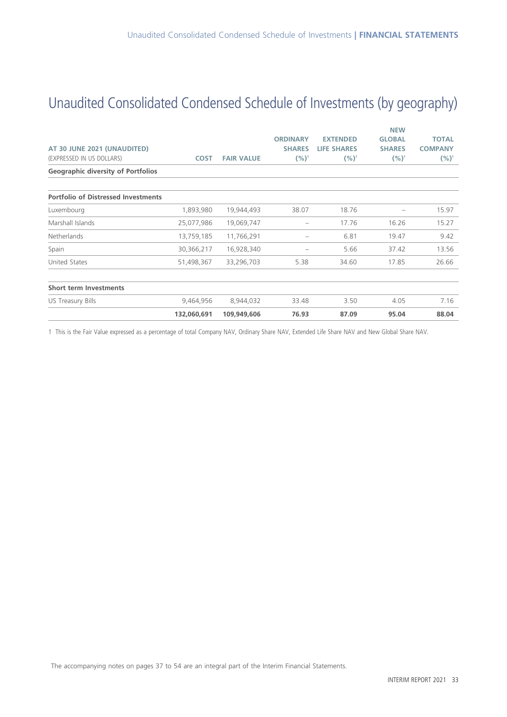# Unaudited Consolidated Condensed Schedule of Investments (by geography)

|                                            |             |                   |                 |                    | <b>NEW</b>    |                |
|--------------------------------------------|-------------|-------------------|-----------------|--------------------|---------------|----------------|
|                                            |             |                   | <b>ORDINARY</b> | <b>EXTENDED</b>    | <b>GLOBAL</b> | <b>TOTAL</b>   |
| AT 30 JUNE 2021 (UNAUDITED)                |             |                   | <b>SHARES</b>   | <b>LIFE SHARES</b> | <b>SHARES</b> | <b>COMPANY</b> |
| (EXPRESSED IN US DOLLARS)                  | <b>COST</b> | <b>FAIR VALUE</b> | $(%)^1$         | $(%)^1$            | $(%)^1$       | $(%)^1$        |
| <b>Geographic diversity of Portfolios</b>  |             |                   |                 |                    |               |                |
| <b>Portfolio of Distressed Investments</b> |             |                   |                 |                    |               |                |
| Luxembourg                                 | 1,893,980   | 19,944,493        | 38.07           | 18.76              |               | 15.97          |
| Marshall Islands                           | 25,077,986  | 19,069,747        | —               | 17.76              | 16.26         | 15.27          |
| <b>Netherlands</b>                         | 13,759,185  | 11,766,291        | -               | 6.81               | 19.47         | 9.42           |
| Spain                                      | 30,366,217  | 16,928,340        | -               | 5.66               | 37.42         | 13.56          |
| United States                              | 51,498,367  | 33,296,703        | 5.38            | 34.60              | 17.85         | 26.66          |
| <b>Short term Investments</b>              |             |                   |                 |                    |               |                |
| US Treasury Bills                          | 9,464,956   | 8,944,032         | 33.48           | 3.50               | 4.05          | 7.16           |
|                                            | 132,060,691 | 109,949,606       | 76.93           | 87.09              | 95.04         | 88.04          |

1 This is the Fair Value expressed as a percentage of total Company NAV, Ordinary Share NAV, Extended Life Share NAV and New Global Share NAV.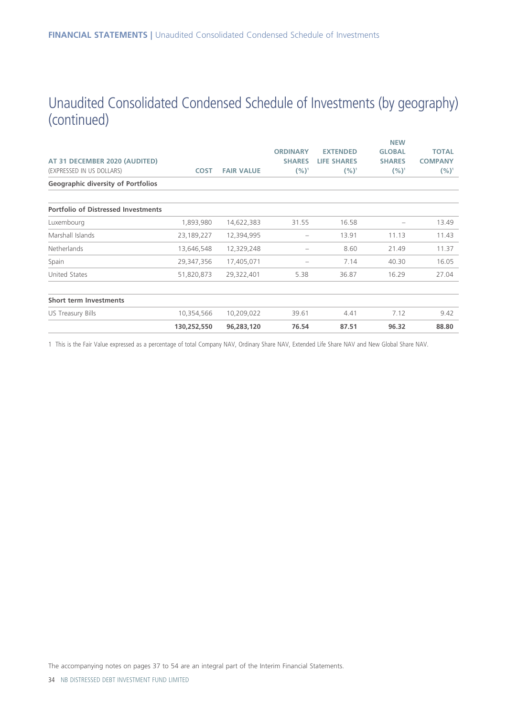### Unaudited Consolidated Condensed Schedule of Investments (by geography) (continued)

|                                            |             |                   |                 |                    | <b>NEW</b>    |                |
|--------------------------------------------|-------------|-------------------|-----------------|--------------------|---------------|----------------|
|                                            |             |                   | <b>ORDINARY</b> | <b>EXTENDED</b>    | <b>GLOBAL</b> | <b>TOTAL</b>   |
| AT 31 DECEMBER 2020 (AUDITED)              |             |                   | <b>SHARES</b>   | <b>LIFE SHARES</b> | <b>SHARES</b> | <b>COMPANY</b> |
| (EXPRESSED IN US DOLLARS)                  | <b>COST</b> | <b>FAIR VALUE</b> | $(%)^1$         | $(%)^1$            | $(%)^1$       | $(%)^1$        |
| <b>Geographic diversity of Portfolios</b>  |             |                   |                 |                    |               |                |
| <b>Portfolio of Distressed Investments</b> |             |                   |                 |                    |               |                |
| Luxembourg                                 | 1,893,980   | 14,622,383        | 31.55           | 16.58              |               | 13.49          |
| Marshall Islands                           | 23,189,227  | 12,394,995        | -               | 13.91              | 11.13         | 11.43          |
| Netherlands                                | 13,646,548  | 12,329,248        |                 | 8.60               | 21.49         | 11.37          |
| Spain                                      | 29,347,356  | 17,405,071        | -               | 7.14               | 40.30         | 16.05          |
| United States                              | 51,820,873  | 29,322,401        | 5.38            | 36.87              | 16.29         | 27.04          |
| <b>Short term Investments</b>              |             |                   |                 |                    |               |                |
| US Treasury Bills                          | 10,354,566  | 10,209,022        | 39.61           | 4.41               | 7.12          | 9.42           |
|                                            | 130,252,550 | 96,283,120        | 76.54           | 87.51              | 96.32         | 88.80          |
|                                            |             |                   |                 |                    |               |                |

1 This is the Fair Value expressed as a percentage of total Company NAV, Ordinary Share NAV, Extended Life Share NAV and New Global Share NAV.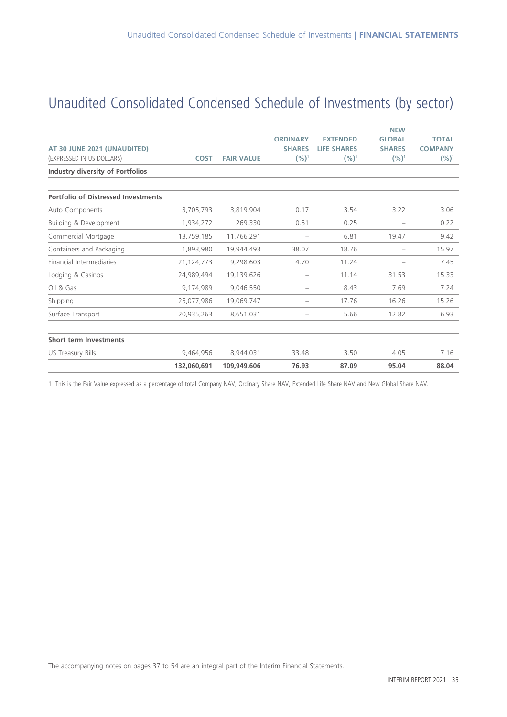# Unaudited Consolidated Condensed Schedule of Investments (by sector)

| AT 30 JUNE 2021 (UNAUDITED)<br>(EXPRESSED IN US DOLLARS) | <b>COST</b> | <b>FAIR VALUE</b> | <b>ORDINARY</b><br><b>SHARES</b><br>$(%)^1$ | <b>EXTENDED</b><br><b>LIFE SHARES</b><br>$(%)^1$ | <b>NEW</b><br><b>GLOBAL</b><br><b>SHARES</b><br>$(%)^1$ | <b>TOTAL</b><br><b>COMPANY</b><br>$(%)^1$ |
|----------------------------------------------------------|-------------|-------------------|---------------------------------------------|--------------------------------------------------|---------------------------------------------------------|-------------------------------------------|
| <b>Industry diversity of Portfolios</b>                  |             |                   |                                             |                                                  |                                                         |                                           |
| <b>Portfolio of Distressed Investments</b>               |             |                   |                                             |                                                  |                                                         |                                           |
| Auto Components                                          | 3,705,793   | 3,819,904         | 0.17                                        | 3.54                                             | 3.22                                                    | 3.06                                      |
| Building & Development                                   | 1,934,272   | 269,330           | 0.51                                        | 0.25                                             |                                                         | 0.22                                      |
| Commercial Mortgage                                      | 13,759,185  | 11,766,291        | $\overline{\phantom{0}}$                    | 6.81                                             | 19.47                                                   | 9.42                                      |
| Containers and Packaging                                 | 1,893,980   | 19,944,493        | 38.07                                       | 18.76                                            |                                                         | 15.97                                     |
| <b>Financial Intermediaries</b>                          | 21,124,773  | 9,298,603         | 4.70                                        | 11.24                                            |                                                         | 7.45                                      |
| Lodging & Casinos                                        | 24,989,494  | 19,139,626        | $\qquad \qquad -$                           | 11.14                                            | 31.53                                                   | 15.33                                     |
| Oil & Gas                                                | 9,174,989   | 9,046,550         | $\overline{\phantom{0}}$                    | 8.43                                             | 7.69                                                    | 7.24                                      |
| Shipping                                                 | 25,077,986  | 19,069,747        |                                             | 17.76                                            | 16.26                                                   | 15.26                                     |
| Surface Transport                                        | 20,935,263  | 8,651,031         | $\overline{\phantom{0}}$                    | 5.66                                             | 12.82                                                   | 6.93                                      |
| <b>Short term Investments</b>                            |             |                   |                                             |                                                  |                                                         |                                           |
| <b>US Treasury Bills</b>                                 | 9.464.956   | 8.944.031         | 33.48                                       | 3.50                                             | 4.05                                                    | 7.16                                      |
|                                                          | 132,060,691 | 109,949,606       | 76.93                                       | 87.09                                            | 95.04                                                   | 88.04                                     |

1 This is the Fair Value expressed as a percentage of total Company NAV, Ordinary Share NAV, Extended Life Share NAV and New Global Share NAV.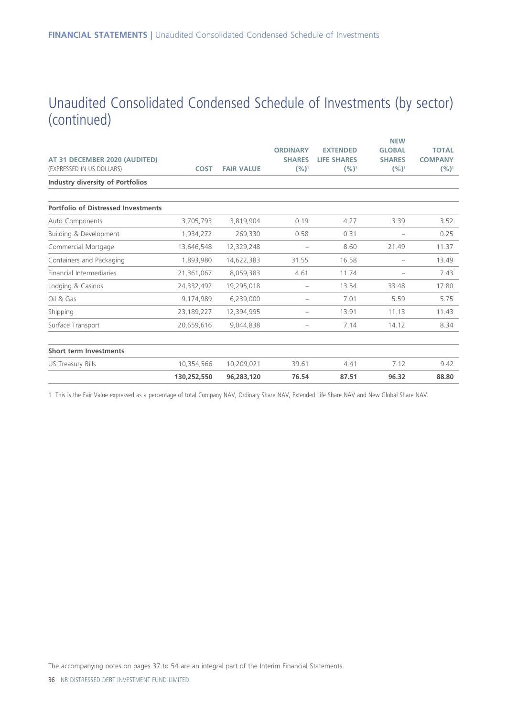### Unaudited Consolidated Condensed Schedule of Investments (by sector) (continued)

|                                            |             |                   |                          |                    | <b>NEW</b>               |                |
|--------------------------------------------|-------------|-------------------|--------------------------|--------------------|--------------------------|----------------|
|                                            |             |                   | <b>ORDINARY</b>          | <b>EXTENDED</b>    | <b>GLOBAL</b>            | <b>TOTAL</b>   |
| AT 31 DECEMBER 2020 (AUDITED)              |             |                   | <b>SHARES</b>            | <b>LIFE SHARES</b> | <b>SHARES</b>            | <b>COMPANY</b> |
| (EXPRESSED IN US DOLLARS)                  | <b>COST</b> | <b>FAIR VALUE</b> | $(%)^1$                  | $(%)^1$            | $(%)^1$                  | $(%)^1$        |
| <b>Industry diversity of Portfolios</b>    |             |                   |                          |                    |                          |                |
| <b>Portfolio of Distressed Investments</b> |             |                   |                          |                    |                          |                |
| Auto Components                            | 3,705,793   | 3,819,904         | 0.19                     | 4.27               | 3.39                     | 3.52           |
| Building & Development                     | 1,934,272   | 269,330           | 0.58                     | 0.31               |                          | 0.25           |
| Commercial Mortgage                        | 13,646,548  | 12,329,248        |                          | 8.60               | 21.49                    | 11.37          |
| Containers and Packaging                   | 1,893,980   | 14,622,383        | 31.55                    | 16.58              | $\overline{\phantom{0}}$ | 13.49          |
| Financial Intermediaries                   | 21,361,067  | 8,059,383         | 4.61                     | 11.74              |                          | 7.43           |
| Lodging & Casinos                          | 24,332,492  | 19,295,018        | $\overline{\phantom{0}}$ | 13.54              | 33.48                    | 17.80          |
| Oil & Gas                                  | 9,174,989   | 6,239,000         | $\overline{\phantom{0}}$ | 7.01               | 5.59                     | 5.75           |
| Shipping                                   | 23,189,227  | 12,394,995        | $\overline{\phantom{0}}$ | 13.91              | 11.13                    | 11.43          |
| Surface Transport                          | 20,659,616  | 9,044,838         | $\overline{\phantom{0}}$ | 7.14               | 14.12                    | 8.34           |
| Short term Investments                     |             |                   |                          |                    |                          |                |
| <b>US Treasury Bills</b>                   | 10,354,566  | 10,209,021        | 39.61                    | 4.41               | 7.12                     | 9.42           |
|                                            | 130,252,550 | 96,283,120        | 76.54                    | 87.51              | 96.32                    | 88.80          |
|                                            |             |                   |                          |                    |                          |                |

1 This is the Fair Value expressed as a percentage of total Company NAV, Ordinary Share NAV, Extended Life Share NAV and New Global Share NAV.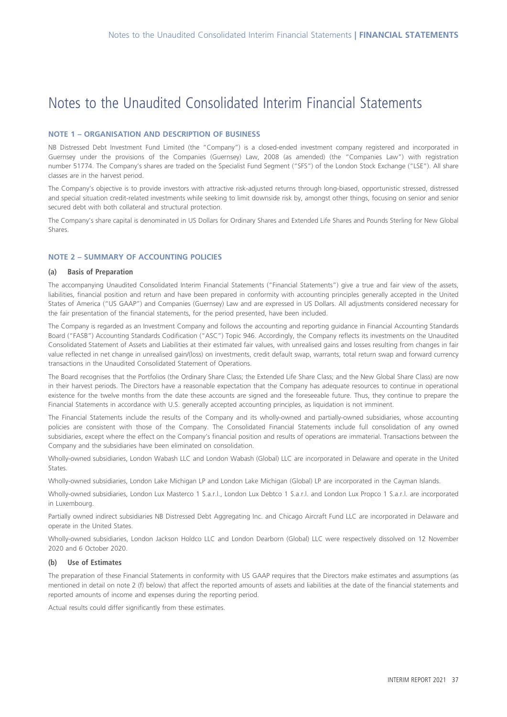### Notes to the Unaudited Consolidated Interim Financial Statements

#### **NOTE 1 – ORGANISATION AND DESCRIPTION OF BUSINESS**

NB Distressed Debt Investment Fund Limited (the "Company") is a closed-ended investment company registered and incorporated in Guernsey under the provisions of the Companies (Guernsey) Law, 2008 (as amended) (the "Companies Law") with registration number 51774. The Company's shares are traded on the Specialist Fund Segment ("SFS") of the London Stock Exchange ("LSE"). All share classes are in the harvest period.

The Company's objective is to provide investors with attractive risk-adjusted returns through long-biased, opportunistic stressed, distressed and special situation credit-related investments while seeking to limit downside risk by, amongst other things, focusing on senior and senior secured debt with both collateral and structural protection.

The Company's share capital is denominated in US Dollars for Ordinary Shares and Extended Life Shares and Pounds Sterling for New Global Shares.

#### **NOTE 2 – SUMMARY OF ACCOUNTING POLICIES**

#### **(a) Basis of Preparation**

The accompanying Unaudited Consolidated Interim Financial Statements ("Financial Statements") give a true and fair view of the assets, liabilities, financial position and return and have been prepared in conformity with accounting principles generally accepted in the United States of America ("US GAAP") and Companies (Guernsey) Law and are expressed in US Dollars. All adjustments considered necessary for the fair presentation of the financial statements, for the period presented, have been included.

The Company is regarded as an Investment Company and follows the accounting and reporting guidance in Financial Accounting Standards Board ("FASB") Accounting Standards Codification ("ASC") Topic 946. Accordingly, the Company reflects its investments on the Unaudited Consolidated Statement of Assets and Liabilities at their estimated fair values, with unrealised gains and losses resulting from changes in fair value reflected in net change in unrealised gain/(loss) on investments, credit default swap, warrants, total return swap and forward currency transactions in the Unaudited Consolidated Statement of Operations.

The Board recognises that the Portfolios (the Ordinary Share Class; the Extended Life Share Class; and the New Global Share Class) are now in their harvest periods. The Directors have a reasonable expectation that the Company has adequate resources to continue in operational existence for the twelve months from the date these accounts are signed and the foreseeable future. Thus, they continue to prepare the Financial Statements in accordance with U.S. generally accepted accounting principles, as liquidation is not imminent.

The Financial Statements include the results of the Company and its wholly-owned and partially-owned subsidiaries, whose accounting policies are consistent with those of the Company. The Consolidated Financial Statements include full consolidation of any owned subsidiaries, except where the effect on the Company's financial position and results of operations are immaterial. Transactions between the Company and the subsidiaries have been eliminated on consolidation.

Wholly-owned subsidiaries, London Wabash LLC and London Wabash (Global) LLC are incorporated in Delaware and operate in the United States.

Wholly-owned subsidiaries, London Lake Michigan LP and London Lake Michigan (Global) LP are incorporated in the Cayman Islands.

Wholly-owned subsidiaries, London Lux Masterco 1 S.a.r.l., London Lux Debtco 1 S.a.r.l. and London Lux Propco 1 S.a.r.l. are incorporated in Luxembourg.

Partially owned indirect subsidiaries NB Distressed Debt Aggregating Inc. and Chicago Aircraft Fund LLC are incorporated in Delaware and operate in the United States.

Wholly-owned subsidiaries, London Jackson Holdco LLC and London Dearborn (Global) LLC were respectively dissolved on 12 November 2020 and 6 October 2020.

#### **(b) Use of Estimates**

The preparation of these Financial Statements in conformity with US GAAP requires that the Directors make estimates and assumptions (as mentioned in detail on note 2 (f) below) that affect the reported amounts of assets and liabilities at the date of the financial statements and reported amounts of income and expenses during the reporting period.

Actual results could differ significantly from these estimates.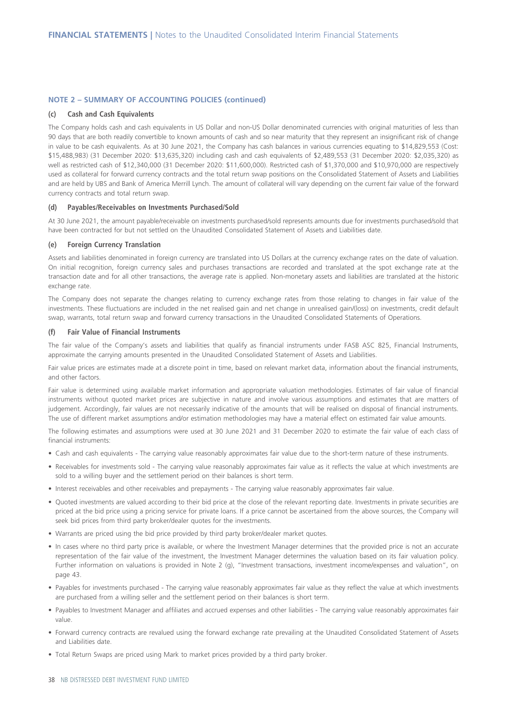#### **(c) Cash and Cash Equivalents**

The Company holds cash and cash equivalents in US Dollar and non-US Dollar denominated currencies with original maturities of less than 90 days that are both readily convertible to known amounts of cash and so near maturity that they represent an insignificant risk of change in value to be cash equivalents. As at 30 June 2021, the Company has cash balances in various currencies equating to \$14,829,553 (Cost: \$15,488,983) (31 December 2020: \$13,635,320) including cash and cash equivalents of \$2,489,553 (31 December 2020: \$2,035,320) as well as restricted cash of \$12,340,000 (31 December 2020: \$11,600,000). Restricted cash of \$1,370,000 and \$10,970,000 are respectively used as collateral for forward currency contracts and the total return swap positions on the Consolidated Statement of Assets and Liabilities and are held by UBS and Bank of America Merrill Lynch. The amount of collateral will vary depending on the current fair value of the forward currency contracts and total return swap.

#### **(d) Payables/Receivables on Investments Purchased/Sold**

At 30 June 2021, the amount payable/receivable on investments purchased/sold represents amounts due for investments purchased/sold that have been contracted for but not settled on the Unaudited Consolidated Statement of Assets and Liabilities date.

#### **(e) Foreign Currency Translation**

Assets and liabilities denominated in foreign currency are translated into US Dollars at the currency exchange rates on the date of valuation. On initial recognition, foreign currency sales and purchases transactions are recorded and translated at the spot exchange rate at the transaction date and for all other transactions, the average rate is applied. Non-monetary assets and liabilities are translated at the historic exchange rate.

The Company does not separate the changes relating to currency exchange rates from those relating to changes in fair value of the investments. These fluctuations are included in the net realised gain and net change in unrealised gain/(loss) on investments, credit default swap, warrants, total return swap and forward currency transactions in the Unaudited Consolidated Statements of Operations.

#### **(f) Fair Value of Financial Instruments**

The fair value of the Company's assets and liabilities that qualify as financial instruments under FASB ASC 825, Financial Instruments, approximate the carrying amounts presented in the Unaudited Consolidated Statement of Assets and Liabilities.

Fair value prices are estimates made at a discrete point in time, based on relevant market data, information about the financial instruments, and other factors.

Fair value is determined using available market information and appropriate valuation methodologies. Estimates of fair value of financial instruments without quoted market prices are subjective in nature and involve various assumptions and estimates that are matters of judgement. Accordingly, fair values are not necessarily indicative of the amounts that will be realised on disposal of financial instruments. The use of different market assumptions and/or estimation methodologies may have a material effect on estimated fair value amounts.

The following estimates and assumptions were used at 30 June 2021 and 31 December 2020 to estimate the fair value of each class of financial instruments:

- Cash and cash equivalents The carrying value reasonably approximates fair value due to the short-term nature of these instruments.
- Receivables for investments sold The carrying value reasonably approximates fair value as it reflects the value at which investments are sold to a willing buyer and the settlement period on their balances is short term.
- Interest receivables and other receivables and prepayments The carrying value reasonably approximates fair value.
- Quoted investments are valued according to their bid price at the close of the relevant reporting date. Investments in private securities are priced at the bid price using a pricing service for private loans. If a price cannot be ascertained from the above sources, the Company will seek bid prices from third party broker/dealer quotes for the investments.
- Warrants are priced using the bid price provided by third party broker/dealer market quotes.
- In cases where no third party price is available, or where the Investment Manager determines that the provided price is not an accurate representation of the fair value of the investment, the Investment Manager determines the valuation based on its fair valuation policy. Further information on valuations is provided in Note 2 (g), "Investment transactions, investment income/expenses and valuation", on page 43.
- Payables for investments purchased The carrying value reasonably approximates fair value as they reflect the value at which investments are purchased from a willing seller and the settlement period on their balances is short term.
- Payables to Investment Manager and affiliates and accrued expenses and other liabilities The carrying value reasonably approximates fair value.
- Forward currency contracts are revalued using the forward exchange rate prevailing at the Unaudited Consolidated Statement of Assets and Liabilities date.
- Total Return Swaps are priced using Mark to market prices provided by a third party broker.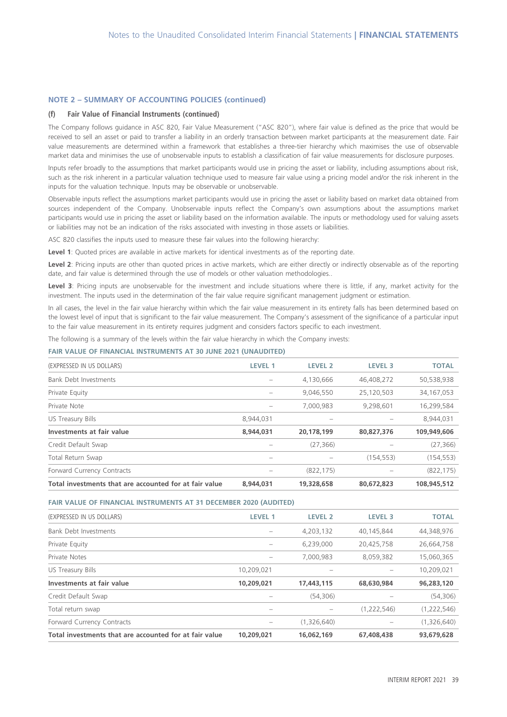#### **(f) Fair Value of Financial Instruments (continued)**

The Company follows guidance in ASC 820, Fair Value Measurement ("ASC 820"), where fair value is defined as the price that would be received to sell an asset or paid to transfer a liability in an orderly transaction between market participants at the measurement date. Fair value measurements are determined within a framework that establishes a three-tier hierarchy which maximises the use of observable market data and minimises the use of unobservable inputs to establish a classification of fair value measurements for disclosure purposes.

Inputs refer broadly to the assumptions that market participants would use in pricing the asset or liability, including assumptions about risk, such as the risk inherent in a particular valuation technique used to measure fair value using a pricing model and/or the risk inherent in the inputs for the valuation technique. Inputs may be observable or unobservable.

Observable inputs reflect the assumptions market participants would use in pricing the asset or liability based on market data obtained from sources independent of the Company. Unobservable inputs reflect the Company's own assumptions about the assumptions market participants would use in pricing the asset or liability based on the information available. The inputs or methodology used for valuing assets or liabilities may not be an indication of the risks associated with investing in those assets or liabilities.

ASC 820 classifies the inputs used to measure these fair values into the following hierarchy:

**Level 1**: Quoted prices are available in active markets for identical investments as of the reporting date.

Level 2: Pricing inputs are other than quoted prices in active markets, which are either directly or indirectly observable as of the reporting date, and fair value is determined through the use of models or other valuation methodologies..

Level 3: Pricing inputs are unobservable for the investment and include situations where there is little, if any, market activity for the investment. The inputs used in the determination of the fair value require significant management judgment or estimation.

In all cases, the level in the fair value hierarchy within which the fair value measurement in its entirety falls has been determined based on the lowest level of input that is significant to the fair value measurement. The Company's assessment of the significance of a particular input to the fair value measurement in its entirety requires judgment and considers factors specific to each investment.

The following is a summary of the levels within the fair value hierarchy in which the Company invests:

#### **FAIR VALUE OF FINANCIAL INSTRUMENTS AT 30 JUNE 2021 (UNAUDITED)**

| (EXPRESSED IN US DOLLARS)                              | <b>LEVEL 1</b>           | <b>LEVEL 2</b> | LEVEL <sub>3</sub> | <b>TOTAL</b> |
|--------------------------------------------------------|--------------------------|----------------|--------------------|--------------|
| Bank Debt Investments                                  |                          | 4,130,666      | 46,408,272         | 50,538,938   |
| Private Equity                                         |                          | 9,046,550      | 25,120,503         | 34, 167, 053 |
| Private Note                                           |                          | 7,000,983      | 9,298,601          | 16,299,584   |
| US Treasury Bills                                      | 8.944.031                |                |                    | 8,944,031    |
| Investments at fair value                              | 8,944,031                | 20,178,199     | 80,827,376         | 109,949,606  |
| Credit Default Swap                                    |                          | (27, 366)      |                    | (27, 366)    |
| Total Return Swap                                      | $\overline{\phantom{m}}$ |                | (154, 553)         | (154, 553)   |
| Forward Currency Contracts                             |                          | (822, 175)     |                    | (822, 175)   |
| Total investments that are accounted for at fair value | 8.944.031                | 19,328,658     | 80,672,823         | 108,945,512  |

#### **FAIR VALUE OF FINANCIAL INSTRUMENTS AT 31 DECEMBER 2020 (AUDITED)**

| (EXPRESSED IN US DOLLARS)                              | LEVEL 1         | <b>LEVEL 2</b> | LEVEL <sub>3</sub> | <b>TOTAL</b> |
|--------------------------------------------------------|-----------------|----------------|--------------------|--------------|
| Bank Debt Investments                                  |                 | 4,203,132      | 40.145.844         | 44,348,976   |
| Private Equity                                         |                 | 6,239,000      | 20,425,758         | 26,664,758   |
| Private Notes                                          |                 | 7,000,983      | 8,059,382          | 15,060,365   |
| US Treasury Bills                                      | 10,209,021      |                |                    | 10,209,021   |
| Investments at fair value                              | 10,209,021      | 17,443,115     | 68.630.984         | 96,283,120   |
| Credit Default Swap                                    |                 | (54,306)       |                    | (54, 306)    |
| Total return swap                                      | $\qquad \qquad$ |                | (1,222,546)        | (1,222,546)  |
| Forward Currency Contracts                             |                 | (1,326,640)    |                    | (1,326,640)  |
| Total investments that are accounted for at fair value | 10,209,021      | 16.062.169     | 67,408,438         | 93,679,628   |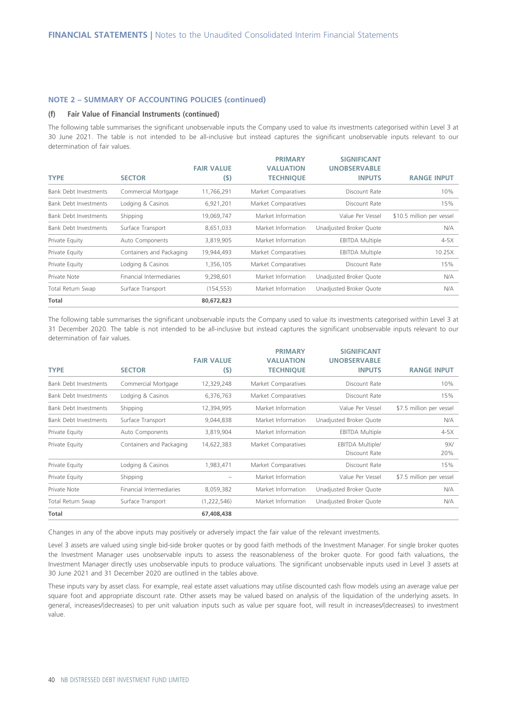#### **(f) Fair Value of Financial Instruments (continued)**

The following table summarises the significant unobservable inputs the Company used to value its investments categorised within Level 3 at 30 June 2021. The table is not intended to be all-inclusive but instead captures the significant unobservable inputs relevant to our determination of fair values.

|                              |                          |                   | <b>PRIMARY</b>      | <b>SIGNIFICANT</b>      |                           |
|------------------------------|--------------------------|-------------------|---------------------|-------------------------|---------------------------|
|                              |                          | <b>FAIR VALUE</b> | <b>VALUATION</b>    | <b>UNOBSERVABLE</b>     |                           |
| <b>TYPE</b>                  | <b>SECTOR</b>            | (5)               | <b>TECHNIOUE</b>    | <b>INPUTS</b>           | <b>RANGE INPUT</b>        |
| <b>Bank Debt Investments</b> | Commercial Mortgage      | 11,766,291        | Market Comparatives | Discount Rate           | 10%                       |
| <b>Bank Debt Investments</b> | Lodging & Casinos        | 6,921,201         | Market Comparatives | Discount Rate           | 15%                       |
| <b>Bank Debt Investments</b> | Shipping                 | 19,069,747        | Market Information  | Value Per Vessel        | \$10.5 million per vessel |
| <b>Bank Debt Investments</b> | Surface Transport        | 8,651,033         | Market Information  | Unadjusted Broker Quote | N/A                       |
| Private Equity               | Auto Components          | 3,819,905         | Market Information  | <b>EBITDA Multiple</b>  | $4-5X$                    |
| Private Equity               | Containers and Packaging | 19,944,493        | Market Comparatives | <b>EBITDA Multiple</b>  | 10.25X                    |
| Private Equity               | Lodging & Casinos        | 1,356,105         | Market Comparatives | Discount Rate           | 15%                       |
| Private Note                 | Financial Intermediaries | 9,298,601         | Market Information  | Unadjusted Broker Quote | N/A                       |
| Total Return Swap            | Surface Transport        | (154, 553)        | Market Information  | Unadjusted Broker Quote | N/A                       |
| Total                        |                          | 80,672,823        |                     |                         |                           |

The following table summarises the significant unobservable inputs the Company used to value its investments categorised within Level 3 at 31 December 2020. The table is not intended to be all-inclusive but instead captures the significant unobservable inputs relevant to our determination of fair values.

|                              |                          |                   | <b>PRIMARY</b>      | <b>SIGNIFICANT</b>      |                          |
|------------------------------|--------------------------|-------------------|---------------------|-------------------------|--------------------------|
|                              |                          | <b>FAIR VALUE</b> | <b>VALUATION</b>    | <b>UNOBSERVABLE</b>     |                          |
| <b>TYPE</b>                  | <b>SECTOR</b>            | (5)               | <b>TECHNIQUE</b>    | <b>INPUTS</b>           | <b>RANGE INPUT</b>       |
| <b>Bank Debt Investments</b> | Commercial Mortgage      | 12,329,248        | Market Comparatives | Discount Rate           | 10%                      |
| <b>Bank Debt Investments</b> | Lodging & Casinos        | 6,376,763         | Market Comparatives | Discount Rate           | 15%                      |
| <b>Bank Debt Investments</b> | Shipping                 | 12,394,995        | Market Information  | Value Per Vessel        | \$7.5 million per vessel |
| <b>Bank Debt Investments</b> | Surface Transport        | 9,044,838         | Market Information  | Unadjusted Broker Quote | N/A                      |
| Private Equity               | Auto Components          | 3,819,904         | Market Information  | <b>EBITDA Multiple</b>  | $4-5X$                   |
| Private Equity               | Containers and Packaging | 14,622,383        | Market Comparatives | <b>EBITDA Multiple/</b> | 9X/                      |
|                              |                          |                   |                     | Discount Rate           | 20%                      |
| Private Equity               | Lodging & Casinos        | 1,983,471         | Market Comparatives | Discount Rate           | 15%                      |
| Private Equity               | Shipping                 |                   | Market Information  | Value Per Vessel        | \$7.5 million per vessel |
| Private Note                 | Financial Intermediaries | 8,059,382         | Market Information  | Unadjusted Broker Quote | N/A                      |
| Total Return Swap            | Surface Transport        | (1,222,546)       | Market Information  | Unadjusted Broker Quote | N/A                      |
| Total                        |                          | 67,408,438        |                     |                         |                          |

Changes in any of the above inputs may positively or adversely impact the fair value of the relevant investments.

Level 3 assets are valued using single bid-side broker quotes or by good faith methods of the Investment Manager. For single broker quotes the Investment Manager uses unobservable inputs to assess the reasonableness of the broker quote. For good faith valuations, the Investment Manager directly uses unobservable inputs to produce valuations. The significant unobservable inputs used in Level 3 assets at 30 June 2021 and 31 December 2020 are outlined in the tables above.

These inputs vary by asset class. For example, real estate asset valuations may utilise discounted cash flow models using an average value per square foot and appropriate discount rate. Other assets may be valued based on analysis of the liquidation of the underlying assets. In general, increases/(decreases) to per unit valuation inputs such as value per square foot, will result in increases/(decreases) to investment value.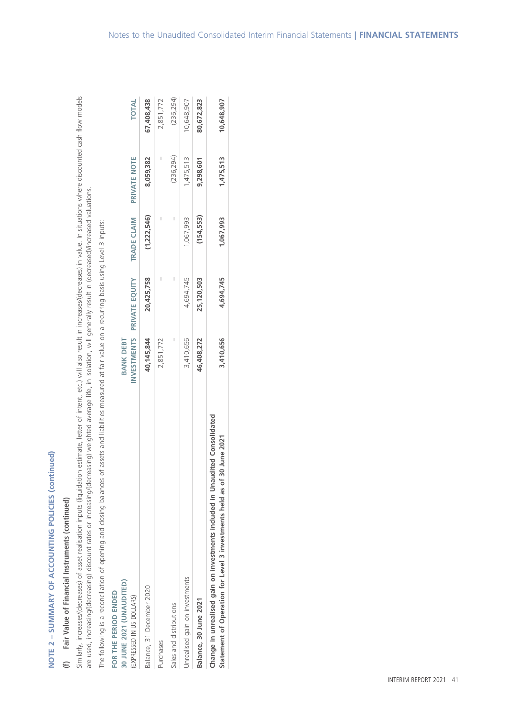| u<br>ш<br>ڗ<br>I<br>é<br>ς<br>ó<br>г<br>ι<br>÷<br>¢<br>١<br>Ļ,<br>d<br>ш<br>ō<br>⋗<br>ö<br>é<br>к<br>r.<br>ı,<br>é<br>۰<br>÷<br>Ü<br>I<br>J<br>ť<br>J<br>J | ۶<br>١<br>ċ<br>ţ<br>۰<br>ä<br>ı<br>١<br>I<br>I |
|------------------------------------------------------------------------------------------------------------------------------------------------------------|------------------------------------------------|
|                                                                                                                                                            |                                                |
|                                                                                                                                                            |                                                |
|                                                                                                                                                            |                                                |
|                                                                                                                                                            |                                                |
| ١<br>ł<br>ż                                                                                                                                                |                                                |

# Fair Value of Financial Instruments (continued) **(f) Fair Value of Financial Instruments (continued)**   $\oplus$

Similarly, increases/(decreases) of asset realisation inputs (liquidation estimate, letter of intent, etc.) will also result in increases/(decreases) in value. In situations where discounted cash flow models Similarly, increases/(decreases) of asset realisation inputs (liquidation estimate, letter of intent, etc.) will also result in increases/(decreases) in value. In situations where discounted cash flow models are used, increasing/(decreasing) discount rates or increasing/(decreasing) weighted average life, in isolation, will generally result in (decreased)/increased valuations. are used, increasing/(decreasing) discount rates or increasing/(decreasing) weighted average life, in isolation, will generally result in (decreased)/increased valuations.

The following is a reconciliation of opening and closing balances of assets and liabilities measured at fair value on a recurring basis using Level 3 inputs: The following is a reconciliation of opening and closing balances of assets and liabilities measured at fair value on a recurring basis using Level 3 inputs:

| FOR THE PERIOD ENDED                                                                                                                                     |                    |                |             |              |              |
|----------------------------------------------------------------------------------------------------------------------------------------------------------|--------------------|----------------|-------------|--------------|--------------|
| 30 JUNE 2021 (UNAUDITED)                                                                                                                                 | <b>BANK DEBT</b>   |                |             |              |              |
| EXPRESSED IN US DOLLARS)                                                                                                                                 | <b>INVESTMENTS</b> | PRIVATE EQUITY | TRADE CLAIM | PRIVATE NOTE | <b>TOTAL</b> |
| Balance, 31 December 2020                                                                                                                                | 40,145,844         | 20,425,758     | (1,222,546) | 8,059,382    | 67,408,438   |
| Purchases                                                                                                                                                | 2,851,772          |                |             |              | 2,851,772    |
| Sales and distributions                                                                                                                                  | I                  | I              | I           | (236, 294)   | (236, 294)   |
| Unrealised gain on investments                                                                                                                           | 3,410,656          | 4,694,745      | 1,067,993   | 1,475,513    | 10,648,907   |
| Balance, 30 June 2021                                                                                                                                    | 46,408,272         | 25,120,503     | (154, 553)  | 9,298,601    | 80,672,823   |
| Change in unrealised gain on investments included in Unaudited Consolidated<br>30 June 2021<br>Statement of Operation for Level 3 investments held as of | 3,410,656          | 4,694,745      | 1,067,993   | 1,475,513    | 10,648,907   |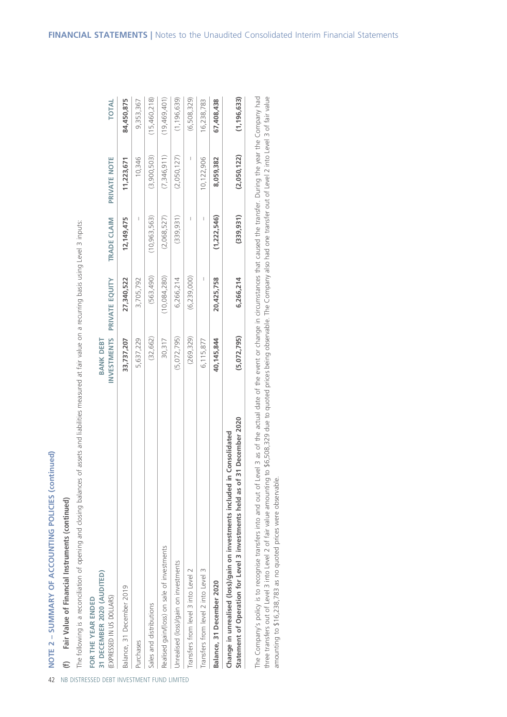| NOTE 2 – SUMMARY OF ACCOUNTING POLICIES (continued)<br>42                                                                                                        |                    |                |                |              |               |
|------------------------------------------------------------------------------------------------------------------------------------------------------------------|--------------------|----------------|----------------|--------------|---------------|
| (f) Fair Value of Financial Instruments (continued)                                                                                                              |                    |                |                |              |               |
| of assets and liabilities measured at fair value on a recurring basis using Level 3 inputs:<br>The following is a reconciliation of opening and closing balances |                    |                |                |              |               |
| 31 DECEMBER 2020 (AUDITED)<br>FOR THE YEAR ENDED<br>NB DISTRESSED                                                                                                | BANK DEBT          |                |                |              |               |
| (EXPRESSED IN US DOLLARS)<br><b>DFRT</b>                                                                                                                         | <b>INVESTMENTS</b> | PRIVATE EQUITY | TRADE CLAIM    | PRIVATE NOTE | <b>TOTAL</b>  |
| Balance, 31 December 2019                                                                                                                                        | 33,737,207         | 27,340,522     | 12, 149, 475   | 11,223,671   | 84,450,875    |
| <b>Purchases</b>                                                                                                                                                 | 5,637,229          | 3,705,792      | I              | 10,346       | 9,353,367     |
| Sales and distributions                                                                                                                                          | (32, 662)          | (563, 490)     | (10, 963, 563) | (3,900,503)  | (15,460,218)  |
| Realised gain/(loss) on sale of investments<br><b>FUND</b>                                                                                                       | 30,317             | (10,084,280)   | (2,068,527)    | (7,346,911)  | (19,469,401)  |
| Unrealised (loss)/gain on investments<br><b>LIMITED</b>                                                                                                          | (5,072,795)        | 6,266,214      | (339,931)      | (2,050,127)  | (1, 196, 639) |
| 2<br>Transfers from level 3 into Level                                                                                                                           | (269, 329)         | (6,239,000)    | I              | I            | (6,508,329)   |
| $\infty$<br>Transfers from level 2 into Level                                                                                                                    | 6,115,877          | I              | I              | 10,122,906   | 16,238,783    |
| Balance, 31 December 2020                                                                                                                                        | 40,145,844         | 20,425,758     | (1,222,546)    | 8,059,382    | 67,408,438    |
| 31 December 2020<br>Consolidated<br>Change in unrealised (loss)/gain on investments included in<br>Statement of Operation for Level 3 investments held as of     | (5,072,795)        | 6,266,214      | (339, 931)     | (2,050,122)  | (1, 196, 633) |
|                                                                                                                                                                  |                    |                |                |              |               |

The Company's policy is to recognise transfers into and out of Level 3 as of the actual date of the event or change in circumstances that caused the transfer. During the year the Company had The Company's policy is to recognise transfers into and out of Level 3 as of the actual date of the event or change in circumstances that caused the transfer. During the year the Company had three transfers out of Level 3 into Level 2 of fair value amounting to \$6,508,329 due to quoted prices being observable. The Company also had one transfer out of Level 2 into Level 3 of fair value three transfers out of Level 3 into Level 2 of fair value amounting to \$6,508,329 due to quoted prices being observable. The Company also had one transfer out of Level 2 into Level 3 of fair value amounting to \$16,238,783 as no quoted prices were observable. amounting to \$16,238,783 as no quoted prices were observable.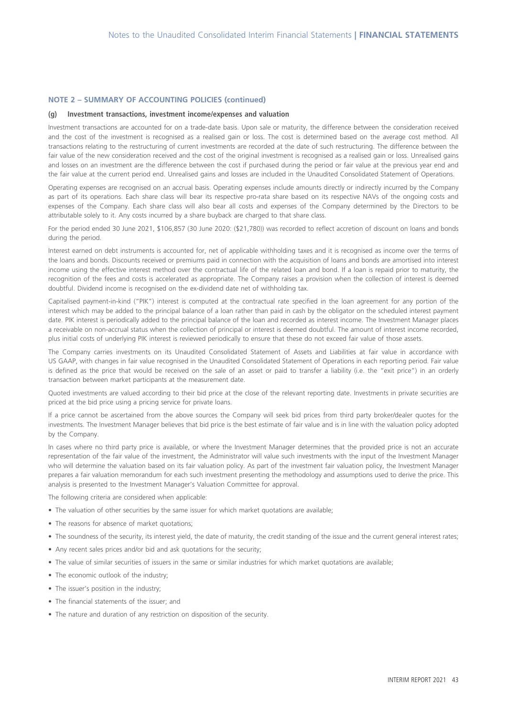#### **(g) Investment transactions, investment income/expenses and valuation**

Investment transactions are accounted for on a trade-date basis. Upon sale or maturity, the difference between the consideration received and the cost of the investment is recognised as a realised gain or loss. The cost is determined based on the average cost method. All transactions relating to the restructuring of current investments are recorded at the date of such restructuring. The difference between the fair value of the new consideration received and the cost of the original investment is recognised as a realised gain or loss. Unrealised gains and losses on an investment are the difference between the cost if purchased during the period or fair value at the previous year end and the fair value at the current period end. Unrealised gains and losses are included in the Unaudited Consolidated Statement of Operations.

Operating expenses are recognised on an accrual basis. Operating expenses include amounts directly or indirectly incurred by the Company as part of its operations. Each share class will bear its respective pro-rata share based on its respective NAVs of the ongoing costs and expenses of the Company. Each share class will also bear all costs and expenses of the Company determined by the Directors to be attributable solely to it. Any costs incurred by a share buyback are charged to that share class.

For the period ended 30 June 2021, \$106,857 (30 June 2020: (\$21,780)) was recorded to reflect accretion of discount on loans and bonds during the period.

Interest earned on debt instruments is accounted for, net of applicable withholding taxes and it is recognised as income over the terms of the loans and bonds. Discounts received or premiums paid in connection with the acquisition of loans and bonds are amortised into interest income using the effective interest method over the contractual life of the related loan and bond. If a loan is repaid prior to maturity, the recognition of the fees and costs is accelerated as appropriate. The Company raises a provision when the collection of interest is deemed doubtful. Dividend income is recognised on the ex-dividend date net of withholding tax.

Capitalised payment-in-kind ("PIK") interest is computed at the contractual rate specified in the loan agreement for any portion of the interest which may be added to the principal balance of a loan rather than paid in cash by the obligator on the scheduled interest payment date. PIK interest is periodically added to the principal balance of the loan and recorded as interest income. The Investment Manager places a receivable on non-accrual status when the collection of principal or interest is deemed doubtful. The amount of interest income recorded, plus initial costs of underlying PIK interest is reviewed periodically to ensure that these do not exceed fair value of those assets.

The Company carries investments on its Unaudited Consolidated Statement of Assets and Liabilities at fair value in accordance with US GAAP, with changes in fair value recognised in the Unaudited Consolidated Statement of Operations in each reporting period. Fair value is defined as the price that would be received on the sale of an asset or paid to transfer a liability (i.e. the "exit price") in an orderly transaction between market participants at the measurement date.

Quoted investments are valued according to their bid price at the close of the relevant reporting date. Investments in private securities are priced at the bid price using a pricing service for private loans.

If a price cannot be ascertained from the above sources the Company will seek bid prices from third party broker/dealer quotes for the investments. The Investment Manager believes that bid price is the best estimate of fair value and is in line with the valuation policy adopted by the Company.

In cases where no third party price is available, or where the Investment Manager determines that the provided price is not an accurate representation of the fair value of the investment, the Administrator will value such investments with the input of the Investment Manager who will determine the valuation based on its fair valuation policy. As part of the investment fair valuation policy, the Investment Manager prepares a fair valuation memorandum for each such investment presenting the methodology and assumptions used to derive the price. This analysis is presented to the Investment Manager's Valuation Committee for approval.

The following criteria are considered when applicable:

- The valuation of other securities by the same issuer for which market quotations are available;
- The reasons for absence of market quotations;
- The soundness of the security, its interest yield, the date of maturity, the credit standing of the issue and the current general interest rates;
- Any recent sales prices and/or bid and ask quotations for the security;
- The value of similar securities of issuers in the same or similar industries for which market quotations are available;
- The economic outlook of the industry;
- The issuer's position in the industry;
- The financial statements of the issuer; and
- The nature and duration of any restriction on disposition of the security.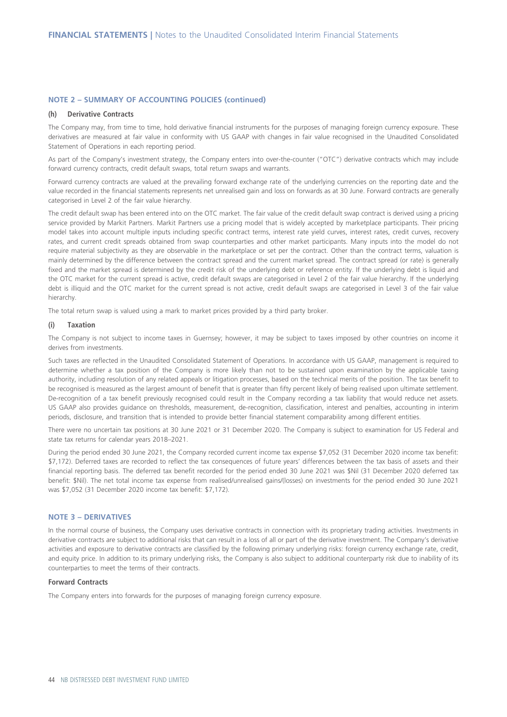#### **(h) Derivative Contracts**

The Company may, from time to time, hold derivative financial instruments for the purposes of managing foreign currency exposure. These derivatives are measured at fair value in conformity with US GAAP with changes in fair value recognised in the Unaudited Consolidated Statement of Operations in each reporting period.

As part of the Company's investment strategy, the Company enters into over-the-counter ("OTC") derivative contracts which may include forward currency contracts, credit default swaps, total return swaps and warrants.

Forward currency contracts are valued at the prevailing forward exchange rate of the underlying currencies on the reporting date and the value recorded in the financial statements represents net unrealised gain and loss on forwards as at 30 June. Forward contracts are generally categorised in Level 2 of the fair value hierarchy.

The credit default swap has been entered into on the OTC market. The fair value of the credit default swap contract is derived using a pricing service provided by Markit Partners. Markit Partners use a pricing model that is widely accepted by marketplace participants. Their pricing model takes into account multiple inputs including specific contract terms, interest rate yield curves, interest rates, credit curves, recovery rates, and current credit spreads obtained from swap counterparties and other market participants. Many inputs into the model do not require material subjectivity as they are observable in the marketplace or set per the contract. Other than the contract terms, valuation is mainly determined by the difference between the contract spread and the current market spread. The contract spread (or rate) is generally fixed and the market spread is determined by the credit risk of the underlying debt or reference entity. If the underlying debt is liquid and the OTC market for the current spread is active, credit default swaps are categorised in Level 2 of the fair value hierarchy. If the underlying debt is illiquid and the OTC market for the current spread is not active, credit default swaps are categorised in Level 3 of the fair value hierarchy.

The total return swap is valued using a mark to market prices provided by a third party broker.

#### **(i) Taxation**

The Company is not subject to income taxes in Guernsey; however, it may be subject to taxes imposed by other countries on income it derives from investments.

Such taxes are reflected in the Unaudited Consolidated Statement of Operations. In accordance with US GAAP, management is required to determine whether a tax position of the Company is more likely than not to be sustained upon examination by the applicable taxing authority, including resolution of any related appeals or litigation processes, based on the technical merits of the position. The tax benefit to be recognised is measured as the largest amount of benefit that is greater than fifty percent likely of being realised upon ultimate settlement. De-recognition of a tax benefit previously recognised could result in the Company recording a tax liability that would reduce net assets. US GAAP also provides guidance on thresholds, measurement, de-recognition, classification, interest and penalties, accounting in interim periods, disclosure, and transition that is intended to provide better financial statement comparability among different entities.

There were no uncertain tax positions at 30 June 2021 or 31 December 2020. The Company is subject to examination for US Federal and state tax returns for calendar years 2018–2021.

During the period ended 30 June 2021, the Company recorded current income tax expense \$7,052 (31 December 2020 income tax benefit: \$7,172). Deferred taxes are recorded to reflect the tax consequences of future years' differences between the tax basis of assets and their financial reporting basis. The deferred tax benefit recorded for the period ended 30 June 2021 was \$Nil (31 December 2020 deferred tax benefit: \$Nil). The net total income tax expense from realised/unrealised gains/(losses) on investments for the period ended 30 June 2021 was \$7,052 (31 December 2020 income tax benefit: \$7,172).

#### **NOTE 3 – DERIVATIVES**

In the normal course of business, the Company uses derivative contracts in connection with its proprietary trading activities. Investments in derivative contracts are subject to additional risks that can result in a loss of all or part of the derivative investment. The Company's derivative activities and exposure to derivative contracts are classified by the following primary underlying risks: foreign currency exchange rate, credit, and equity price. In addition to its primary underlying risks, the Company is also subject to additional counterparty risk due to inability of its counterparties to meet the terms of their contracts.

#### **Forward Contracts**

The Company enters into forwards for the purposes of managing foreign currency exposure.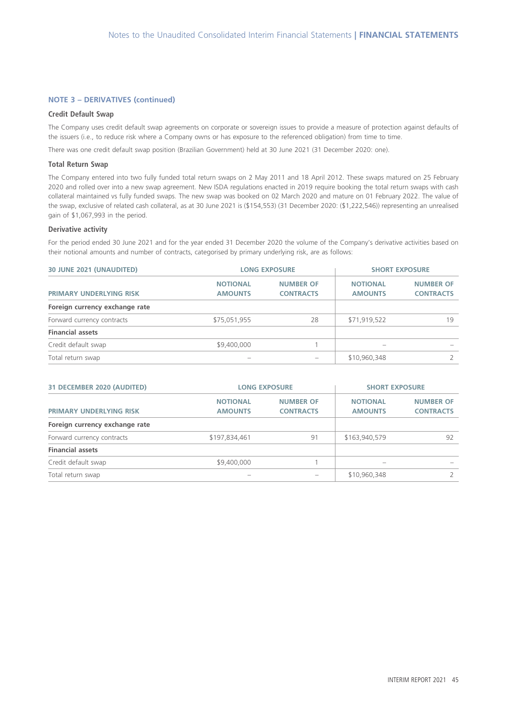#### **Credit Default Swap**

The Company uses credit default swap agreements on corporate or sovereign issues to provide a measure of protection against defaults of the issuers (i.e., to reduce risk where a Company owns or has exposure to the referenced obligation) from time to time.

There was one credit default swap position (Brazilian Government) held at 30 June 2021 (31 December 2020: one).

#### **Total Return Swap**

The Company entered into two fully funded total return swaps on 2 May 2011 and 18 April 2012. These swaps matured on 25 February 2020 and rolled over into a new swap agreement. New ISDA regulations enacted in 2019 require booking the total return swaps with cash collateral maintained vs fully funded swaps. The new swap was booked on 02 March 2020 and mature on 01 February 2022. The value of the swap, exclusive of related cash collateral, as at 30 June 2021 is (\$154,553) (31 December 2020: (\$1,222,546)) representing an unrealised gain of \$1,067,993 in the period.

#### **Derivative activity**

For the period ended 30 June 2021 and for the year ended 31 December 2020 the volume of the Company's derivative activities based on their notional amounts and number of contracts, categorised by primary underlying risk, are as follows:

| <b>30 JUNE 2021 (UNAUDITED)</b> |                                   | <b>LONG EXPOSURE</b>                 | <b>SHORT EXPOSURE</b>             |                                      |
|---------------------------------|-----------------------------------|--------------------------------------|-----------------------------------|--------------------------------------|
| <b>PRIMARY UNDERLYING RISK</b>  | <b>NOTIONAL</b><br><b>AMOUNTS</b> | <b>NUMBER OF</b><br><b>CONTRACTS</b> | <b>NOTIONAL</b><br><b>AMOUNTS</b> | <b>NUMBER OF</b><br><b>CONTRACTS</b> |
| Foreign currency exchange rate  |                                   |                                      |                                   |                                      |
| Forward currency contracts      | \$75,051,955                      | 28                                   | \$71,919,522                      | 19                                   |
| <b>Financial assets</b>         |                                   |                                      |                                   |                                      |
| Credit default swap             | \$9,400,000                       |                                      |                                   |                                      |
| Total return swap               |                                   |                                      | \$10,960,348                      |                                      |

| 31 DECEMBER 2020 (AUDITED)     |                                   | <b>LONG EXPOSURE</b>                 | <b>SHORT EXPOSURE</b>             |                                      |
|--------------------------------|-----------------------------------|--------------------------------------|-----------------------------------|--------------------------------------|
| <b>PRIMARY UNDERLYING RISK</b> | <b>NOTIONAL</b><br><b>AMOUNTS</b> | <b>NUMBER OF</b><br><b>CONTRACTS</b> | <b>NOTIONAL</b><br><b>AMOUNTS</b> | <b>NUMBER OF</b><br><b>CONTRACTS</b> |
| Foreign currency exchange rate |                                   |                                      |                                   |                                      |
| Forward currency contracts     | \$197,834,461                     | 91                                   | \$163,940,579                     | 92                                   |
| <b>Financial assets</b>        |                                   |                                      |                                   |                                      |
| Credit default swap            | \$9,400,000                       |                                      |                                   |                                      |
| Total return swap              |                                   |                                      | \$10,960,348                      |                                      |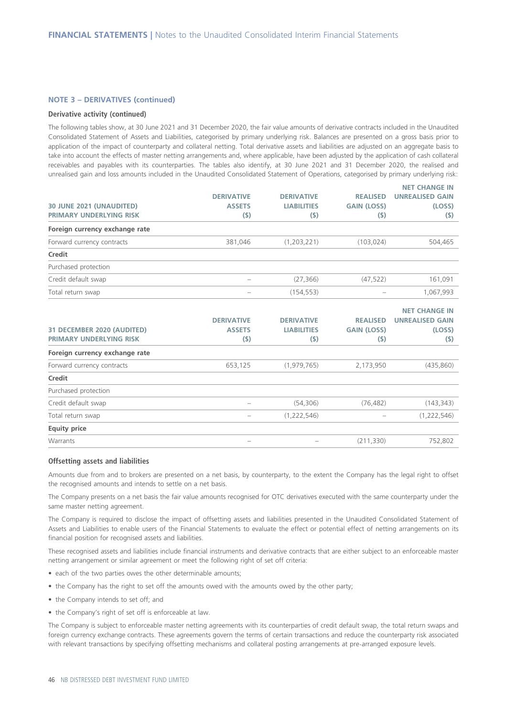#### **Derivative activity (continued)**

The following tables show, at 30 June 2021 and 31 December 2020, the fair value amounts of derivative contracts included in the Unaudited Consolidated Statement of Assets and Liabilities, categorised by primary underlying risk. Balances are presented on a gross basis prior to application of the impact of counterparty and collateral netting. Total derivative assets and liabilities are adjusted on an aggregate basis to take into account the effects of master netting arrangements and, where applicable, have been adjusted by the application of cash collateral receivables and payables with its counterparties. The tables also identify, at 30 June 2021 and 31 December 2020, the realised and unrealised gain and loss amounts included in the Unaudited Consolidated Statement of Operations, categorised by primary underlying risk:

| <b>30 JUNE 2021 (UNAUDITED)</b><br>PRIMARY UNDERLYING RISK | <b>DERIVATIVE</b><br><b>ASSETS</b><br>(5) | <b>DERIVATIVE</b><br><b>LIABILITIES</b><br>$(5)$ | <b>REALISED</b><br><b>GAIN (LOSS)</b><br>(\$) | <b>NET CHANGE IN</b><br><b>UNREALISED GAIN</b><br>(LOSS)<br>(\$) |
|------------------------------------------------------------|-------------------------------------------|--------------------------------------------------|-----------------------------------------------|------------------------------------------------------------------|
|                                                            |                                           |                                                  |                                               |                                                                  |
| Foreign currency exchange rate                             |                                           |                                                  |                                               |                                                                  |
| Forward currency contracts                                 | 381,046                                   | (1,203,221)                                      | (103, 024)                                    | 504,465                                                          |
| Credit                                                     |                                           |                                                  |                                               |                                                                  |
| Purchased protection                                       |                                           |                                                  |                                               |                                                                  |
| Credit default swap                                        |                                           | (27, 366)                                        | (47, 522)                                     | 161,091                                                          |
| Total return swap                                          |                                           | (154, 553)                                       |                                               | 1,067,993                                                        |
| 31 DECEMBER 2020 (AUDITED)                                 | <b>DERIVATIVE</b><br><b>ASSETS</b>        | <b>DERIVATIVE</b><br><b>LIABILITIES</b>          | <b>REALISED</b><br><b>GAIN (LOSS)</b>         | <b>NET CHANGE IN</b><br><b>UNREALISED GAIN</b><br>(LOSS)         |

| 31 DECEMBER 2020 (AUDITED)     | <b>ASSETS</b> | <b>LIABILITIES</b> | <b>GAIN (LOSS)</b> | (LOSS)      |
|--------------------------------|---------------|--------------------|--------------------|-------------|
| <b>PRIMARY UNDERLYING RISK</b> | (5)           | (5)                | $(5)$              | (\$)        |
| Foreign currency exchange rate |               |                    |                    |             |
| Forward currency contracts     | 653,125       | (1, 979, 765)      | 2,173,950          | (435,860)   |
| Credit                         |               |                    |                    |             |
| Purchased protection           |               |                    |                    |             |
| Credit default swap            |               | (54, 306)          | (76, 482)          | (143, 343)  |
| Total return swap              |               | (1,222,546)        |                    | (1,222,546) |
| <b>Equity price</b>            |               |                    |                    |             |
| Warrants                       |               |                    | (211, 330)         | 752,802     |

#### **Offsetting assets and liabilities**

Amounts due from and to brokers are presented on a net basis, by counterparty, to the extent the Company has the legal right to offset the recognised amounts and intends to settle on a net basis.

The Company presents on a net basis the fair value amounts recognised for OTC derivatives executed with the same counterparty under the same master netting agreement.

The Company is required to disclose the impact of offsetting assets and liabilities presented in the Unaudited Consolidated Statement of Assets and Liabilities to enable users of the Financial Statements to evaluate the effect or potential effect of netting arrangements on its financial position for recognised assets and liabilities.

These recognised assets and liabilities include financial instruments and derivative contracts that are either subject to an enforceable master netting arrangement or similar agreement or meet the following right of set off criteria:

- each of the two parties owes the other determinable amounts;
- the Company has the right to set off the amounts owed with the amounts owed by the other party;
- the Company intends to set off; and
- the Company's right of set off is enforceable at law.

The Company is subject to enforceable master netting agreements with its counterparties of credit default swap, the total return swaps and foreign currency exchange contracts. These agreements govern the terms of certain transactions and reduce the counterparty risk associated with relevant transactions by specifying offsetting mechanisms and collateral posting arrangements at pre-arranged exposure levels.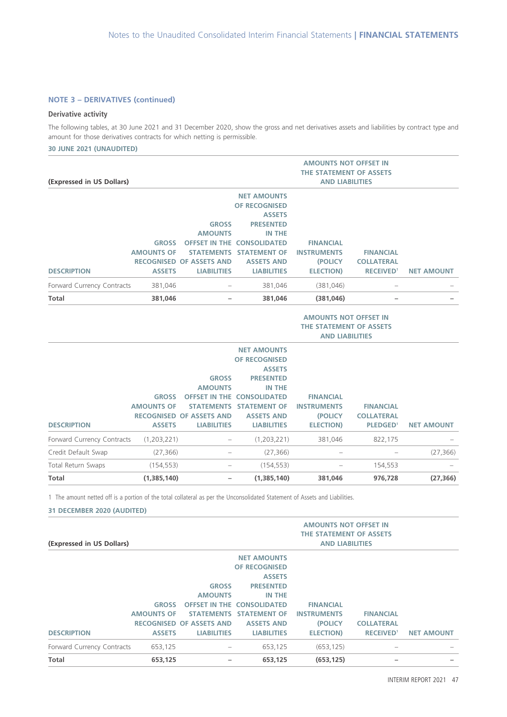#### **Derivative activity**

The following tables, at 30 June 2021 and 31 December 2020, show the gross and net derivatives assets and liabilities by contract type and amount for those derivatives contracts for which netting is permissible.

#### **30 JUNE 2021 (UNAUDITED)**

|                            |                   | <b>AMOUNTS NOT OFFSET IN</b><br>THE STATEMENT OF ASSETS |                            |                        |                             |                          |
|----------------------------|-------------------|---------------------------------------------------------|----------------------------|------------------------|-----------------------------|--------------------------|
| (Expressed in US Dollars)  |                   |                                                         |                            | <b>AND LIABILITIES</b> |                             |                          |
|                            |                   |                                                         | <b>NET AMOUNTS</b>         |                        |                             |                          |
|                            |                   |                                                         | <b>OF RECOGNISED</b>       |                        |                             |                          |
|                            |                   |                                                         | <b>ASSETS</b>              |                        |                             |                          |
|                            |                   | <b>GROSS</b>                                            | <b>PRESENTED</b>           |                        |                             |                          |
|                            |                   | <b>AMOUNTS</b>                                          | IN THE                     |                        |                             |                          |
|                            | <b>GROSS</b>      |                                                         | OFFSET IN THE CONSOLIDATED | <b>FINANCIAL</b>       |                             |                          |
|                            | <b>AMOUNTS OF</b> | <b>STATEMENTS</b>                                       | <b>STATEMENT OF</b>        | <b>INSTRUMENTS</b>     | <b>FINANCIAL</b>            |                          |
|                            |                   | <b>RECOGNISED OF ASSETS AND</b>                         | <b>ASSETS AND</b>          | (POLICY                | <b>COLLATERAL</b>           |                          |
| <b>DESCRIPTION</b>         | <b>ASSETS</b>     | <b>LIABILITIES</b>                                      | <b>LIABILITIES</b>         | <b>ELECTION</b> )      | <b>RECEIVED<sup>1</sup></b> | <b>NET AMOUNT</b>        |
| Forward Currency Contracts | 381.046           |                                                         | 381,046                    | (381, 046)             |                             |                          |
| Total                      | 381.046           | -                                                       | 381,046                    | (381,046)              | -                           | $\overline{\phantom{0}}$ |

| <b>AMOUNTS NOT OFFSET IN</b> |
|------------------------------|
| THE STATEMENT OF ASSETS      |
| <b>AND LIABILITIES</b>       |

| Total Return Swaps         | (27, 366)<br>(154, 553)            | $\qquad \qquad$                                                            | (27, 366)<br>(154, 553)                                                                                                        | $\hspace{0.05cm}$<br>$\overline{\phantom{0}}$              | 154,553                                                             | (27, 366)         |
|----------------------------|------------------------------------|----------------------------------------------------------------------------|--------------------------------------------------------------------------------------------------------------------------------|------------------------------------------------------------|---------------------------------------------------------------------|-------------------|
|                            |                                    |                                                                            |                                                                                                                                |                                                            |                                                                     |                   |
| Credit Default Swap        |                                    |                                                                            |                                                                                                                                |                                                            |                                                                     |                   |
| Forward Currency Contracts | (1,203,221)                        | $\qquad \qquad -$                                                          | (1,203,221)                                                                                                                    | 381,046                                                    | 822,175                                                             |                   |
| <b>DESCRIPTION</b>         | <b>AMOUNTS OF</b><br><b>ASSETS</b> | <b>STATEMENTS</b><br><b>RECOGNISED OF ASSETS AND</b><br><b>LIABILITIES</b> | <b>STATEMENT OF</b><br><b>ASSETS AND</b><br><b>LIABILITIES</b>                                                                 | <b>INSTRUMENTS</b><br><b>(POLICY)</b><br><b>ELECTION</b> ) | <b>FINANCIAL</b><br><b>COLLATERAL</b><br><b>PLEDGED<sup>1</sup></b> | <b>NET AMOUNT</b> |
|                            | <b>GROSS</b>                       | <b>GROSS</b><br><b>AMOUNTS</b>                                             | <b>NET AMOUNTS</b><br><b>OF RECOGNISED</b><br><b>ASSETS</b><br><b>PRESENTED</b><br>IN THE<br><b>OFFSET IN THE CONSOLIDATED</b> | <b>FINANCIAL</b>                                           |                                                                     |                   |

1 The amount netted off is a portion of the total collateral as per the Unconsolidated Statement of Assets and Liabilities.

#### **31 DECEMBER 2020 (AUDITED)**

|                            |                        |                                 |                            | <b>AMOUNTS NOT OFFSET IN</b><br>THE STATEMENT OF ASSETS |                             |                   |
|----------------------------|------------------------|---------------------------------|----------------------------|---------------------------------------------------------|-----------------------------|-------------------|
| (Expressed in US Dollars)  | <b>AND LIABILITIES</b> |                                 |                            |                                                         |                             |                   |
|                            |                        |                                 | <b>NET AMOUNTS</b>         |                                                         |                             |                   |
|                            |                        |                                 | OF RECOGNISED              |                                                         |                             |                   |
|                            |                        |                                 | <b>ASSETS</b>              |                                                         |                             |                   |
|                            |                        | <b>GROSS</b>                    | <b>PRESENTED</b>           |                                                         |                             |                   |
|                            |                        | <b>AMOUNTS</b>                  | IN THE                     |                                                         |                             |                   |
|                            | <b>GROSS</b>           |                                 | OFFSET IN THE CONSOLIDATED | <b>FINANCIAL</b>                                        |                             |                   |
|                            | <b>AMOUNTS OF</b>      |                                 | STATEMENTS STATEMENT OF    | <b>INSTRUMENTS</b>                                      | <b>FINANCIAL</b>            |                   |
|                            |                        | <b>RECOGNISED OF ASSETS AND</b> | <b>ASSETS AND</b>          | (POLICY                                                 | <b>COLLATERAL</b>           |                   |
| <b>DESCRIPTION</b>         | <b>ASSETS</b>          | <b>LIABILITIES</b>              | <b>LIABILITIES</b>         | <b>ELECTION</b> )                                       | <b>RECEIVED<sup>1</sup></b> | <b>NET AMOUNT</b> |
| Forward Currency Contracts | 653,125                |                                 | 653,125                    | (653, 125)                                              |                             |                   |
| <b>Total</b>               | 653,125                |                                 | 653,125                    | (653, 125)                                              |                             |                   |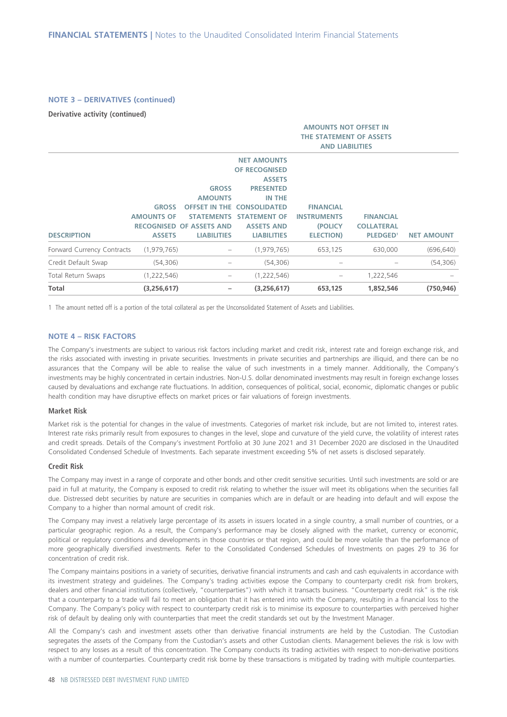**Derivative activity (continued)** 

|                            |                   |                                 |                     | <b>AMOUNTS NOT OFFSET IN</b> |                            |                   |
|----------------------------|-------------------|---------------------------------|---------------------|------------------------------|----------------------------|-------------------|
|                            |                   |                                 |                     | THE STATEMENT OF ASSETS      |                            |                   |
|                            |                   |                                 |                     | <b>AND LIABILITIES</b>       |                            |                   |
|                            |                   |                                 | <b>NET AMOUNTS</b>  |                              |                            |                   |
|                            |                   |                                 | OF RECOGNISED       |                              |                            |                   |
|                            |                   |                                 | <b>ASSETS</b>       |                              |                            |                   |
|                            |                   | <b>GROSS</b>                    | <b>PRESENTED</b>    |                              |                            |                   |
|                            |                   | <b>AMOUNTS</b>                  | IN THE              |                              |                            |                   |
|                            | <b>GROSS</b>      | <b>OFFSET IN THE</b>            | <b>CONSOLIDATED</b> | <b>FINANCIAL</b>             |                            |                   |
|                            | <b>AMOUNTS OF</b> | <b>STATEMENTS</b>               | <b>STATEMENT OF</b> | <b>INSTRUMENTS</b>           | <b>FINANCIAL</b>           |                   |
|                            |                   | <b>RECOGNISED OF ASSETS AND</b> | <b>ASSETS AND</b>   | (POLICY                      | <b>COLLATERAL</b>          |                   |
| <b>DESCRIPTION</b>         | <b>ASSETS</b>     | <b>LIABILITIES</b>              | <b>LIABILITIES</b>  | <b>ELECTION</b> )            | <b>PLEDGED<sup>1</sup></b> | <b>NET AMOUNT</b> |
| Forward Currency Contracts | (1, 979, 765)     |                                 | (1, 979, 765)       | 653,125                      | 630,000                    | (696, 640)        |
| Credit Default Swap        | (54,306)          |                                 | (54,306)            |                              |                            | (54, 306)         |
| Total Return Swaps         | (1,222,546)       | -                               | (1,222,546)         |                              | 1,222,546                  |                   |
| Total                      | (3,256,617)       |                                 | (3,256,617)         | 653,125                      | 1,852,546                  | (750, 946)        |

1 The amount netted off is a portion of the total collateral as per the Unconsolidated Statement of Assets and Liabilities.

#### **NOTE 4 – RISK FACTORS**

The Company's investments are subject to various risk factors including market and credit risk, interest rate and foreign exchange risk, and the risks associated with investing in private securities. Investments in private securities and partnerships are illiquid, and there can be no assurances that the Company will be able to realise the value of such investments in a timely manner. Additionally, the Company's investments may be highly concentrated in certain industries. Non-U.S. dollar denominated investments may result in foreign exchange losses caused by devaluations and exchange rate fluctuations. In addition, consequences of political, social, economic, diplomatic changes or public health condition may have disruptive effects on market prices or fair valuations of foreign investments.

#### **Market Risk**

Market risk is the potential for changes in the value of investments. Categories of market risk include, but are not limited to, interest rates. Interest rate risks primarily result from exposures to changes in the level, slope and curvature of the yield curve, the volatility of interest rates and credit spreads. Details of the Company's investment Portfolio at 30 June 2021 and 31 December 2020 are disclosed in the Unaudited Consolidated Condensed Schedule of Investments. Each separate investment exceeding 5% of net assets is disclosed separately.

#### **Credit Risk**

The Company may invest in a range of corporate and other bonds and other credit sensitive securities. Until such investments are sold or are paid in full at maturity, the Company is exposed to credit risk relating to whether the issuer will meet its obligations when the securities fall due. Distressed debt securities by nature are securities in companies which are in default or are heading into default and will expose the Company to a higher than normal amount of credit risk.

The Company may invest a relatively large percentage of its assets in issuers located in a single country, a small number of countries, or a particular geographic region. As a result, the Company's performance may be closely aligned with the market, currency or economic, political or regulatory conditions and developments in those countries or that region, and could be more volatile than the performance of more geographically diversified investments. Refer to the Consolidated Condensed Schedules of Investments on pages 29 to 36 for concentration of credit risk.

The Company maintains positions in a variety of securities, derivative financial instruments and cash and cash equivalents in accordance with its investment strategy and guidelines. The Company's trading activities expose the Company to counterparty credit risk from brokers, dealers and other financial institutions (collectively, "counterparties") with which it transacts business. "Counterparty credit risk" is the risk that a counterparty to a trade will fail to meet an obligation that it has entered into with the Company, resulting in a financial loss to the Company. The Company's policy with respect to counterparty credit risk is to minimise its exposure to counterparties with perceived higher risk of default by dealing only with counterparties that meet the credit standards set out by the Investment Manager.

All the Company's cash and investment assets other than derivative financial instruments are held by the Custodian. The Custodian segregates the assets of the Company from the Custodian's assets and other Custodian clients. Management believes the risk is low with respect to any losses as a result of this concentration. The Company conducts its trading activities with respect to non-derivative positions with a number of counterparties. Counterparty credit risk borne by these transactions is mitigated by trading with multiple counterparties.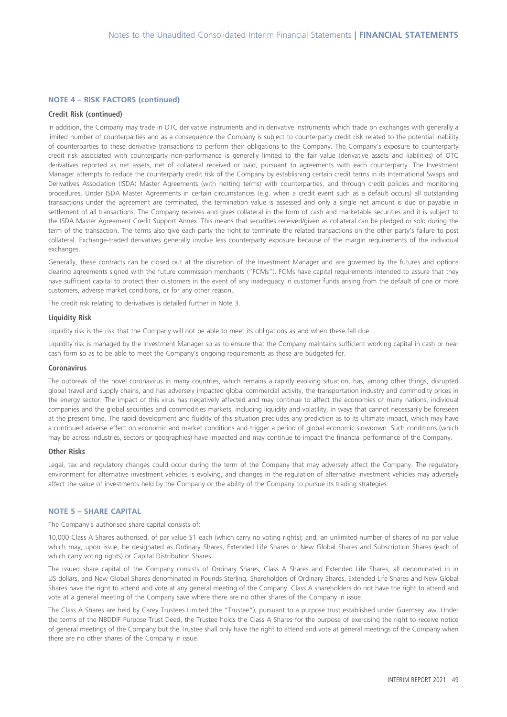#### **NOTE 4 – RISK FACTORS (continued)**

#### **Credit Risk (continued)**

In addition, the Company may trade in OTC derivative instruments and in derivative instruments which trade on exchanges with generally a limited number of counterparties and as a consequence the Company is subject to counterparty credit risk related to the potential inability of counterparties to these derivative transactions to perform their obligations to the Company. The Company's exposure to counterparty credit risk associated with counterparty non-performance is generally limited to the fair value (derivative assets and liabilities) of OTC derivatives reported as net assets, net of collateral received or paid, pursuant to agreements with each counterparty. The Investment Manager attempts to reduce the counterparty credit risk of the Company by establishing certain credit terms in its International Swaps and Derivatives Association (ISDA) Master Agreements (with netting terms) with counterparties, and through credit policies and monitoring procedures. Under ISDA Master Agreements in certain circumstances (e.g. when a credit event such as a default occurs) all outstanding transactions under the agreement are terminated, the termination value is assessed and only a single net amount is due or payable in settlement of all transactions. The Company receives and gives collateral in the form of cash and marketable securities and it is subject to the ISDA Master Agreement Credit Support Annex. This means that securities received/given as collateral can be pledged or sold during the term of the transaction. The terms also give each party the right to terminate the related transactions on the other party's failure to post collateral. Exchange-traded derivatives generally involve less counterparty exposure because of the margin requirements of the individual exchanges

Generally, these contracts can be closed out at the discretion of the Investment Manager and are governed by the futures and options clearing agreements signed with the future commission merchants ("FCMs"). FCMs have capital requirements intended to assure that they have sufficient capital to protect their customers in the event of any inadequacy in customer funds arising from the default of one or more customers, adverse market conditions, or for any other reason.

The credit risk relating to derivatives is detailed further in Note 3.

#### **Liquidity Risk**

Liquidity risk is the risk that the Company will not be able to meet its obligations as and when these fall due.

Liquidity risk is managed by the Investment Manager so as to ensure that the Company maintains sufficient working capital in cash or near cash form so as to be able to meet the Company's ongoing requirements as these are budgeted for.

#### **Coronavirus**

The outbreak of the novel coronavirus in many countries, which remains a rapidly evolving situation, has, among other things, disrupted global travel and supply chains, and has adversely impacted global commercial activity, the transportation industry and commodity prices in the energy sector. The impact of this virus has negatively affected and may continue to affect the economies of many nations, individual companies and the global securities and commodities markets, including liquidity and volatility, in ways that cannot necessarily be foreseen at the present time. The rapid development and fluidity of this situation precludes any prediction as to its ultimate impact, which may have a continued adverse effect on economic and market conditions and trigger a period of global economic slowdown. Such conditions (which may be across industries, sectors or geographies) have impacted and may continue to impact the financial performance of the Company.

#### **Other Risks**

Legal, tax and regulatory changes could occur during the term of the Company that may adversely affect the Company. The regulatory environment for alternative investment vehicles is evolving, and changes in the regulation of alternative investment vehicles may adversely affect the value of investments held by the Company or the ability of the Company to pursue its trading strategies.

#### **NOTE 5 – SHARE CAPITAL**

The Company's authorised share capital consists of:

10,000 Class A Shares authorised, of par value \$1 each (which carry no voting rights); and, an unlimited number of shares of no par value which may, upon issue, be designated as Ordinary Shares, Extended Life Shares or New Global Shares and Subscription Shares (each of which carry voting rights) or Capital Distribution Shares.

The issued share capital of the Company consists of Ordinary Shares, Class A Shares and Extended Life Shares, all denominated in in US dollars, and New Global Shares denominated in Pounds Sterling. Shareholders of Ordinary Shares, Extended Life Shares and New Global Shares have the right to attend and vote at any general meeting of the Company. Class A shareholders do not have the right to attend and vote at a general meeting of the Company save where there are no other shares of the Company in issue.

The Class A Shares are held by Carey Trustees Limited (the "Trustee"), pursuant to a purpose trust established under Guernsey law. Under the terms of the NBDDIF Purpose Trust Deed, the Trustee holds the Class A Shares for the purpose of exercising the right to receive notice of general meetings of the Company but the Trustee shall only have the right to attend and vote at general meetings of the Company when there are no other shares of the Company in issue.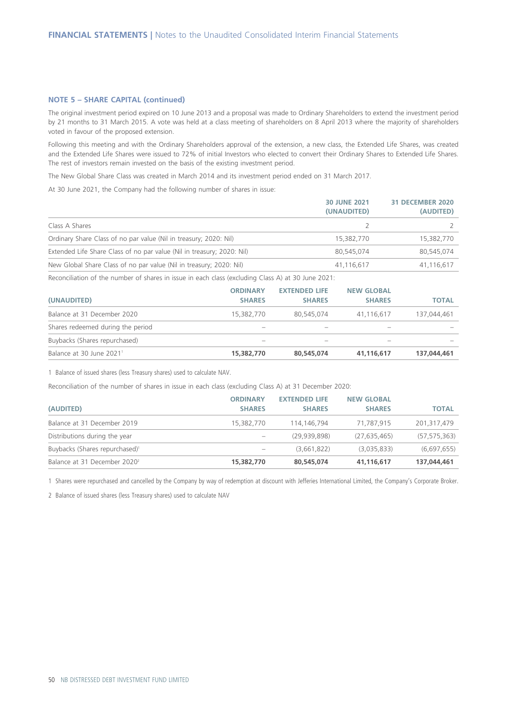#### **NOTE 5 – SHARE CAPITAL (continued)**

The original investment period expired on 10 June 2013 and a proposal was made to Ordinary Shareholders to extend the investment period by 21 months to 31 March 2015. A vote was held at a class meeting of shareholders on 8 April 2013 where the majority of shareholders voted in favour of the proposed extension.

Following this meeting and with the Ordinary Shareholders approval of the extension, a new class, the Extended Life Shares, was created and the Extended Life Shares were issued to 72% of initial Investors who elected to convert their Ordinary Shares to Extended Life Shares. The rest of investors remain invested on the basis of the existing investment period.

The New Global Share Class was created in March 2014 and its investment period ended on 31 March 2017.

At 30 June 2021, the Company had the following number of shares in issue:

|                                                                        | <b>30 JUNE 2021</b> | <b>31 DECEMBER 2020</b> |
|------------------------------------------------------------------------|---------------------|-------------------------|
|                                                                        | (UNAUDITED)         | (AUDITED)               |
| Class A Shares                                                         |                     |                         |
| Ordinary Share Class of no par value (Nil in treasury; 2020: Nil)      | 15,382,770          | 15,382,770              |
| Extended Life Share Class of no par value (Nil in treasury; 2020: Nil) | 80.545.074          | 80,545,074              |
| New Global Share Class of no par value (Nil in treasury; 2020: Nil)    | 41,116,617          | 41,116,617              |

Reconciliation of the number of shares in issue in each class (excluding Class A) at 30 June 2021:

| (UNAUDITED)                          | <b>ORDINARY</b><br><b>SHARES</b> | <b>EXTENDED LIFE</b><br><b>SHARES</b> | <b>NEW GLOBAL</b><br><b>SHARES</b> | <b>TOTAL</b> |
|--------------------------------------|----------------------------------|---------------------------------------|------------------------------------|--------------|
| Balance at 31 December 2020          | 15,382,770                       | 80.545.074                            | 41,116,617                         | 137,044,461  |
| Shares redeemed during the period    | $\overline{\phantom{a}}$         |                                       |                                    |              |
| Buybacks (Shares repurchased)        |                                  |                                       |                                    |              |
| Balance at 30 June 2021 <sup>1</sup> | 15,382,770                       | 80.545.074                            | 41,116,617                         | 137,044,461  |

1 Balance of issued shares (less Treasury shares) used to calculate NAV.

Reconciliation of the number of shares in issue in each class (excluding Class A) at 31 December 2020:

|                                            | <b>ORDINARY</b> | <b>EXTENDED LIFE</b> | <b>NEW GLOBAL</b> |                |
|--------------------------------------------|-----------------|----------------------|-------------------|----------------|
| (AUDITED)                                  | <b>SHARES</b>   | <b>SHARES</b>        | <b>SHARES</b>     | <b>TOTAL</b>   |
| Balance at 31 December 2019                | 15,382,770      | 114,146,794          | 71,787,915        | 201,317,479    |
| Distributions during the year              |                 | (29.939.898)         | (27, 635, 465)    | (57, 575, 363) |
| Buybacks (Shares repurchased) <sup>1</sup> |                 | (3,661,822)          | (3.035.833)       | (6,697,655)    |
| Balance at 31 December 2020 <sup>2</sup>   | 15,382,770      | 80,545,074           | 41,116,617        | 137,044,461    |

1 Shares were repurchased and cancelled by the Company by way of redemption at discount with Jefferies International Limited, the Company's Corporate Broker.

2 Balance of issued shares (less Treasury shares) used to calculate NAV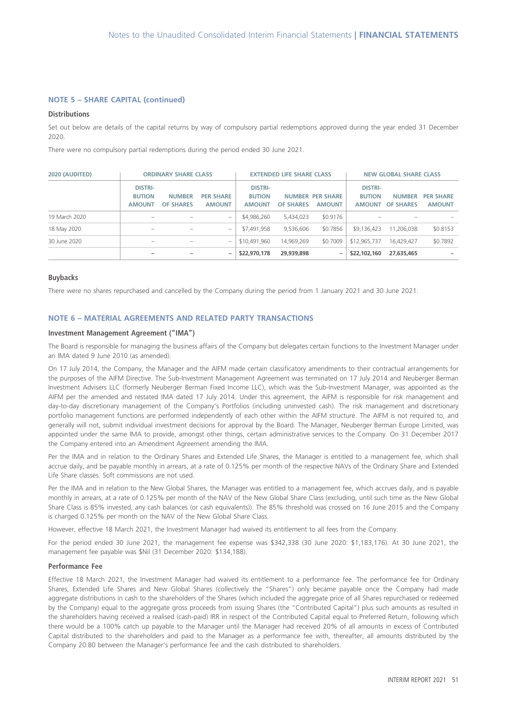#### **NOTE 5 – SHARE CAPITAL (continued)**

#### **Distributions**

Set out below are details of the capital returns by way of compulsory partial redemptions approved during the year ended 31 December 2020.

There were no compulsory partial redemptions during the period ended 30 June 2021.

| 2020 (AUDITED) | <b>ORDINARY SHARE CLASS</b>                      |                                   |                                   | <b>EXTENDED LIFE SHARE CLASS</b>                 |            |                                          | NEW GLOBAL SHARE CLASS                           |                                   |                                   |
|----------------|--------------------------------------------------|-----------------------------------|-----------------------------------|--------------------------------------------------|------------|------------------------------------------|--------------------------------------------------|-----------------------------------|-----------------------------------|
|                | <b>DISTRI-</b><br><b>BUTION</b><br><b>AMOUNT</b> | <b>NUMBER</b><br><b>OF SHARES</b> | <b>PER SHARE</b><br><b>AMOUNT</b> | <b>DISTRI-</b><br><b>BUTION</b><br><b>AMOUNT</b> | OF SHARES  | <b>NUMBER PER SHARE</b><br><b>AMOUNT</b> | <b>DISTRI-</b><br><b>BUTION</b><br><b>AMOUNT</b> | <b>NUMBER</b><br><b>OF SHARES</b> | <b>PER SHARE</b><br><b>AMOUNT</b> |
| 19 March 2020  | -                                                |                                   | $\overline{\phantom{0}}$          | \$4,986,260                                      | 5,434,023  | \$0.9176                                 |                                                  |                                   |                                   |
| 18 May 2020    | -                                                | $\overline{\phantom{a}}$          | $\overline{\phantom{0}}$          | \$7,491,958                                      | 9,536,606  | \$0.7856                                 | \$9,136,423                                      | 11,206,038                        | \$0.8153                          |
| 30 June 2020   | -                                                |                                   | $\overline{\phantom{0}}$          | \$10,491,960                                     | 14.969.269 | \$0,7009                                 | \$12,965,737                                     | 16.429.427                        | \$0.7892                          |
|                |                                                  |                                   | -                                 | \$22,970,178                                     | 29,939,898 | -                                        | \$22,102,160                                     | 27.635.465                        |                                   |

#### **Buybacks**

There were no shares repurchased and cancelled by the Company during the period from 1 January 2021 and 30 June 2021.

#### **NOTE 6 – MATERIAL AGREEMENTS AND RELATED PARTY TRANSACTIONS**

#### **Investment Management Agreement ("IMA")**

The Board is responsible for managing the business affairs of the Company but delegates certain functions to the Investment Manager under an IMA dated 9 June 2010 (as amended).

On 17 July 2014, the Company, the Manager and the AIFM made certain classificatory amendments to their contractual arrangements for the purposes of the AIFM Directive. The Sub-Investment Management Agreement was terminated on 17 July 2014 and Neuberger Berman Investment Advisers LLC (formerly Neuberger Berman Fixed Income LLC), which was the Sub-Investment Manager, was appointed as the AIFM per the amended and restated IMA dated 17 July 2014. Under this agreement, the AIFM is responsible for risk management and day-to-day discretionary management of the Company's Portfolios (including uninvested cash). The risk management and discretionary portfolio management functions are performed independently of each other within the AIFM structure. The AIFM is not required to, and generally will not, submit individual investment decisions for approval by the Board. The Manager, Neuberger Berman Europe Limited, was appointed under the same IMA to provide, amongst other things, certain administrative services to the Company. On 31 December 2017 the Company entered into an Amendment Agreement amending the IMA.

Per the IMA and in relation to the Ordinary Shares and Extended Life Shares, the Manager is entitled to a management fee, which shall accrue daily, and be payable monthly in arrears, at a rate of 0.125% per month of the respective NAVs of the Ordinary Share and Extended Life Share classes. Soft commissions are not used.

Per the IMA and in relation to the New Global Shares, the Manager was entitled to a management fee, which accrues daily, and is payable monthly in arrears, at a rate of 0.125% per month of the NAV of the New Global Share Class (excluding, until such time as the New Global Share Class is 85% invested, any cash balances (or cash equivalents)). The 85% threshold was crossed on 16 June 2015 and the Company is charged 0.125% per month on the NAV of the New Global Share Class.

However, effective 18 March 2021, the Investment Manager had waived its entitlement to all fees from the Company.

For the period ended 30 June 2021, the management fee expense was \$342,338 (30 June 2020: \$1,183,176). At 30 June 2021, the management fee payable was \$Nil (31 December 2020: \$134,188).

#### **Performance Fee**

Effective 18 March 2021, the Investment Manager had waived its entitlement to a performance fee. The performance fee for Ordinary Shares, Extended Life Shares and New Global Shares (collectively the "Shares") only became payable once the Company had made aggregate distributions in cash to the shareholders of the Shares (which included the aggregate price of all Shares repurchased or redeemed by the Company) equal to the aggregate gross proceeds from issuing Shares (the "Contributed Capital") plus such amounts as resulted in the shareholders having received a realised (cash-paid) IRR in respect of the Contributed Capital equal to Preferred Return, following which there would be a 100% catch up payable to the Manager until the Manager had received 20% of all amounts in excess of Contributed Capital distributed to the shareholders and paid to the Manager as a performance fee with, thereafter, all amounts distributed by the Company 20:80 between the Manager's performance fee and the cash distributed to shareholders.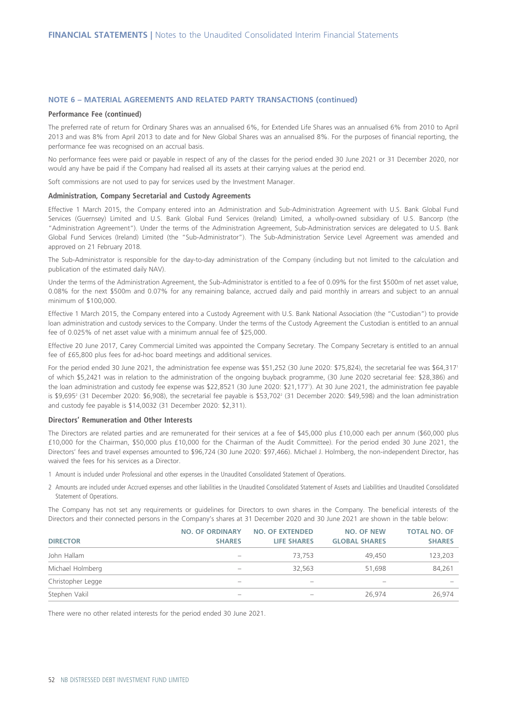#### **NOTE 6 – MATERIAL AGREEMENTS AND RELATED PARTY TRANSACTIONS (continued)**

#### **Performance Fee (continued)**

The preferred rate of return for Ordinary Shares was an annualised 6%, for Extended Life Shares was an annualised 6% from 2010 to April 2013 and was 8% from April 2013 to date and for New Global Shares was an annualised 8%. For the purposes of financial reporting, the performance fee was recognised on an accrual basis.

No performance fees were paid or payable in respect of any of the classes for the period ended 30 June 2021 or 31 December 2020, nor would any have be paid if the Company had realised all its assets at their carrying values at the period end.

Soft commissions are not used to pay for services used by the Investment Manager.

#### **Administration, Company Secretarial and Custody Agreements**

Effective 1 March 2015, the Company entered into an Administration and Sub-Administration Agreement with U.S. Bank Global Fund Services (Guernsey) Limited and U.S. Bank Global Fund Services (Ireland) Limited, a wholly-owned subsidiary of U.S. Bancorp (the "Administration Agreement"). Under the terms of the Administration Agreement, Sub-Administration services are delegated to U.S. Bank Global Fund Services (Ireland) Limited (the "Sub-Administrator"). The Sub-Administration Service Level Agreement was amended and approved on 21 February 2018.

The Sub-Administrator is responsible for the day-to-day administration of the Company (including but not limited to the calculation and publication of the estimated daily NAV).

Under the terms of the Administration Agreement, the Sub-Administrator is entitled to a fee of 0.09% for the first \$500m of net asset value, 0.08% for the next \$500m and 0.07% for any remaining balance, accrued daily and paid monthly in arrears and subject to an annual minimum of \$100,000.

Effective 1 March 2015, the Company entered into a Custody Agreement with U.S. Bank National Association (the "Custodian") to provide loan administration and custody services to the Company. Under the terms of the Custody Agreement the Custodian is entitled to an annual fee of 0.025% of net asset value with a minimum annual fee of \$25,000.

Effective 20 June 2017, Carey Commercial Limited was appointed the Company Secretary. The Company Secretary is entitled to an annual fee of £65,800 plus fees for ad-hoc board meetings and additional services.

For the period ended 30 June 2021, the administration fee expense was \$51,252 (30 June 2020: \$75,824), the secretarial fee was \$64,317<sup>1</sup> of which \$5,2421 was in relation to the administration of the ongoing buyback programme, (30 June 2020 secretarial fee: \$28,386) and the loan administration and custody fee expense was \$22,8521 (30 June 2020: \$21,1771 ). At 30 June 2021, the administration fee payable is \$9,695<sup>2</sup> (31 December 2020: \$6,908), the secretarial fee payable is \$53,702<sup>2</sup> (31 December 2020: \$49,598) and the loan administration and custody fee payable is \$14,0032 (31 December 2020: \$2,311).

#### **Directors' Remuneration and Other Interests**

The Directors are related parties and are remunerated for their services at a fee of \$45,000 plus £10,000 each per annum (\$60,000 plus £10,000 for the Chairman, \$50,000 plus £10,000 for the Chairman of the Audit Committee). For the period ended 30 June 2021, the Directors' fees and travel expenses amounted to \$96,724 (30 June 2020: \$97,466). Michael J. Holmberg, the non-independent Director, has waived the fees for his services as a Director.

1 Amount is included under Professional and other expenses in the Unaudited Consolidated Statement of Operations.

2 Amounts are included under Accrued expenses and other liabilities in the Unaudited Consolidated Statement of Assets and Liabilities and Unaudited Consolidated Statement of Operations.

The Company has not set any requirements or guidelines for Directors to own shares in the Company. The beneficial interests of the Directors and their connected persons in the Company's shares at 31 December 2020 and 30 June 2021 are shown in the table below:

| <b>DIRECTOR</b>   | <b>NO. OF ORDINARY</b><br><b>SHARES</b> | <b>NO. OF EXTENDED</b><br><b>LIFE SHARES</b> | NO. OF NEW<br><b>GLOBAL SHARES</b> | <b>TOTAL NO. OF</b><br><b>SHARES</b> |
|-------------------|-----------------------------------------|----------------------------------------------|------------------------------------|--------------------------------------|
| John Hallam       |                                         | 73.753                                       | 49,450                             | 123,203                              |
| Michael Holmberg  |                                         | 32,563                                       | 51.698                             | 84,261                               |
| Christopher Legge | $\overline{\phantom{a}}$                |                                              | $\overline{\phantom{a}}$           |                                      |
| Stephen Vakil     |                                         |                                              | 26.974                             | 26,974                               |

There were no other related interests for the period ended 30 June 2021.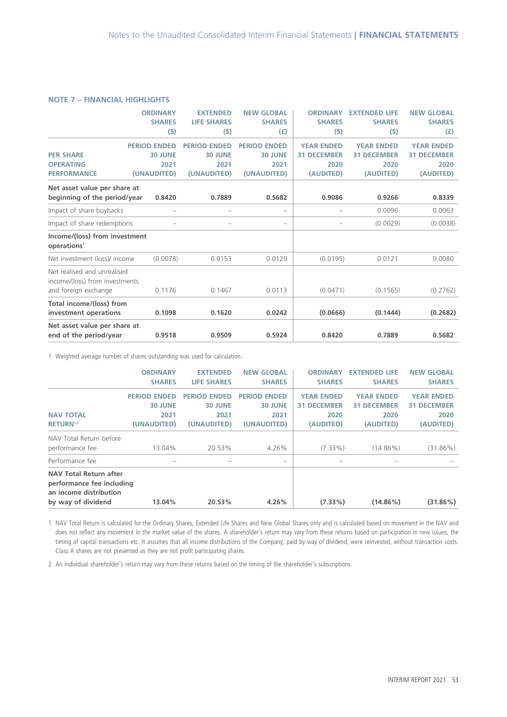#### **NOTE 7 – FINANCIAL HIGHLIGHTS**

|                                                                                       | <b>ORDINARY</b><br><b>SHARES</b><br>(5)                      | <b>EXTENDED</b><br><b>LIFE SHARES</b><br>(5)                 | <b>NEW GLOBAL</b><br><b>SHARES</b><br>(f)                    | <b>ORDINARY</b><br><b>SHARES</b><br>(5)                      | <b>EXTENDED LIFE</b><br><b>SHARES</b><br>(5)                 | <b>NEW GLOBAL</b><br><b>SHARES</b><br>(f)                    |
|---------------------------------------------------------------------------------------|--------------------------------------------------------------|--------------------------------------------------------------|--------------------------------------------------------------|--------------------------------------------------------------|--------------------------------------------------------------|--------------------------------------------------------------|
| <b>PER SHARE</b><br><b>OPERATING</b><br><b>PERFORMANCE</b>                            | <b>PERIOD ENDED</b><br><b>30 JUNE</b><br>2021<br>(UNAUDITED) | <b>PERIOD ENDED</b><br><b>30 JUNE</b><br>2021<br>(UNAUDITED) | <b>PERIOD ENDED</b><br><b>30 JUNE</b><br>2021<br>(UNAUDITED) | <b>YEAR ENDED</b><br><b>31 DECEMBER</b><br>2020<br>(AUDITED) | <b>YEAR ENDED</b><br><b>31 DECEMBER</b><br>2020<br>(AUDITED) | <b>YEAR ENDED</b><br><b>31 DECEMBER</b><br>2020<br>(AUDITED) |
| Net asset value per share at<br>beginning of the period/year                          | 0.8420                                                       | 0.7889                                                       | 0.5682                                                       | 0.9086                                                       | 0.9266                                                       | 0.8339                                                       |
| Impact of share buybacks                                                              | $\overline{\phantom{0}}$                                     | $\overline{\phantom{0}}$                                     | $\overline{\phantom{0}}$                                     | $\overline{\phantom{0}}$                                     | 0.0096                                                       | 0.0063                                                       |
| Impact of share redemptions                                                           |                                                              |                                                              | $\overline{\phantom{0}}$                                     |                                                              | (0.0029)                                                     | (0.0038)                                                     |
| Income/(loss) from investment<br>operations <sup>1</sup>                              |                                                              |                                                              |                                                              |                                                              |                                                              |                                                              |
| Net investment (loss)/ income                                                         | (0.0078)                                                     | 0.0153                                                       | 0.0129                                                       | (0.0195)                                                     | 0.0121                                                       | 0.0080                                                       |
| Net realised and unrealised<br>income/(loss) from investments<br>and foreign exchange | 0.1176                                                       | 0.1467                                                       | 0.0113                                                       | (0.0471)                                                     | (0.1565)                                                     | (0.2762)                                                     |
| Total income/(loss) from<br>investment operations                                     | 0.1098                                                       | 0.1620                                                       | 0.0242                                                       | (0.0666)                                                     | (0.1444)                                                     | (0.2682)                                                     |
| Net asset value per share at<br>end of the period/year                                | 0.9518                                                       | 0.9509                                                       | 0.5924                                                       | 0.8420                                                       | 0.7889                                                       | 0.5682                                                       |

1 Weighted average number of shares outstanding was used for calculation.

|                                                                                                            | <b>ORDINARY</b><br><b>SHARES</b>                             | <b>EXTENDED</b><br><b>LIFE SHARES</b>                        | <b>NEW GLOBAL</b><br><b>SHARES</b>                           | <b>ORDINARY</b><br><b>SHARES</b>                             | <b>EXTENDED LIFE</b><br><b>SHARES</b>                        | <b>NEW GLOBAL</b><br><b>SHARES</b>                           |
|------------------------------------------------------------------------------------------------------------|--------------------------------------------------------------|--------------------------------------------------------------|--------------------------------------------------------------|--------------------------------------------------------------|--------------------------------------------------------------|--------------------------------------------------------------|
| <b>NAV TOTAL</b><br>RETURN <sup>1,2</sup>                                                                  | <b>PERIOD ENDED</b><br><b>30 JUNE</b><br>2021<br>(UNAUDITED) | <b>PERIOD ENDED</b><br><b>30 JUNE</b><br>2021<br>(UNAUDITED) | <b>PERIOD ENDED</b><br><b>30 JUNE</b><br>2021<br>(UNAUDITED) | <b>YEAR ENDED</b><br><b>31 DECEMBER</b><br>2020<br>(AUDITED) | <b>YEAR ENDED</b><br><b>31 DECEMBER</b><br>2020<br>(AUDITED) | <b>YEAR ENDED</b><br><b>31 DECEMBER</b><br>2020<br>(AUDITED) |
| NAV Total Return before<br>performance fee                                                                 | 13.04%                                                       | 20.53%                                                       | 4.26%                                                        | $(7.33\%)$                                                   | $(14.86\%)$                                                  | (31.86%)                                                     |
| Performance fee                                                                                            |                                                              |                                                              |                                                              |                                                              |                                                              |                                                              |
| <b>NAV Total Return after</b><br>performance fee including<br>an income distribution<br>by way of dividend | 13.04%                                                       | 20.53%                                                       | 4.26%                                                        | $(7.33\%)$                                                   | $(14.86\%)$                                                  | (31.86%)                                                     |

1 NAV Total Return is calculated for the Ordinary Shares, Extended Life Shares and New Global Shares only and is calculated based on movement in the NAV and does not reflect any movement in the market value of the shares. A shareholder's return may vary from these returns based on participation in new issues, the timing of capital transactions etc. It assumes that all income distributions of the Company, paid by way of dividend, were reinvested, without transaction costs. Class A shares are not presented as they are not profit participating shares.

2 An individual shareholder's return may vary from these returns based on the timing of the shareholder's subscriptions.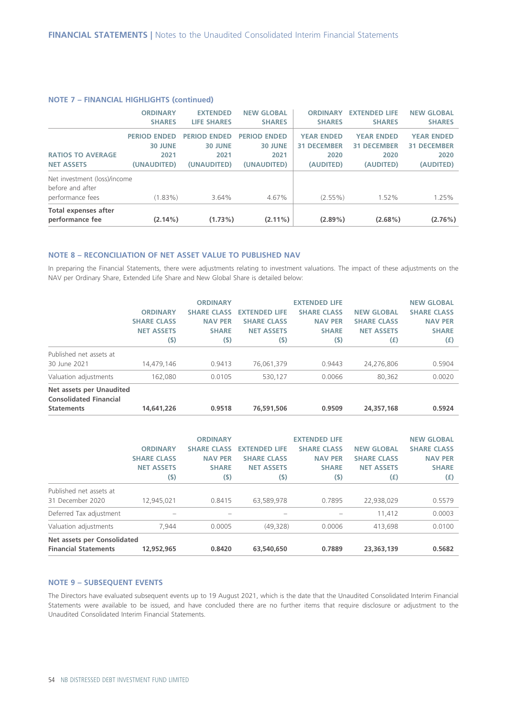#### **NOTE 7 – FINANCIAL HIGHLIGHTS (continued)**

|                                                                      | <b>ORDINARY</b><br><b>SHARES</b>                             | <b>EXTENDED</b><br><b>LIFE SHARES</b>                        | <b>NEW GLOBAL</b><br><b>SHARES</b>                           | <b>ORDINARY</b><br><b>SHARES</b>                             | <b>EXTENDED LIFE</b><br><b>SHARES</b>                        | <b>NEW GLOBAL</b><br><b>SHARES</b>                           |
|----------------------------------------------------------------------|--------------------------------------------------------------|--------------------------------------------------------------|--------------------------------------------------------------|--------------------------------------------------------------|--------------------------------------------------------------|--------------------------------------------------------------|
| <b>RATIOS TO AVERAGE</b><br><b>NET ASSETS</b>                        | <b>PERIOD ENDED</b><br><b>30 JUNE</b><br>2021<br>(UNAUDITED) | <b>PERIOD ENDED</b><br><b>30 JUNE</b><br>2021<br>(UNAUDITED) | <b>PERIOD ENDED</b><br><b>30 JUNE</b><br>2021<br>(UNAUDITED) | <b>YEAR ENDED</b><br><b>31 DECEMBER</b><br>2020<br>(AUDITED) | <b>YEAR ENDED</b><br><b>31 DECEMBER</b><br>2020<br>(AUDITED) | <b>YEAR ENDED</b><br><b>31 DECEMBER</b><br>2020<br>(AUDITED) |
| Net investment (loss)/income<br>before and after<br>performance fees | $(1.83\%)$                                                   | 3.64%                                                        | 4.67%                                                        | $(2.55\%)$                                                   | 1.52%                                                        | 1.25%                                                        |
| Total expenses after<br>performance fee                              | $(2.14\%)$                                                   | $(1.73\%)$                                                   | $(2.11\%)$                                                   | $(2.89\%)$                                                   | $(2.68\%)$                                                   | (2.76%)                                                      |

#### **NOTE 8 – RECONCILIATION OF NET ASSET VALUE TO PUBLISHED NAV**

In preparing the Financial Statements, there were adjustments relating to investment valuations. The impact of these adjustments on the NAV per Ordinary Share, Extended Life Share and New Global Share is detailed below:

|                                                           | <b>ORDINARY</b><br><b>SHARE CLASS</b> | <b>ORDINARY</b><br><b>SHARE CLASS</b><br><b>NAV PER</b> | <b>EXTENDED LIFE</b><br><b>SHARE CLASS</b> | <b>EXTENDED LIFE</b><br><b>SHARE CLASS</b><br><b>NAV PER</b> | <b>NEW GLOBAL</b><br><b>SHARE CLASS</b> | <b>NEW GLOBAL</b><br><b>SHARE CLASS</b><br><b>NAV PER</b> |
|-----------------------------------------------------------|---------------------------------------|---------------------------------------------------------|--------------------------------------------|--------------------------------------------------------------|-----------------------------------------|-----------------------------------------------------------|
|                                                           | <b>NET ASSETS</b>                     | <b>SHARE</b>                                            | <b>NET ASSETS</b>                          | <b>SHARE</b>                                                 | <b>NET ASSETS</b>                       | <b>SHARE</b>                                              |
|                                                           | (5)                                   | (5)                                                     | (\$)                                       | (\$)                                                         | (£)                                     | (£)                                                       |
| Published net assets at                                   |                                       |                                                         |                                            |                                                              |                                         |                                                           |
| 30 June 2021                                              | 14.479.146                            | 0.9413                                                  | 76,061,379                                 | 0.9443                                                       | 24.276.806                              | 0.5904                                                    |
| Valuation adjustments                                     | 162.080                               | 0.0105                                                  | 530.127                                    | 0.0066                                                       | 80.362                                  | 0.0020                                                    |
| Net assets per Unaudited<br><b>Consolidated Financial</b> |                                       |                                                         |                                            |                                                              |                                         |                                                           |
| <b>Statements</b>                                         | 14,641,226                            | 0.9518                                                  | 76.591.506                                 | 0.9509                                                       | 24.357.168                              | 0.5924                                                    |

|                                                                                                                                    | <b>ORDINARY</b><br><b>SHARE CLASS</b><br><b>NET ASSETS</b><br>(5) | <b>ORDINARY</b><br><b>SHARE CLASS</b><br><b>NAV PER</b><br><b>SHARE</b><br>(5) | <b>EXTENDED LIFE</b><br><b>SHARE CLASS</b><br><b>NET ASSETS</b><br>(5) | <b>EXTENDED LIFE</b><br><b>SHARE CLASS</b><br><b>NAV PER</b><br><b>SHARE</b><br>(5) | <b>NEW GLOBAL</b><br><b>SHARE CLASS</b><br><b>NET ASSETS</b><br>(E) | <b>NEW GLOBAL</b><br><b>SHARE CLASS</b><br><b>NAV PER</b><br><b>SHARE</b><br>(E) |  |  |
|------------------------------------------------------------------------------------------------------------------------------------|-------------------------------------------------------------------|--------------------------------------------------------------------------------|------------------------------------------------------------------------|-------------------------------------------------------------------------------------|---------------------------------------------------------------------|----------------------------------------------------------------------------------|--|--|
| Published net assets at<br>31 December 2020                                                                                        | 12,945,021                                                        | 0.8415                                                                         | 63,589,978                                                             | 0.7895                                                                              | 22,938,029                                                          | 0.5579                                                                           |  |  |
| Deferred Tax adjustment                                                                                                            |                                                                   |                                                                                |                                                                        |                                                                                     | 11.412                                                              | 0.0003                                                                           |  |  |
| Valuation adjustments                                                                                                              | 7.944                                                             | 0.0005                                                                         | (49,328)                                                               | 0.0006                                                                              | 413.698                                                             | 0.0100                                                                           |  |  |
| Net assets per Consolidated<br><b>Financial Statements</b><br>12.952.965<br>0.5682<br>0.8420<br>63,540,650<br>0.7889<br>23,363,139 |                                                                   |                                                                                |                                                                        |                                                                                     |                                                                     |                                                                                  |  |  |

#### **NOTE 9 – SUBSEQUENT EVENTS**

The Directors have evaluated subsequent events up to 19 August 2021, which is the date that the Unaudited Consolidated Interim Financial Statements were available to be issued, and have concluded there are no further items that require disclosure or adjustment to the Unaudited Consolidated Interim Financial Statements.